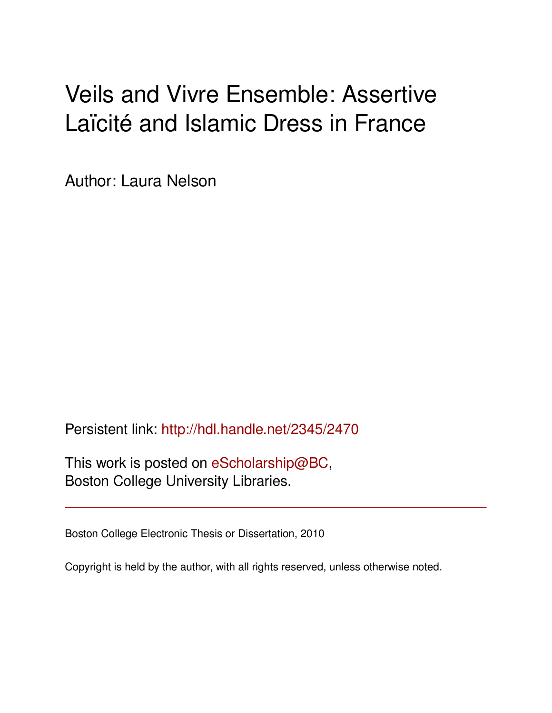# Veils and Vivre Ensemble: Assertive Laïcité and Islamic Dress in France

Author: Laura Nelson

Persistent link: <http://hdl.handle.net/2345/2470>

This work is posted on [eScholarship@BC](http://escholarship.bc.edu), Boston College University Libraries.

Boston College Electronic Thesis or Dissertation, 2010

Copyright is held by the author, with all rights reserved, unless otherwise noted.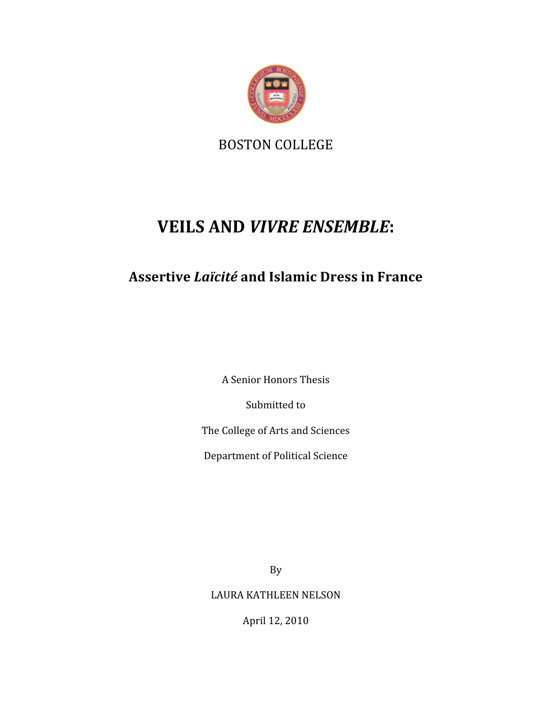

BOSTON COLLEGE

# **VEILS AND** *VIVRE ENSEMBLE***:**

# **Assertive** *Laïcité* **and Islamic Dress in France**

A Senior Honors Thesis

Submitted to

The College of Arts and Sciences

Department of Political Science

By

LAURA KATHLEEN NELSON

April 12, 2010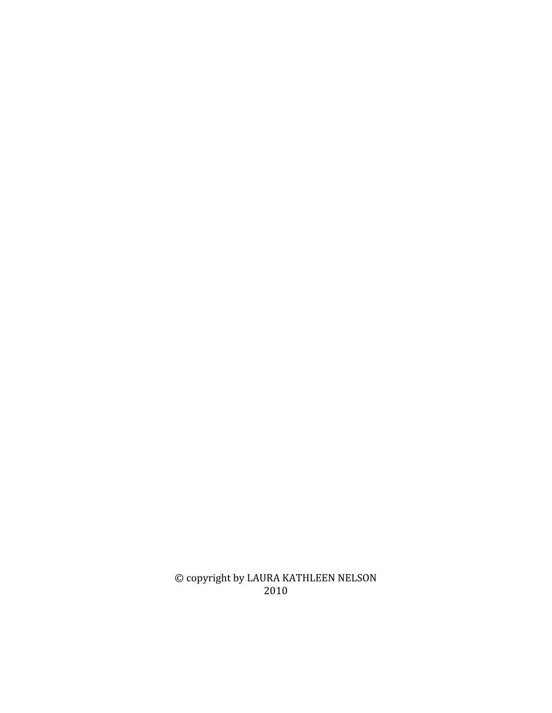© copyright by LAURA KATHLEEN NELSON 2010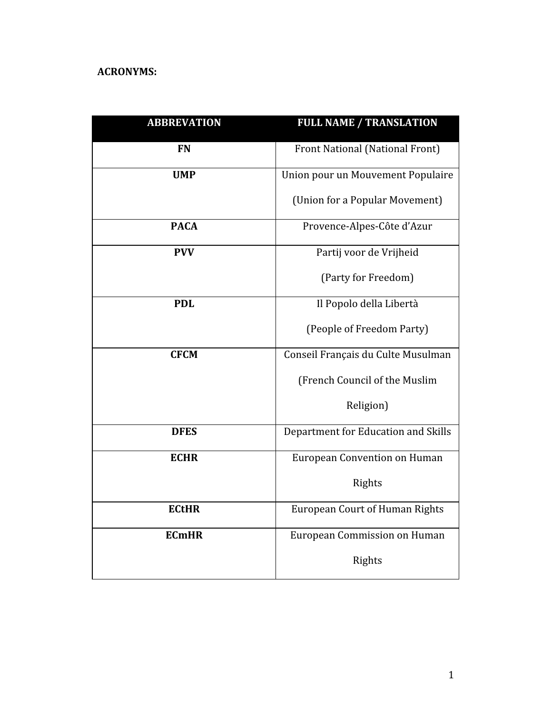## **ACRONYMS:**

| <b>ABBREVATION</b> | <b>FULL NAME / TRANSLATION</b>        |  |
|--------------------|---------------------------------------|--|
| <b>FN</b>          | Front National (National Front)       |  |
| <b>UMP</b>         | Union pour un Mouvement Populaire     |  |
|                    | (Union for a Popular Movement)        |  |
| <b>PACA</b>        | Provence-Alpes-Côte d'Azur            |  |
| <b>PVV</b>         | Partij voor de Vrijheid               |  |
|                    | (Party for Freedom)                   |  |
| <b>PDL</b>         | Il Popolo della Libertà               |  |
|                    | (People of Freedom Party)             |  |
| <b>CFCM</b>        | Conseil Français du Culte Musulman    |  |
|                    | (French Council of the Muslim         |  |
|                    | Religion)                             |  |
| <b>DFES</b>        | Department for Education and Skills   |  |
| <b>ECHR</b>        | <b>European Convention on Human</b>   |  |
|                    | Rights                                |  |
| <b>ECtHR</b>       | <b>European Court of Human Rights</b> |  |
| <b>ECmHR</b>       | European Commission on Human          |  |
|                    | Rights                                |  |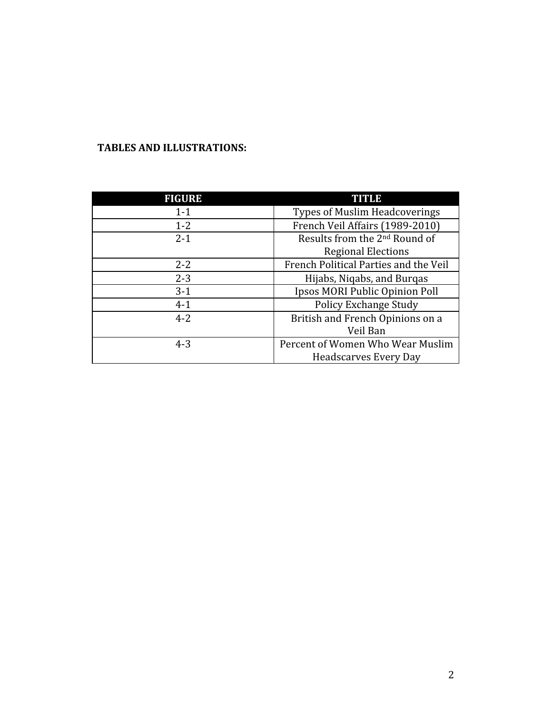## **TABLES AND ILLUSTRATIONS:**

| <b>FIGURE</b> | <b>TITLE</b>                              |  |
|---------------|-------------------------------------------|--|
| $1 - 1$       | <b>Types of Muslim Headcoverings</b>      |  |
| $1 - 2$       | French Veil Affairs (1989-2010)           |  |
| $2 - 1$       | Results from the 2 <sup>nd</sup> Round of |  |
|               | <b>Regional Elections</b>                 |  |
| $2 - 2$       | French Political Parties and the Veil     |  |
| $2 - 3$       | Hijabs, Nigabs, and Burgas                |  |
| $3-1$         | Ipsos MORI Public Opinion Poll            |  |
| $4 - 1$       | <b>Policy Exchange Study</b>              |  |
| $4 - 2$       | British and French Opinions on a          |  |
|               | Veil Ban                                  |  |
| $4 - 3$       | Percent of Women Who Wear Muslim          |  |
|               | <b>Headscarves Every Day</b>              |  |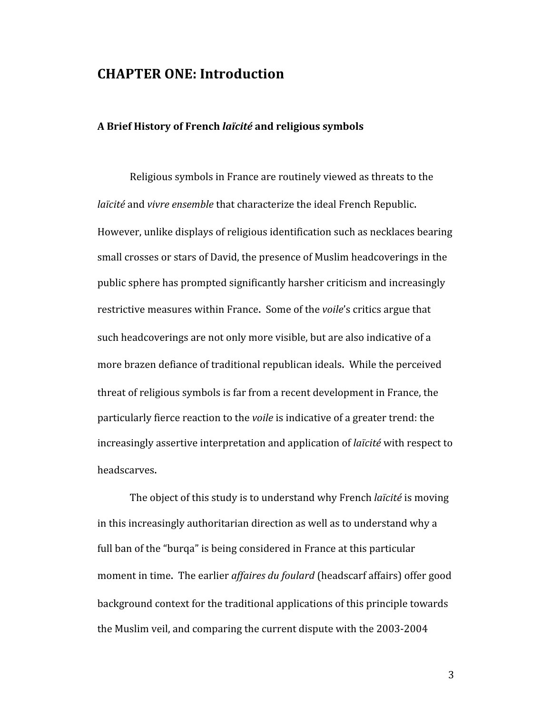## **CHAPTER ONE: Introduction**

#### **A Brief History of French** *laïcité* **and religious symbols**

Religious symbols in France are routinely viewed as threats to the *laïcité* and *vivre ensemble* that characterize the ideal French Republic. However, unlike displays of religious identification such as necklaces bearing small crosses or stars of David, the presence of Muslim headcoverings in the public sphere has prompted significantly harsher criticism and increasingly restrictive measures within France. Some of the *voile*'s critics argue that such headcoverings are not only more visible, but are also indicative of a more brazen defiance of traditional republican ideals. While the perceived threat of religious symbols is far from a recent development in France, the particularly fierce reaction to the *voile* is indicative of a greater trend: the increasingly assertive interpretation and application of *laïcité* with respect to headscarves.

The object of this study is to understand why French *laïcité* is moving in this increasingly authoritarian direction as well as to understand why a full ban of the "burqa" is being considered in France at this particular moment in time. The earlier *affaires du foulard* (headscarf affairs) offer good background context for the traditional applications of this principle towards the Muslim veil, and comparing the current dispute with the 2003‐2004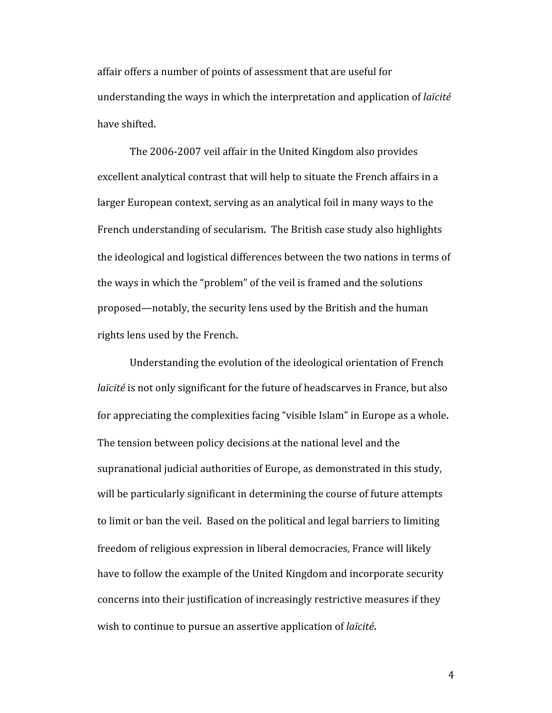affair offers a number of points of assessment that are useful for understanding the ways in which the interpretation and application of *laïcité* have shifted.

The 2006‐2007 veil affair in the United Kingdom also provides excellent analytical contrast that will help to situate the French affairs in a larger European context, serving as an analytical foil in many ways to the French understanding of secularism. The British case study also highlights the ideological and logistical differences between the two nations in terms of the ways in which the "problem" of the veil is framed and the solutions proposed—notably, the security lens used by the British and the human rights lens used by the French.

Understanding the evolution of the ideological orientation of French *laïcité* is not only significant for the future of headscarves in France, but also for appreciating the complexities facing "visible Islam" in Europe as a whole. The tension between policy decisions at the national level and the supranational judicial authorities of Europe, as demonstrated in this study, will be particularly significant in determining the course of future attempts to limit or ban the veil. Based on the political and legal barriers to limiting freedom of religious expression in liberal democracies, France will likely have to follow the example of the United Kingdom and incorporate security concerns into their justification of increasingly restrictive measures if they wish to continue to pursue an assertive application of *laïcité*.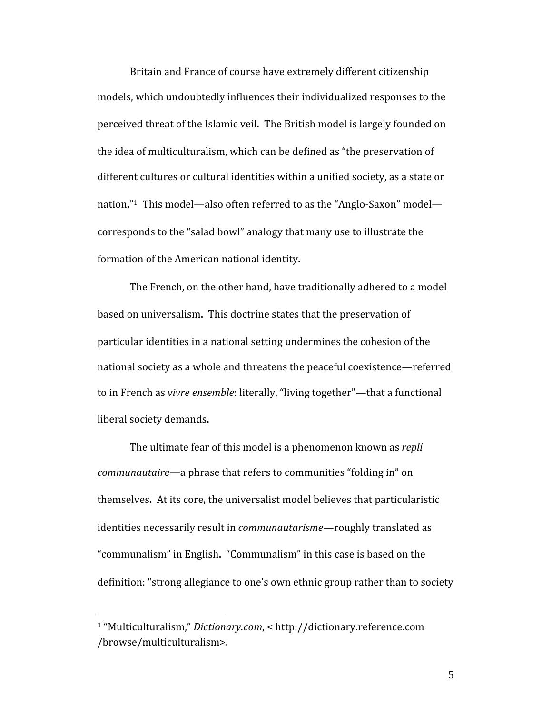Britain and France of course have extremely different citizenship models, which undoubtedly influences their individualized responses to the perceived threat of the Islamic veil. The British model is largely founded on the idea of multiculturalism, which can be defined as "the preservation of different cultures or cultural identities within a unified society, as a state or nation."<sup>1</sup> This model—also often referred to as the "Anglo-Saxon" model corresponds to the "salad bowl" analogy that many use to illustrate the formation of the American national identity.

The French, on the other hand, have traditionally adhered to a model based on universalism. This doctrine states that the preservation of particular identities in a national setting undermines the cohesion of the national society as a whole and threatens the peaceful coexistence—referred to in French as *vivre ensemble*: literally, "living together"—that a functional liberal society demands.

The ultimate fear of this model is a phenomenon known as *repli communautaire*—a phrase that refers to communities "folding in" on themselves. At its core, the universalist model believes that particularistic identities necessarily result in *communautarisme*—roughly translated as "communalism" in English. "Communalism" in this case is based on the definition: "strong allegiance to one's own ethnic group rather than to society

<sup>1 &</sup>quot;Multiculturalism," *Dictionary.com*, < http://dictionary.reference.com /browse/multiculturalism>.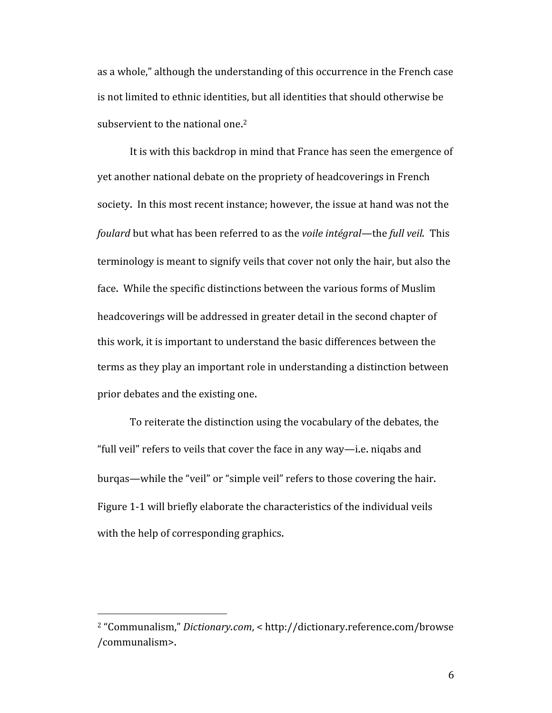as a whole," although the understanding of this occurrence in the French case is not limited to ethnic identities, but all identities that should otherwise be subservient to the national one. 2

It is with this backdrop in mind that France has seen the emergence of yet another national debate on the propriety of headcoverings in French society. In this most recent instance; however, the issue at hand was not the *foulard* but what has been referred to as the *voile intégral*—the *full veil.* This terminology is meant to signify veils that cover not only the hair, but also the face. While the specific distinctions between the various forms of Muslim headcoverings will be addressed in greater detail in the second chapter of this work, it is important to understand the basic differences between the terms as they play an important role in understanding a distinction between prior debates and the existing one.

To reiterate the distinction using the vocabulary of the debates, the "full veil" refers to veils that cover the face in any way—i.e. niqabs and burqas—while the "veil" or "simple veil" refers to those covering the hair. Figure 1‐1 will briefly elaborate the characteristics of the individual veils with the help of corresponding graphics.

<sup>2 &</sup>quot;Communalism," *Dictionary.com*, < http://dictionary.reference.com/browse /communalism>.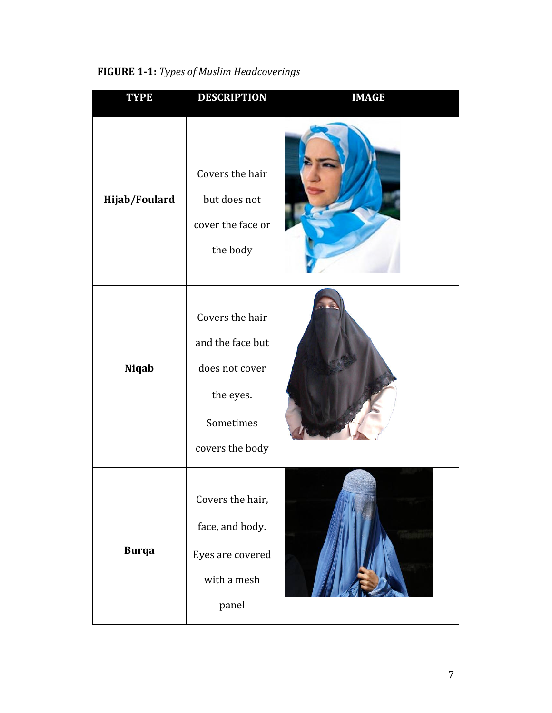| <b>TYPE</b>   | <b>DESCRIPTION</b>                                                                                 | <b>IMAGE</b> |
|---------------|----------------------------------------------------------------------------------------------------|--------------|
| Hijab/Foulard | Covers the hair<br>but does not<br>cover the face or<br>the body                                   |              |
| Niqab         | Covers the hair<br>and the face but<br>does not cover<br>the eyes.<br>Sometimes<br>covers the body |              |
| <b>Burqa</b>  | Covers the hair,<br>face, and body.<br>Eyes are covered<br>with a mesh<br>panel                    |              |

# **FIGURE 11:** *Types of Muslim Headcoverings*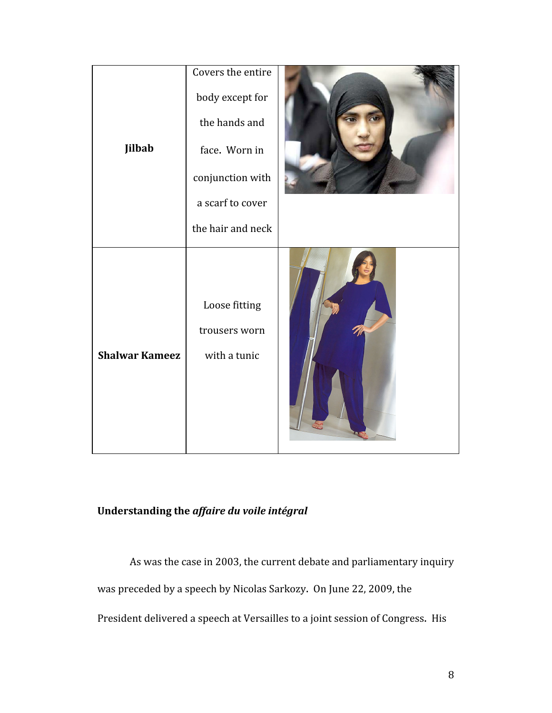| Jilbab                | Covers the entire<br>body except for<br>the hands and<br>face. Worn in |  |
|-----------------------|------------------------------------------------------------------------|--|
|                       | conjunction with<br>a scarf to cover                                   |  |
|                       | the hair and neck                                                      |  |
| <b>Shalwar Kameez</b> | Loose fitting<br>trousers worn<br>with a tunic                         |  |

## **Understanding the** *affaire du voile intégral*

As was the case in 2003, the current debate and parliamentary inquiry

was preceded by a speech by Nicolas Sarkozy. On June 22, 2009, the

President delivered a speech at Versailles to a joint session of Congress. His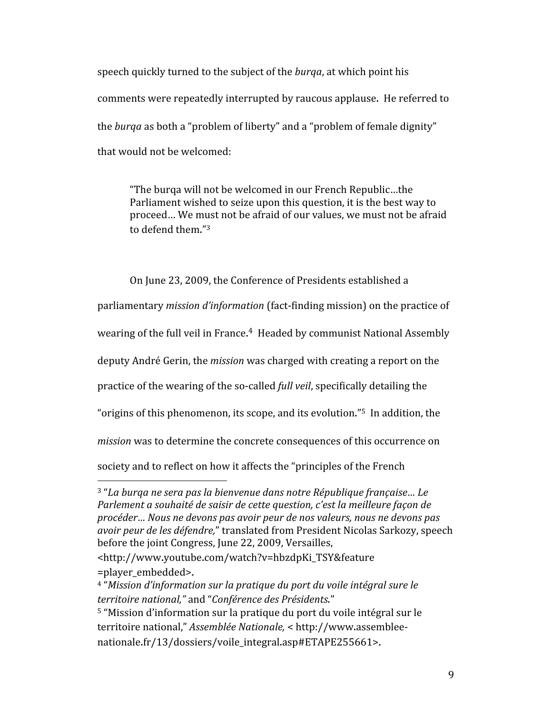speech quickly turned to the subject of the *burqa*, at which point his comments were repeatedly interrupted by raucous applause. He referred to the *burqa* as both a "problem of liberty" and a "problem of female dignity" that would not be welcomed:

"The burqa will not be welcomed in our French Republic…the Parliament wished to seize upon this question, it is the best way to proceed… We must not be afraid of our values, we must not be afraid to defend them."3

On June 23, 2009, the Conference of Presidents established a

parliamentary *mission d'information* (fact‐finding mission) on the practice of

wearing of the full veil in France.<sup>4</sup> Headed by communist National Assembly

deputy André Gerin, the *mission* was charged with creating a report on the

practice of the wearing of the so‐called *full veil*, specifically detailing the

"origins of this phenomenon, its scope, and its evolution."5 In addition, the

*mission* was to determine the concrete consequences of this occurrence on

society and to reflect on how it affects the "principles of the French

<sup>3 &</sup>quot;*La burqa ne sera pas la bienvenue dans notre République française… Le Parlement a souhaité de saisir de cette question, c'est la meilleure façon de procéder… Nous ne devons pas avoir peur de nos valeurs, nous ne devons pas avoir peur de les défendre,*" translated from President Nicolas Sarkozy, speech before the joint Congress, June 22, 2009, Versailles,

<sup>&</sup>lt;http://www.youtube.com/watch?v=hbzdpKi\_TSY&feature =player\_embedded>.

<sup>4 &</sup>quot;*Mission d'information sur la pratique du port du voile intégral sure le territoire national,"* and "*Conférence des Présidents.*"

<sup>5</sup> "Mission d'information sur la pratique du port du voile intégral sur le territoire national," *Assemblée Nationale,* < http://www.assemblee‐ nationale.fr/13/dossiers/voile\_integral.asp#ETAPE255661>.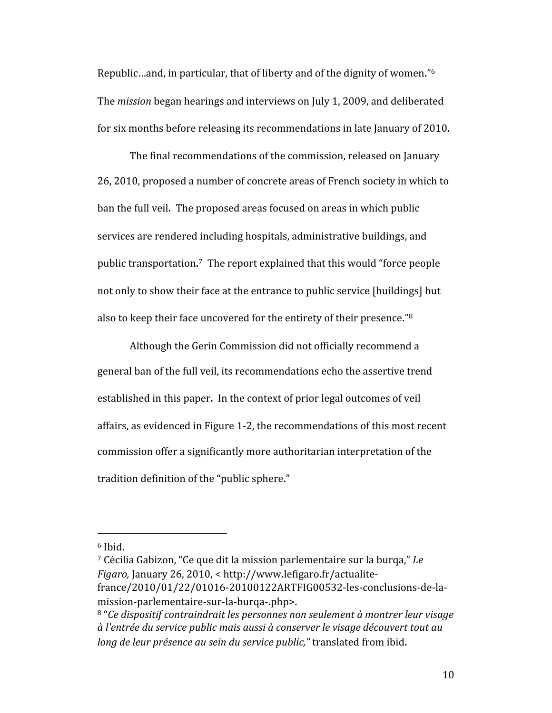Republic…and, in particular, that of liberty and of the dignity of women."6 The *mission* began hearings and interviews on July 1, 2009, and deliberated for six months before releasing its recommendations in late January of 2010.

The final recommendations of the commission, released on January 26, 2010, proposed a number of concrete areas of French society in which to ban the full veil. The proposed areas focused on areas in which public services are rendered including hospitals, administrative buildings, and public transportation.<sup>7</sup> The report explained that this would "force people not only to show their face at the entrance to public service [buildings] but also to keep their face uncovered for the entirety of their presence."8

Although the Gerin Commission did not officially recommend a general ban of the full veil, its recommendations echo the assertive trend established in this paper. In the context of prior legal outcomes of veil affairs, as evidenced in Figure 1‐2, the recommendations of this most recent commission offer a significantly more authoritarian interpretation of the tradition definition of the "public sphere."

 $6$  Ibid.

<sup>7</sup> Cécilia Gabizon, "Ce que dit la mission parlementaire sur la burqa," *Le Figaro,* January 26, 2010, < http://www.lefigaro.fr/actualite‐ france/2010/01/22/01016‐20100122ARTFIG00532‐les‐conclusions‐de‐la‐ mission‐parlementaire‐sur‐la‐burqa‐.php>.

<sup>8 &</sup>quot;*Ce dispositif contraindrait les personnes non seulement à montrer leur visage à l'entrée du service public mais aussi à conserver le visage découvert tout au long de leur présence au sein du service public,"* translated from ibid.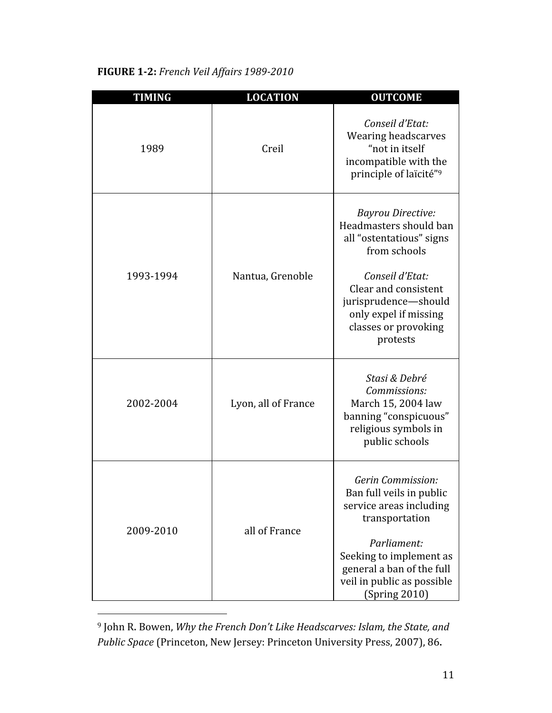| <b>TIMING</b> | <b>LOCATION</b>     | <b>OUTCOME</b>                                                                                                                                                                                                                 |
|---------------|---------------------|--------------------------------------------------------------------------------------------------------------------------------------------------------------------------------------------------------------------------------|
| 1989          | Creil               | Conseil d'Etat:<br>Wearing headscarves<br>"not in itself<br>incompatible with the<br>principle of laïcité"9                                                                                                                    |
| 1993-1994     | Nantua, Grenoble    | <b>Bayrou Directive:</b><br>Headmasters should ban<br>all "ostentatious" signs<br>from schools<br>Conseil d'Etat:<br>Clear and consistent<br>jurisprudence-should<br>only expel if missing<br>classes or provoking<br>protests |
| 2002-2004     | Lyon, all of France | Stasi & Debré<br>Commissions:<br>March 15, 2004 law<br>banning "conspicuous"<br>religious symbols in<br>public schools                                                                                                         |
| 2009-2010     | all of France       | Gerin Commission:<br>Ban full veils in public<br>service areas including<br>transportation<br>Parliament:<br>Seeking to implement as<br>general a ban of the full<br>veil in public as possible<br>(Spring 2010)               |

## **FIGURE 1-2:** *French Veil Affairs 1989-2010*

<sup>9</sup> John R. Bowen, *Why the French Don't Like Headscarves: Islam, the State, and Public Space* (Princeton, New Jersey: Princeton University Press, 2007), 86.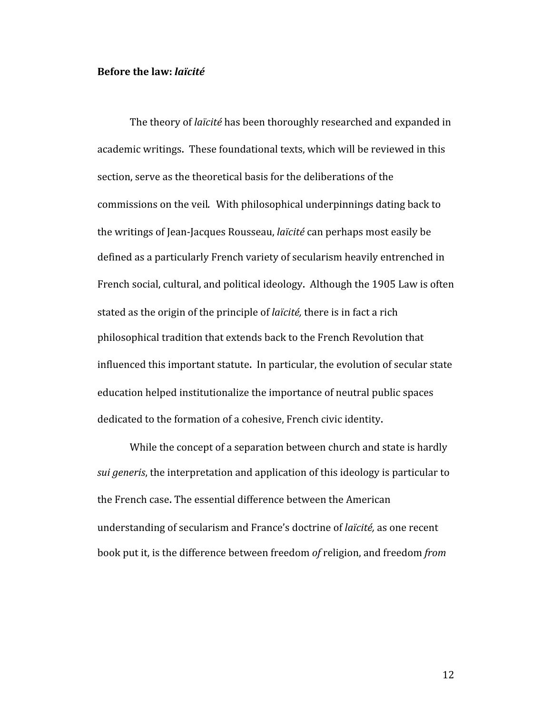## **Before the law:** *laïcité*

The theory of *laïcité* has been thoroughly researched and expanded in academic writings. These foundational texts, which will be reviewed in this section, serve as the theoretical basis for the deliberations of the commissions on the veil*.* With philosophical underpinnings dating back to the writings of Jean‐Jacques Rousseau, *laïcité* can perhaps most easily be defined as a particularly French variety of secularism heavily entrenched in French social, cultural, and political ideology. Although the 1905 Law is often stated as the origin of the principle of *laïcité,* there is in fact a rich philosophical tradition that extends back to the French Revolution that influenced this important statute. In particular, the evolution of secular state education helped institutionalize the importance of neutral public spaces dedicated to the formation of a cohesive, French civic identity.

While the concept of a separation between church and state is hardly *sui generis*, the interpretation and application of this ideology is particular to the French case. The essential difference between the American understanding of secularism and France's doctrine of *laïcité,* as one recent book put it, is the difference between freedom *of* religion, and freedom *from*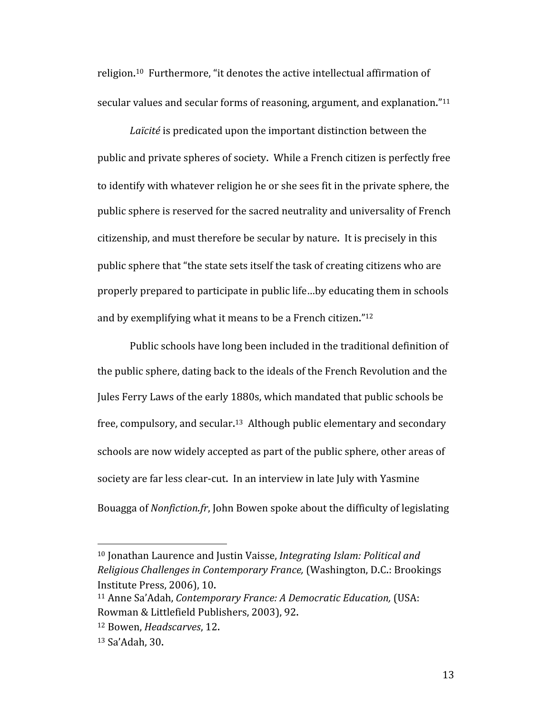religion.<sup>10</sup> Furthermore, "it denotes the active intellectual affirmation of secular values and secular forms of reasoning, argument, and explanation."<sup>11</sup>

*Laïcité* is predicated upon the important distinction between the public and private spheres of society. While a French citizen is perfectly free to identify with whatever religion he or she sees fit in the private sphere, the public sphere is reserved for the sacred neutrality and universality of French citizenship, and must therefore be secular by nature. It is precisely in this public sphere that "the state sets itself the task of creating citizens who are properly prepared to participate in public life…by educating them in schools and by exemplifying what it means to be a French citizen."12

Public schools have long been included in the traditional definition of the public sphere, dating back to the ideals of the French Revolution and the Jules Ferry Laws of the early 1880s, which mandated that public schools be free, compulsory, and secular.<sup>13</sup> Although public elementary and secondary schools are now widely accepted as part of the public sphere, other areas of society are far less clear-cut. In an interview in late July with Yasmine Bouagga of *Nonfiction.fr*, John Bowen spoke about the difficulty of legislating

<sup>10</sup> Jonathan Laurence and Justin Vaisse, *Integrating Islam: Political and Religious Challenges in Contemporary France,* (Washington, D.C.: Brookings Institute Press, 2006), 10.

<sup>11</sup> Anne Sa'Adah, *Contemporary France: A Democratic Education,* (USA: Rowman & Littlefield Publishers, 2003), 92.

<sup>12</sup> Bowen, *Headscarves*, 12.

<sup>13</sup> Sa'Adah, 30.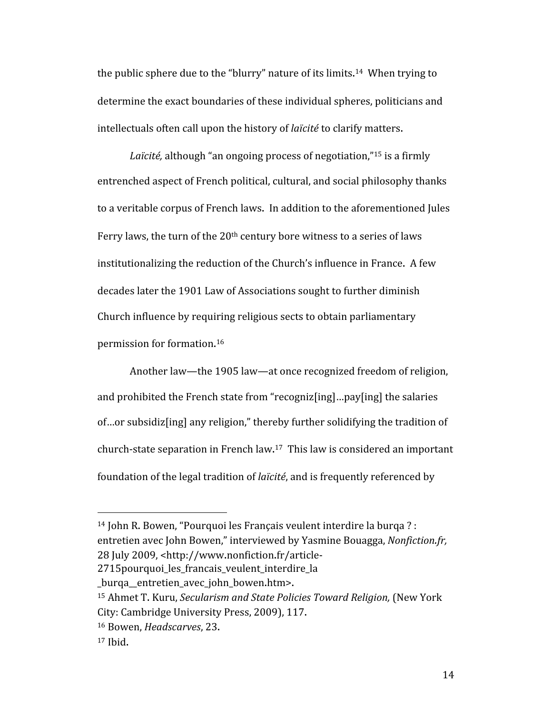the public sphere due to the "blurry" nature of its limits.<sup>14</sup> When trying to determine the exact boundaries of these individual spheres, politicians and intellectuals often call upon the history of *laïcité* to clarify matters.

*Laïcité,* although "an ongoing process of negotiation,"15 is a firmly entrenched aspect of French political, cultural, and social philosophy thanks to a veritable corpus of French laws. In addition to the aforementioned Jules Ferry laws, the turn of the 20<sup>th</sup> century bore witness to a series of laws institutionalizing the reduction of the Church's influence in France. A few decades later the 1901 Law of Associations sought to further diminish Church influence by requiring religious sects to obtain parliamentary permission for formation. 16

Another law—the 1905 law—at once recognized freedom of religion, and prohibited the French state from "recogniz[ing]…pay[ing] the salaries of…or subsidiz[ing] any religion," thereby further solidifying the tradition of church-state separation in French law.<sup>17</sup> This law is considered an important foundation of the legal tradition of *laïcité*, and is frequently referenced by

2715pourquoi\_les\_francais\_veulent\_interdire\_la

16 Bowen, *Headscarves*, 23.

<sup>14</sup> John R. Bowen, "Pourquoi les Français veulent interdire la burqa ? : entretien avec John Bowen," interviewed by Yasmine Bouagga, *Nonfiction.fr,*  28 July 2009, <http://www.nonfiction.fr/article‐

\_burqa\_\_entretien\_avec\_john\_bowen.htm>.

<sup>15</sup> Ahmet T. Kuru, *Secularism and State Policies Toward Religion,* (New York City: Cambridge University Press, 2009), 117.

<sup>17</sup> Ibid.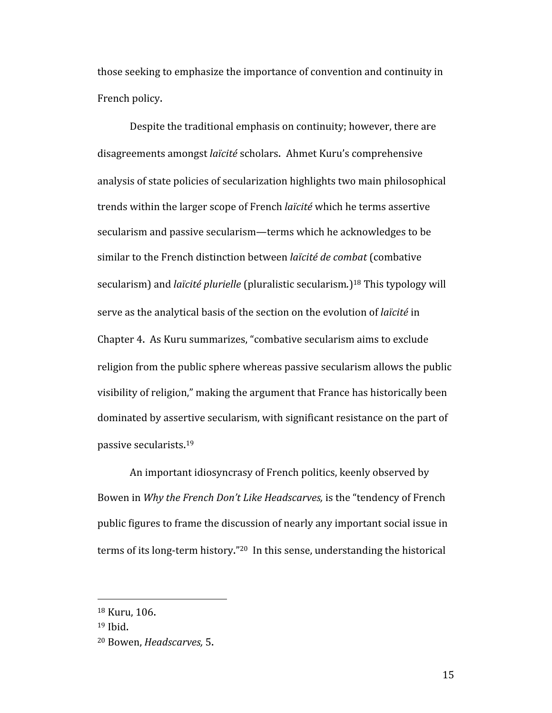those seeking to emphasize the importance of convention and continuity in French policy.

Despite the traditional emphasis on continuity; however, there are disagreements amongst *laïcité* scholars. Ahmet Kuru's comprehensive analysis of state policies of secularization highlights two main philosophical trends within the larger scope of French *laïcité* which he terms assertive secularism and passive secularism—terms which he acknowledges to be similar to the French distinction between *laïcité de combat* (combative secularism) and *laïcité plurielle* (pluralistic secularism*.*)18 This typology will serve as the analytical basis of the section on the evolution of *laïcité* in Chapter 4. As Kuru summarizes, "combative secularism aims to exclude religion from the public sphere whereas passive secularism allows the public visibility of religion," making the argument that France has historically been dominated by assertive secularism, with significant resistance on the part of passive secularists. 19

An important idiosyncrasy of French politics, keenly observed by Bowen in *Why the French Don't Like Headscarves,* is the "tendency of French public figures to frame the discussion of nearly any important social issue in terms of its long-term history."<sup>20</sup> In this sense, understanding the historical

<sup>18</sup> Kuru, 106.

<sup>19</sup> Ibid.

<sup>20</sup> Bowen, *Headscarves,* 5.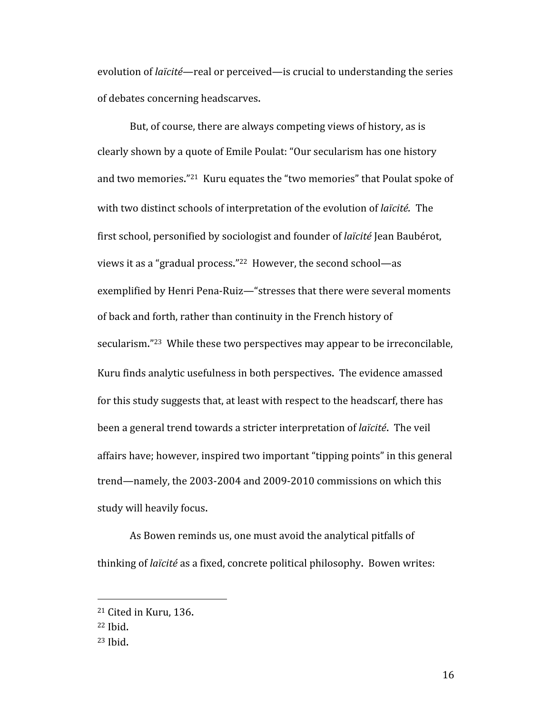evolution of *laïcité*—real or perceived—is crucial to understanding the series of debates concerning headscarves.

But, of course, there are always competing views of history, as is clearly shown by a quote of Emile Poulat: "Our secularism has one history and two memories."21 Kuru equates the "two memories" that Poulat spoke of with two distinct schools of interpretation of the evolution of *laïcité.* The first school, personified by sociologist and founder of *laïcité* Jean Baubérot, views it as a "gradual process."22 However, the second school—as exemplified by Henri Pena‐Ruiz—"stresses that there were several moments of back and forth, rather than continuity in the French history of secularism."23 While these two perspectives may appear to be irreconcilable, Kuru finds analytic usefulness in both perspectives. The evidence amassed for this study suggests that, at least with respect to the headscarf, there has been a general trend towards a stricter interpretation of *laïcité*. The veil affairs have; however, inspired two important "tipping points" in this general trend—namely, the 2003‐2004 and 2009‐2010 commissions on which this study will heavily focus.

As Bowen reminds us, one must avoid the analytical pitfalls of thinking of *laïcité* as a fixed, concrete political philosophy. Bowen writes:

<sup>21</sup> Cited in Kuru, 136.

<sup>22</sup> Ibid.

<sup>23</sup> Ibid.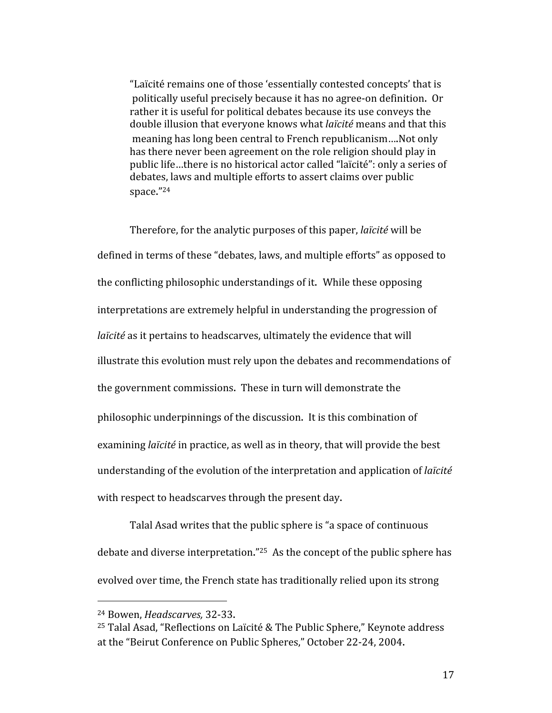"Laïcité remains one of those 'essentially contested concepts' that is politically useful precisely because it has no agree‐on definition. Or rather it is useful for political debates because its use conveys the double illusion that everyone knows what *laïcité* means and that this meaning has long been central to French republicanism….Not only has there never been agreement on the role religion should play in public life…there is no historical actor called "laïcité": only a series of debates, laws and multiple efforts to assert claims over public space."24

Therefore, for the analytic purposes of this paper, *laïcité* will be defined in terms of these "debates, laws, and multiple efforts" as opposed to the conflicting philosophic understandings of it. While these opposing interpretations are extremely helpful in understanding the progression of *laïcité* as it pertains to headscarves, ultimately the evidence that will illustrate this evolution must rely upon the debates and recommendations of the government commissions. These in turn will demonstrate the philosophic underpinnings of the discussion. It is this combination of examining *laïcité* in practice, as well as in theory, that will provide the best understanding of the evolution of the interpretation and application of *laïcité*  with respect to headscarves through the present day.

Talal Asad writes that the public sphere is "a space of continuous debate and diverse interpretation."25 As the concept of the public sphere has evolved over time, the French state has traditionally relied upon its strong

 24 Bowen, *Headscarves,* 32‐33.

<sup>25</sup> Talal Asad, "Reflections on Laïcité & The Public Sphere," Keynote address at the "Beirut Conference on Public Spheres," October 22‐24, 2004.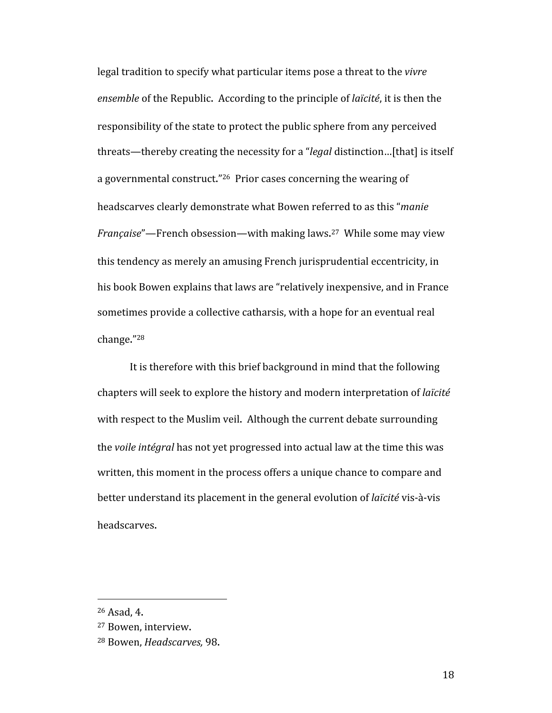legal tradition to specify what particular items pose a threat to the *vivre ensemble* of the Republic. According to the principle of *laïcité*, it is then the responsibility of the state to protect the public sphere from any perceived threats—thereby creating the necessity for a "*legal* distinction…[that] is itself a governmental construct."26 Prior cases concerning the wearing of headscarves clearly demonstrate what Bowen referred to as this "*manie Française*"—French obsession—with making laws. 27 While some may view this tendency as merely an amusing French jurisprudential eccentricity, in his book Bowen explains that laws are "relatively inexpensive, and in France sometimes provide a collective catharsis, with a hope for an eventual real change."28

It is therefore with this brief background in mind that the following chapters will seek to explore the history and modern interpretation of *laïcité* with respect to the Muslim veil. Although the current debate surrounding the *voile intégral* has not yet progressed into actual law at the time this was written, this moment in the process offers a unique chance to compare and better understand its placement in the general evolution of *laïcité* vis‐à‐vis headscarves.

<sup>26</sup> Asad, 4.

<sup>27</sup> Bowen, interview.

<sup>28</sup> Bowen, *Headscarves,* 98.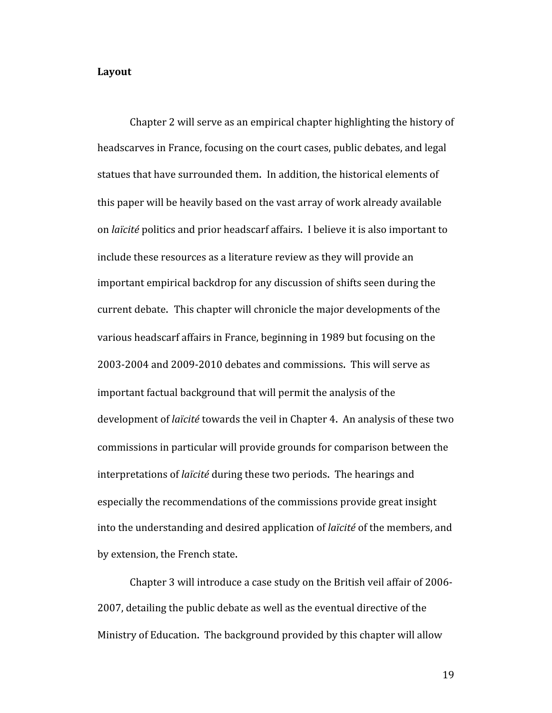#### **Layout**

Chapter 2 will serve as an empirical chapter highlighting the history of headscarves in France, focusing on the court cases, public debates, and legal statues that have surrounded them. In addition, the historical elements of this paper will be heavily based on the vast array of work already available on *laïcité* politics and prior headscarf affairs. I believe it is also important to include these resources as a literature review as they will provide an important empirical backdrop for any discussion of shifts seen during the current debate. This chapter will chronicle the major developments of the various headscarf affairs in France, beginning in 1989 but focusing on the 2003‐2004 and 2009‐2010 debates and commissions. This will serve as important factual background that will permit the analysis of the development of *laïcité* towards the veil in Chapter 4. An analysis of these two commissions in particular will provide grounds for comparison between the interpretations of *laïcité* during these two periods. The hearings and especially the recommendations of the commissions provide great insight into the understanding and desired application of *laïcité* of the members, and by extension, the French state.

Chapter 3 will introduce a case study on the British veil affair of 2006‐ 2007, detailing the public debate as well as the eventual directive of the Ministry of Education. The background provided by this chapter will allow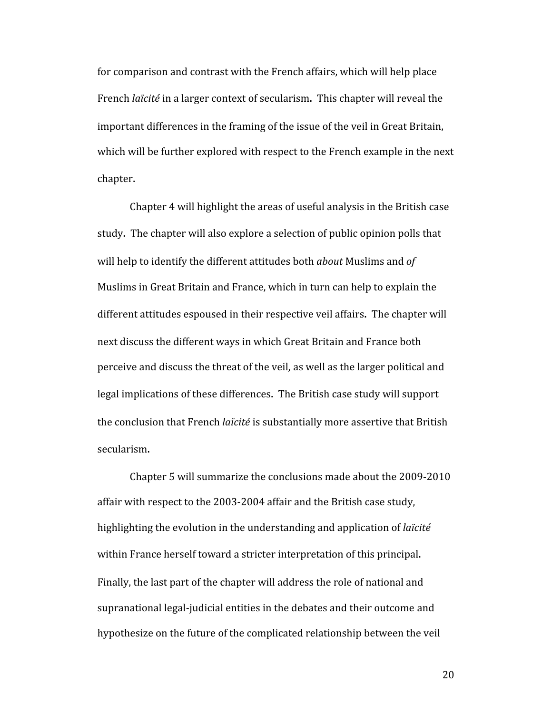for comparison and contrast with the French affairs, which will help place French *laïcité* in a larger context of secularism. This chapter will reveal the important differences in the framing of the issue of the veil in Great Britain, which will be further explored with respect to the French example in the next chapter.

Chapter 4 will highlight the areas of useful analysis in the British case study. The chapter will also explore a selection of public opinion polls that will help to identify the different attitudes both *about* Muslims and *of*  Muslims in Great Britain and France, which in turn can help to explain the different attitudes espoused in their respective veil affairs. The chapter will next discuss the different ways in which Great Britain and France both perceive and discuss the threat of the veil, as well as the larger political and legal implications of these differences. The British case study will support the conclusion that French *laïcité* is substantially more assertive that British secularism.

Chapter 5 will summarize the conclusions made about the 2009‐2010 affair with respect to the 2003‐2004 affair and the British case study, highlighting the evolution in the understanding and application of *laïcité* within France herself toward a stricter interpretation of this principal. Finally, the last part of the chapter will address the role of national and supranational legal‐judicial entities in the debates and their outcome and hypothesize on the future of the complicated relationship between the veil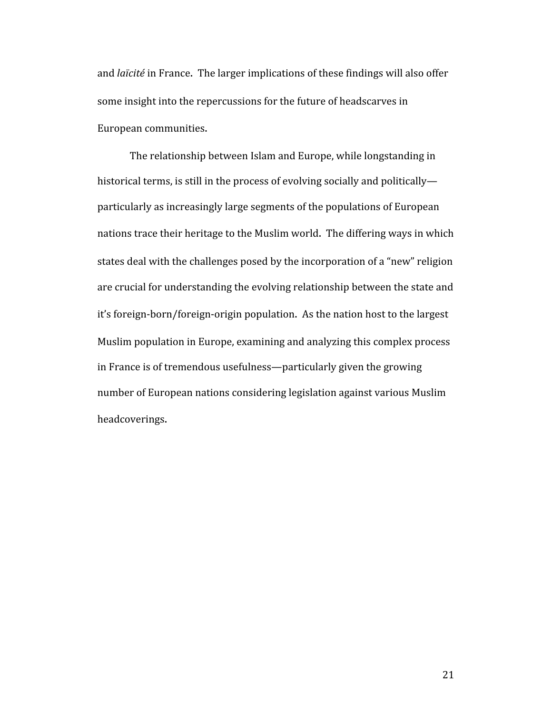and *laïcité* in France. The larger implications of these findings will also offer some insight into the repercussions for the future of headscarves in European communities.

The relationship between Islam and Europe, while longstanding in historical terms, is still in the process of evolving socially and politically particularly as increasingly large segments of the populations of European nations trace their heritage to the Muslim world. The differing ways in which states deal with the challenges posed by the incorporation of a "new" religion are crucial for understanding the evolving relationship between the state and it's foreign‐born/foreign‐origin population. As the nation host to the largest Muslim population in Europe, examining and analyzing this complex process in France is of tremendous usefulness—particularly given the growing number of European nations considering legislation against various Muslim headcoverings.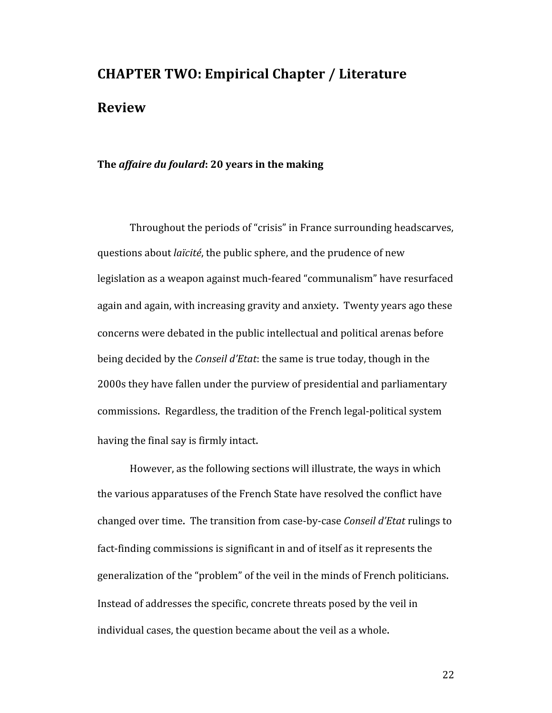# **CHAPTER TWO: Empirical Chapter / Literature Review**

## **The** *affaire du foulard***: 20 years in the making**

Throughout the periods of "crisis" in France surrounding headscarves, questions about *laïcité*, the public sphere, and the prudence of new legislation as a weapon against much‐feared "communalism" have resurfaced again and again, with increasing gravity and anxiety. Twenty years ago these concerns were debated in the public intellectual and political arenas before being decided by the *Conseil d'Etat*: the same is true today, though in the 2000s they have fallen under the purview of presidential and parliamentary commissions. Regardless, the tradition of the French legal-political system having the final say is firmly intact.

However, as the following sections will illustrate, the ways in which the various apparatuses of the French State have resolved the conflict have changed over time. The transition from case‐by‐case *Conseil d'Etat* rulings to fact‐finding commissions is significant in and of itself as it represents the generalization of the "problem" of the veil in the minds of French politicians. Instead of addresses the specific, concrete threats posed by the veil in individual cases, the question became about the veil as a whole.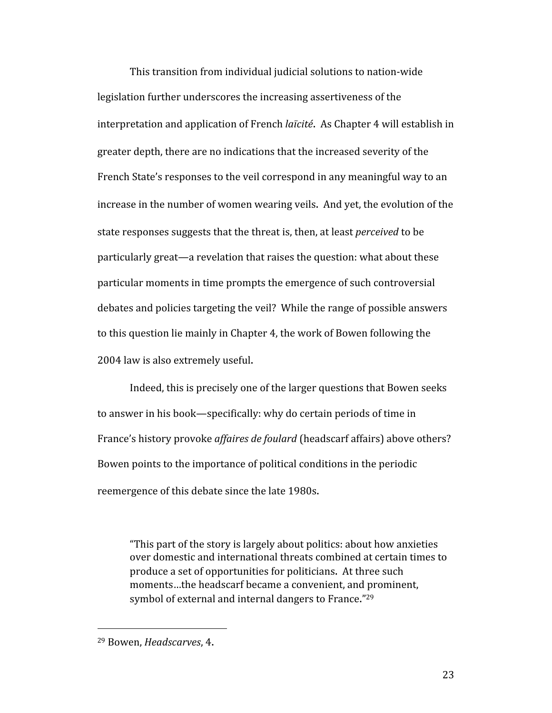This transition from individual judicial solutions to nation‐wide legislation further underscores the increasing assertiveness of the interpretation and application of French *laïcité*. As Chapter 4 will establish in greater depth, there are no indications that the increased severity of the French State's responses to the veil correspond in any meaningful way to an increase in the number of women wearing veils. And yet, the evolution of the state responses suggests that the threat is, then, at least *perceived* to be particularly great—a revelation that raises the question: what about these particular moments in time prompts the emergence of such controversial debates and policies targeting the veil? While the range of possible answers to this question lie mainly in Chapter 4, the work of Bowen following the 2004 law is also extremely useful.

Indeed, this is precisely one of the larger questions that Bowen seeks to answer in his book—specifically: why do certain periods of time in France's history provoke *affaires de foulard* (headscarf affairs) above others? Bowen points to the importance of political conditions in the periodic reemergence of this debate since the late 1980s.

"This part of the story is largely about politics: about how anxieties over domestic and international threats combined at certain times to produce a set of opportunities for politicians. At three such moments…the headscarf became a convenient, and prominent, symbol of external and internal dangers to France."29

<sup>29</sup> Bowen, *Headscarves*, 4.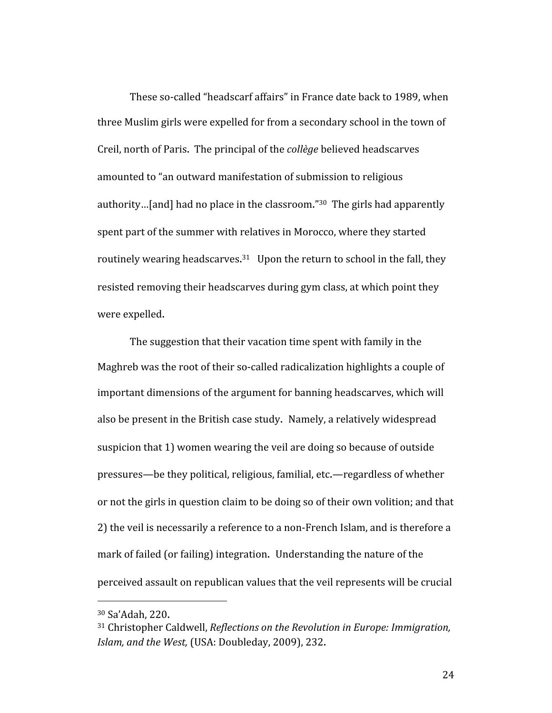These so-called "headscarf affairs" in France date back to 1989, when three Muslim girls were expelled for from a secondary school in the town of Creil, north of Paris. The principal of the *collège* believed headscarves amounted to "an outward manifestation of submission to religious authority...[and] had no place in the classroom."<sup>30</sup> The girls had apparently spent part of the summer with relatives in Morocco, where they started routinely wearing headscarves.<sup>31</sup> Upon the return to school in the fall, they resisted removing their headscarves during gym class, at which point they were expelled.

The suggestion that their vacation time spent with family in the Maghreb was the root of their so-called radicalization highlights a couple of important dimensions of the argument for banning headscarves, which will also be present in the British case study. Namely, a relatively widespread suspicion that 1) women wearing the veil are doing so because of outside pressures—be they political, religious, familial, etc.—regardless of whether or not the girls in question claim to be doing so of their own volition; and that 2) the veil is necessarily a reference to a non‐French Islam, and is therefore a mark of failed (or failing) integration. Understanding the nature of the perceived assault on republican values that the veil represents will be crucial

<sup>30</sup> Sa'Adah, 220.

<sup>31</sup> Christopher Caldwell, *Reflections on the Revolution in Europe: Immigration, Islam, and the West,* (USA: Doubleday, 2009), 232.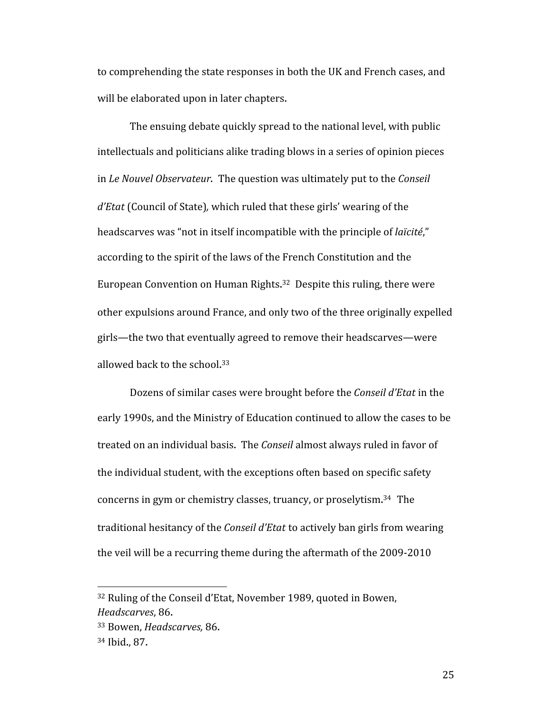to comprehending the state responses in both the UK and French cases, and will be elaborated upon in later chapters.

The ensuing debate quickly spread to the national level, with public intellectuals and politicians alike trading blows in a series of opinion pieces in *Le Nouvel Observateur.* The question was ultimately put to the *Conseil d'Etat* (Council of State)*,* which ruled that these girls' wearing of the headscarves was "not in itself incompatible with the principle of *laïcité*," according to the spirit of the laws of the French Constitution and the European Convention on Human Rights. 32 Despite this ruling, there were other expulsions around France, and only two of the three originally expelled girls—the two that eventually agreed to remove their headscarves—were allowed back to the school. 33

Dozens of similar cases were brought before the *Conseil d'Etat* in the early 1990s, and the Ministry of Education continued to allow the cases to be treated on an individual basis. The *Conseil* almost always ruled in favor of the individual student, with the exceptions often based on specific safety concerns in gym or chemistry classes, truancy, or proselytism. 34 The traditional hesitancy of the *Conseil d'Etat* to actively ban girls from wearing the veil will be a recurring theme during the aftermath of the 2009‐2010

<sup>32</sup> Ruling of the Conseil d'Etat, November 1989, quoted in Bowen, *Headscarves*, 86.

<sup>33</sup> Bowen, *Headscarves,* 86.

<sup>34</sup> Ibid., 87.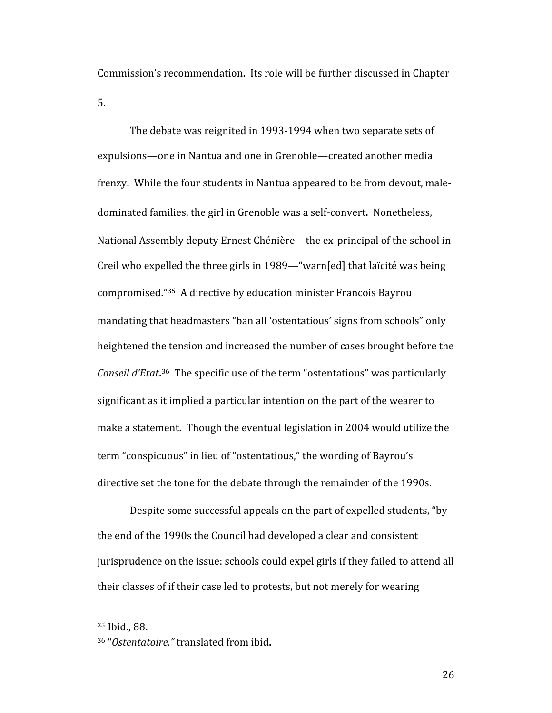Commission's recommendation. Its role will be further discussed in Chapter 5.

The debate was reignited in 1993‐1994 when two separate sets of expulsions—one in Nantua and one in Grenoble—created another media frenzy. While the four students in Nantua appeared to be from devout, male‐ dominated families, the girl in Grenoble was a self‐convert. Nonetheless, National Assembly deputy Ernest Chénière—the ex‐principal of the school in Creil who expelled the three girls in 1989—"warn[ed] that laïcité was being compromised."35 A directive by education minister Francois Bayrou mandating that headmasters "ban all 'ostentatious' signs from schools" only heightened the tension and increased the number of cases brought before the *Conseil d'Etat*. 36 The specific use of the term "ostentatious" was particularly significant as it implied a particular intention on the part of the wearer to make a statement. Though the eventual legislation in 2004 would utilize the term "conspicuous" in lieu of "ostentatious," the wording of Bayrou's directive set the tone for the debate through the remainder of the 1990s.

Despite some successful appeals on the part of expelled students, "by the end of the 1990s the Council had developed a clear and consistent jurisprudence on the issue: schools could expel girls if they failed to attend all their classes of if their case led to protests, but not merely for wearing

<sup>35</sup> Ibid., 88.

<sup>36 &</sup>quot;*Ostentatoire,"* translated from ibid.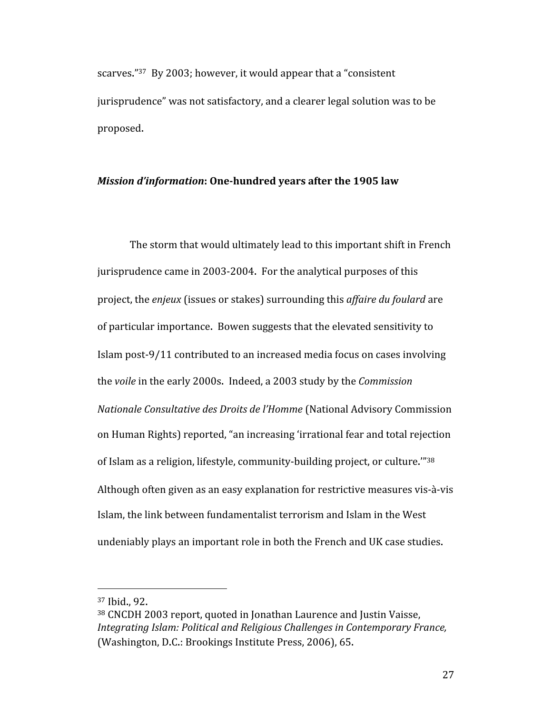scarves."<sup>37</sup> By 2003; however, it would appear that a "consistent" jurisprudence" was not satisfactory, and a clearer legal solution was to be proposed.

## *Mission d'information*: One-hundred years after the 1905 law

The storm that would ultimately lead to this important shift in French jurisprudence came in 2003‐2004. For the analytical purposes of this project, the *enjeux* (issues or stakes) surrounding this *affaire du foulard* are of particular importance. Bowen suggests that the elevated sensitivity to Islam post‐9/11 contributed to an increased media focus on cases involving the *voile* in the early 2000s. Indeed, a 2003 study by the *Commission Nationale Consultative des Droits de l'Homme* (National Advisory Commission on Human Rights) reported, "an increasing 'irrational fear and total rejection of Islam as a religion, lifestyle, community‐building project, or culture.'"38 Although often given as an easy explanation for restrictive measures vis‐à‐vis Islam, the link between fundamentalist terrorism and Islam in the West undeniably plays an important role in both the French and UK case studies.

<sup>37</sup> Ibid., 92.

<sup>38</sup> CNCDH 2003 report, quoted in Jonathan Laurence and Justin Vaisse, *Integrating Islam: Political and Religious Challenges in Contemporary France,*  (Washington, D.C.: Brookings Institute Press, 2006), 65.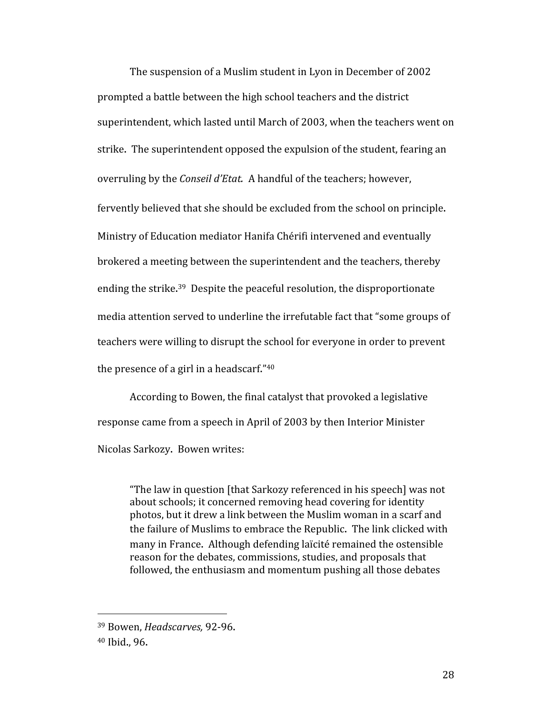The suspension of a Muslim student in Lyon in December of 2002 prompted a battle between the high school teachers and the district superintendent, which lasted until March of 2003, when the teachers went on strike. The superintendent opposed the expulsion of the student, fearing an overruling by the *Conseil d'Etat.* A handful of the teachers; however, fervently believed that she should be excluded from the school on principle. Ministry of Education mediator Hanifa Chérifi intervened and eventually brokered a meeting between the superintendent and the teachers, thereby ending the strike.<sup>39</sup> Despite the peaceful resolution, the disproportionate media attention served to underline the irrefutable fact that "some groups of teachers were willing to disrupt the school for everyone in order to prevent the presence of a girl in a headscarf."40

According to Bowen, the final catalyst that provoked a legislative response came from a speech in April of 2003 by then Interior Minister Nicolas Sarkozy. Bowen writes:

"The law in question [that Sarkozy referenced in his speech] was not about schools; it concerned removing head covering for identity photos, but it drew a link between the Muslim woman in a scarf and the failure of Muslims to embrace the Republic. The link clicked with many in France. Although defending laïcité remained the ostensible reason for the debates, commissions, studies, and proposals that followed, the enthusiasm and momentum pushing all those debates

 39 Bowen, *Headscarves,* 92‐96.

<sup>40</sup> Ibid., 96.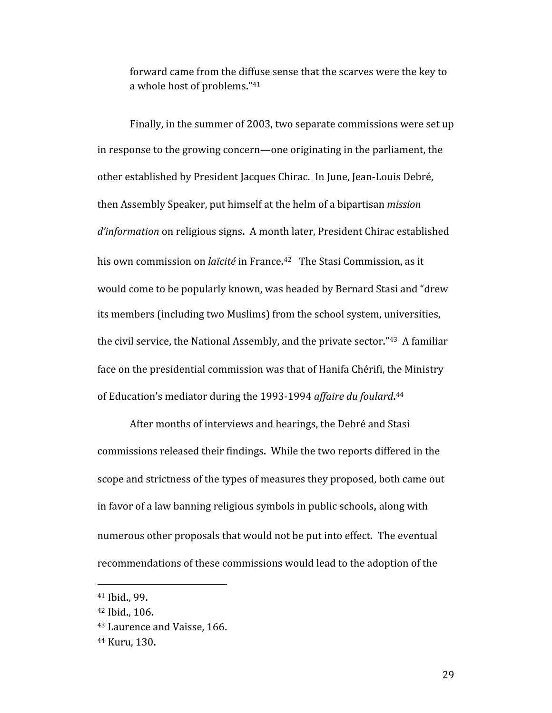forward came from the diffuse sense that the scarves were the key to a whole host of problems."41

Finally, in the summer of 2003, two separate commissions were set up in response to the growing concern—one originating in the parliament, the other established by President Jacques Chirac. In June, Jean‐Louis Debré, then Assembly Speaker, put himself at the helm of a bipartisan *mission d'information* on religious signs. A month later, President Chirac established his own commission on *laïcité* in France. 42 The Stasi Commission, as it would come to be popularly known, was headed by Bernard Stasi and "drew its members (including two Muslims) from the school system, universities, the civil service, the National Assembly, and the private sector."43 A familiar face on the presidential commission was that of Hanifa Chérifi, the Ministry of Education's mediator during the 1993‐1994 *affaire du foulard*. 44

After months of interviews and hearings, the Debré and Stasi commissions released their findings. While the two reports differed in the scope and strictness of the types of measures they proposed, both came out in favor of a law banning religious symbols in public schools, along with numerous other proposals that would not be put into effect. The eventual recommendations of these commissions would lead to the adoption of the

<sup>41</sup> Ibid., 99.

<sup>42</sup> Ibid., 106.

<sup>43</sup> Laurence and Vaisse, 166.

<sup>44</sup> Kuru, 130.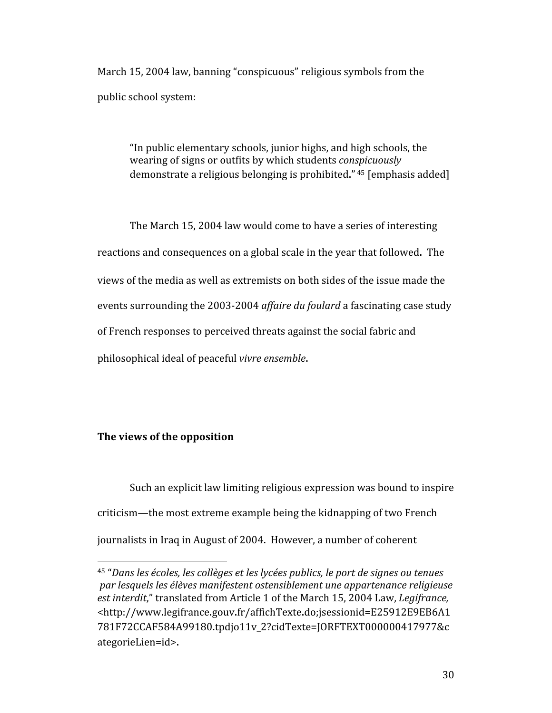March 15, 2004 law, banning "conspicuous" religious symbols from the public school system:

"In public elementary schools, junior highs, and high schools, the wearing of signs or outfits by which students *conspicuously* demonstrate a religious belonging is prohibited." 45 [emphasis added]

The March 15, 2004 law would come to have a series of interesting reactions and consequences on a global scale in the year that followed. The views of the media as well as extremists on both sides of the issue made the events surrounding the 2003‐2004 *affaire du foulard* a fascinating case study of French responses to perceived threats against the social fabric and philosophical ideal of peaceful *vivre ensemble*.

## **The views of the opposition**

Such an explicit law limiting religious expression was bound to inspire criticism—the most extreme example being the kidnapping of two French journalists in Iraq in August of 2004. However, a number of coherent

<sup>45 &</sup>quot;*Dans les écoles, les collèges et les lycées publics, le port de signes ou tenues par lesquels les élèves manifestent ostensiblement une appartenance religieuse est interdit*," translated from Article 1 of the March 15, 2004 Law, *Legifrance,* <http://www.legifrance.gouv.fr/affichTexte.do;jsessionid=E25912E9EB6A1 781F72CCAF584A99180.tpdjo11v\_2?cidTexte=JORFTEXT000000417977&c ategorieLien=id>.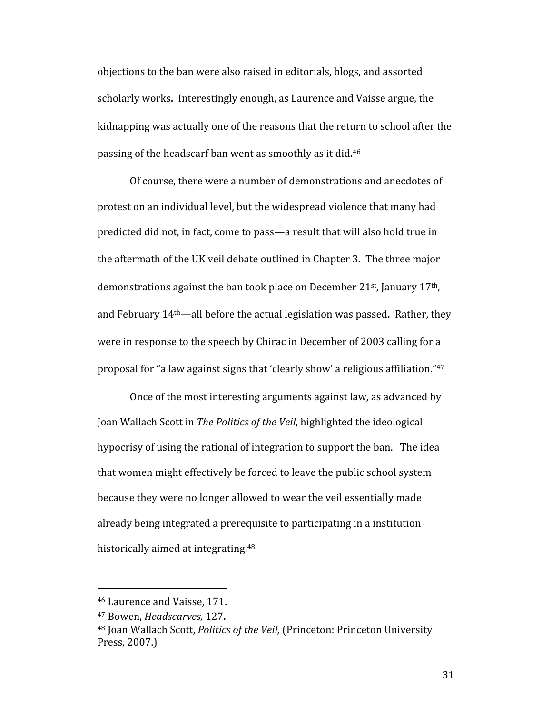objections to the ban were also raised in editorials, blogs, and assorted scholarly works. Interestingly enough, as Laurence and Vaisse argue, the kidnapping was actually one of the reasons that the return to school after the passing of the headscarf ban went as smoothly as it did.<sup>46</sup>

Of course, there were a number of demonstrations and anecdotes of protest on an individual level, but the widespread violence that many had predicted did not, in fact, come to pass—a result that will also hold true in the aftermath of the UK veil debate outlined in Chapter 3. The three major demonstrations against the ban took place on December 21<sup>st</sup>, January 17<sup>th</sup>, and February 14th—all before the actual legislation was passed. Rather, they were in response to the speech by Chirac in December of 2003 calling for a proposal for "a law against signs that 'clearly show' a religious affiliation."47

Once of the most interesting arguments against law, as advanced by Joan Wallach Scott in *The Politics of the Veil*, highlighted the ideological hypocrisy of using the rational of integration to support the ban. The idea that women might effectively be forced to leave the public school system because they were no longer allowed to wear the veil essentially made already being integrated a prerequisite to participating in a institution historically aimed at integrating.<sup>48</sup>

 46 Laurence and Vaisse, 171.

<sup>47</sup> Bowen, *Headscarves,* 127.

<sup>48</sup> Joan Wallach Scott, *Politics of the Veil,* (Princeton: Princeton University Press, 2007.)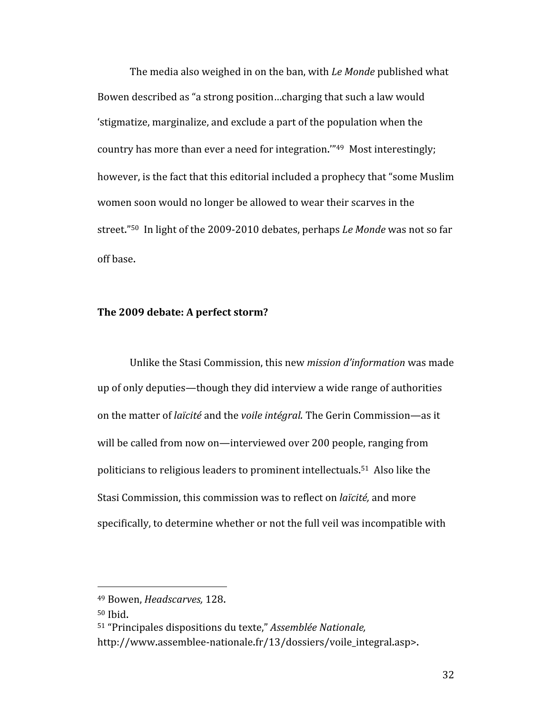The media also weighed in on the ban, with *Le Monde* published what Bowen described as "a strong position…charging that such a law would 'stigmatize, marginalize, and exclude a part of the population when the country has more than ever a need for integration.'"49 Most interestingly; however, is the fact that this editorial included a prophecy that "some Muslim women soon would no longer be allowed to wear their scarves in the street."50 In light of the 2009‐2010 debates, perhaps *Le Monde* was not so far off base.

## **The 2009 debate: A perfect storm?**

Unlike the Stasi Commission, this new *mission d'information* was made up of only deputies—though they did interview a wide range of authorities on the matter of *laïcité* and the *voile intégral.* The Gerin Commission—as it will be called from now on—interviewed over 200 people, ranging from politicians to religious leaders to prominent intellectuals. 51 Also like the Stasi Commission, this commission was to reflect on *laïcité,* and more specifically, to determine whether or not the full veil was incompatible with

 49 Bowen, *Headscarves,* 128.

<sup>50</sup> Ibid.

<sup>51 &</sup>quot;Principales dispositions du texte," *Assemblée Nationale,* 

http://www.assemblee-nationale.fr/13/dossiers/voile\_integral.asp>.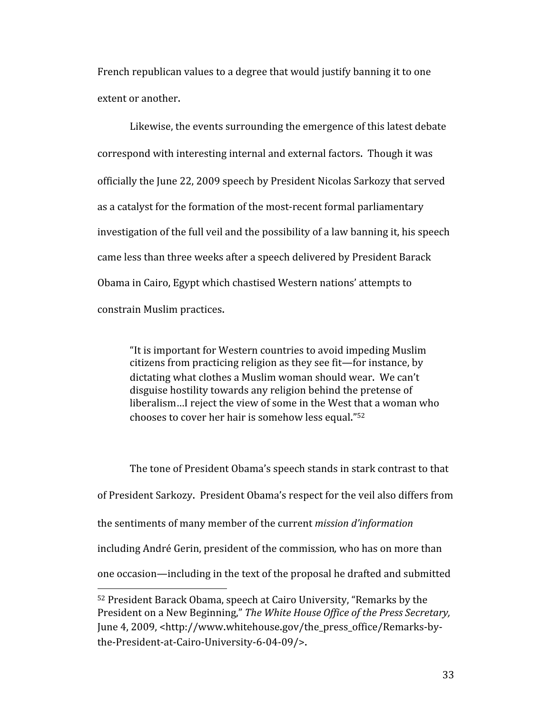French republican values to a degree that would justify banning it to one extent or another.

Likewise, the events surrounding the emergence of this latest debate correspond with interesting internal and external factors. Though it was officially the June 22, 2009 speech by President Nicolas Sarkozy that served as a catalyst for the formation of the most‐recent formal parliamentary investigation of the full veil and the possibility of a law banning it, his speech came less than three weeks after a speech delivered by President Barack Obama in Cairo, Egypt which chastised Western nations' attempts to constrain Muslim practices.

"It is important for Western countries to avoid impeding Muslim citizens from practicing religion as they see fit—for instance, by dictating what clothes a Muslim woman should wear. We can't disguise hostility towards any religion behind the pretense of liberalism…I reject the view of some in the West that a woman who chooses to cover her hair is somehow less equal."52

The tone of President Obama's speech stands in stark contrast to that of President Sarkozy. President Obama's respect for the veil also differs from the sentiments of many member of the current *mission d'information* including André Gerin, president of the commission*,* who has on more than one occasion—including in the text of the proposal he drafted and submitted 

<sup>52</sup> President Barack Obama, speech at Cairo University, "Remarks by the President on a New Beginning," *The White House Office of the Press Secretary,*  June 4, 2009, <http://www.whitehouse.gov/the\_press\_office/Remarks-bythe‐President‐at‐Cairo‐University‐6‐04‐09/>.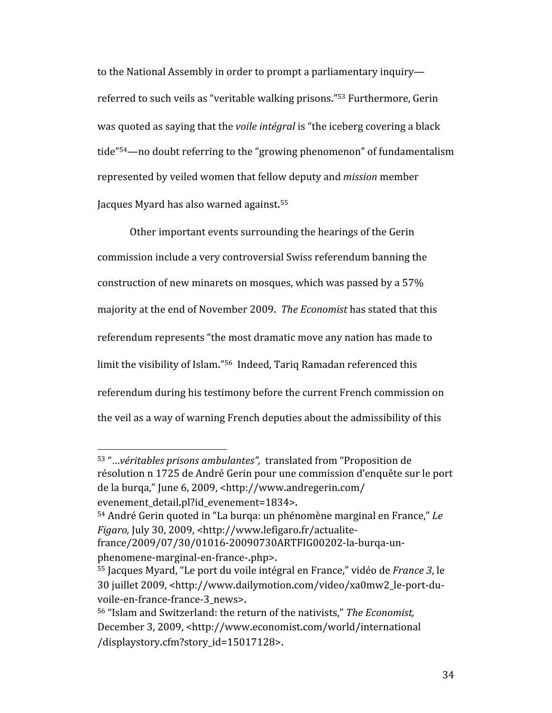to the National Assembly in order to prompt a parliamentary inquiry referred to such veils as "veritable walking prisons."53 Furthermore, Gerin was quoted as saying that the *voile intégral* is "the iceberg covering a black tide"54—no doubt referring to the "growing phenomenon" of fundamentalism represented by veiled women that fellow deputy and *mission* member Jacques Myard has also warned against.<sup>55</sup>

Other important events surrounding the hearings of the Gerin commission include a very controversial Swiss referendum banning the construction of new minarets on mosques, which was passed by a 57% majority at the end of November 2009. *The Economist* has stated that this referendum represents "the most dramatic move any nation has made to limit the visibility of Islam."56 Indeed, Tariq Ramadan referenced this referendum during his testimony before the current French commission on the veil as a way of warning French deputies about the admissibility of this

54 André Gerin quoted in "La burqa: un phénomène marginal en France," *Le* 

*Figaro,* July 30, 2009, <http://www.lefigaro.fr/actualite‐

<sup>53</sup> "…*véritables prisons ambulantes",* translated from "Proposition de résolution n 1725 de André Gerin pour une commission d'enquête sur le port de la burqa," June 6, 2009, <http://www.andregerin.com/ evenement\_detail.pl?id\_evenement=1834>.

france/2009/07/30/01016‐20090730ARTFIG00202‐la‐burqa‐un‐ phenomene‐marginal‐en‐france‐.php>.

<sup>55</sup> Jacques Myard, "Le port du voile intégral en France," vidéo de *France 3*, le 30 juillet 2009, <http://www.dailymotion.com/video/xa0mw2\_le‐port‐du‐ voile-en-france-france-3\_news>.

<sup>56 &</sup>quot;Islam and Switzerland: the return of the nativists," *The Economist,*  December 3, 2009, <http://www.economist.com/world/international /displaystory.cfm?story\_id=15017128>.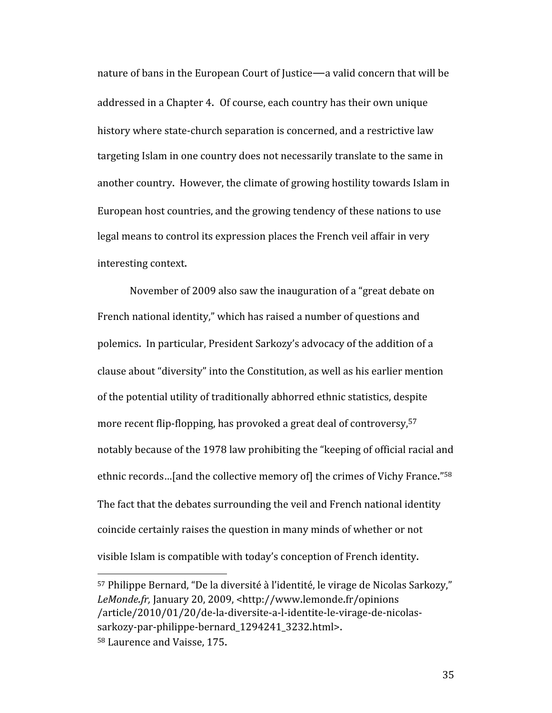nature of bans in the European Court of Justice—a valid concern that will be addressed in a Chapter 4. Of course, each country has their own unique history where state-church separation is concerned, and a restrictive law targeting Islam in one country does not necessarily translate to the same in another country. However, the climate of growing hostility towards Islam in European host countries, and the growing tendency of these nations to use legal means to control its expression places the French veil affair in very interesting context.

November of 2009 also saw the inauguration of a "great debate on French national identity," which has raised a number of questions and polemics. In particular, President Sarkozy's advocacy of the addition of a clause about "diversity" into the Constitution, as well as his earlier mention of the potential utility of traditionally abhorred ethnic statistics, despite more recent flip-flopping, has provoked a great deal of controversy, 57 notably because of the 1978 law prohibiting the "keeping of official racial and ethnic records…[and the collective memory of] the crimes of Vichy France."58 The fact that the debates surrounding the veil and French national identity coincide certainly raises the question in many minds of whether or not visible Islam is compatible with today's conception of French identity.

<sup>57</sup> Philippe Bernard, "De la diversité à l'identité, le virage de Nicolas Sarkozy," *LeMonde.fr,* January 20, 2009, <http://www.lemonde.fr/opinions /article/2010/01/20/de‐la‐diversite‐a‐l‐identite‐le‐virage‐de‐nicolas‐ sarkozy-par-philippe-bernard 1294241 3232.html>. 58 Laurence and Vaisse, 175.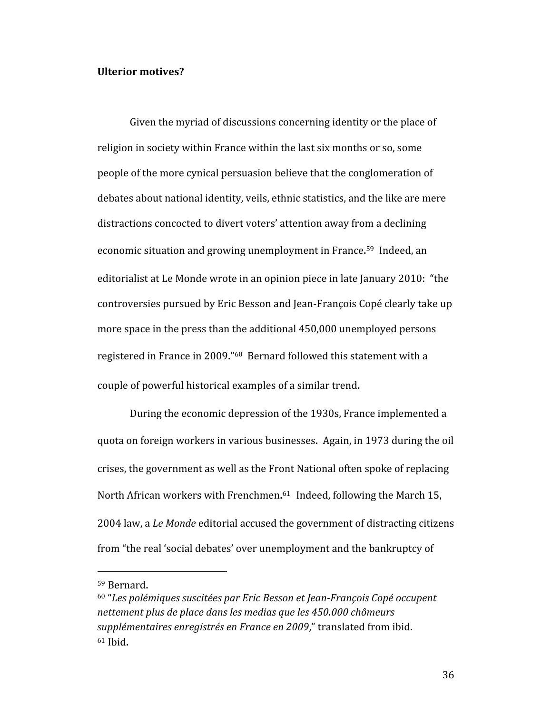#### **Ulterior motives?**

Given the myriad of discussions concerning identity or the place of religion in society within France within the last six months or so, some people of the more cynical persuasion believe that the conglomeration of debates about national identity, veils, ethnic statistics, and the like are mere distractions concocted to divert voters' attention away from a declining economic situation and growing unemployment in France.<sup>59</sup> Indeed, an editorialist at Le Monde wrote in an opinion piece in late January 2010: "the controversies pursued by Eric Besson and Jean‐François Copé clearly take up more space in the press than the additional 450,000 unemployed persons registered in France in 2009."60 Bernard followed this statement with a couple of powerful historical examples of a similar trend.

During the economic depression of the 1930s, France implemented a quota on foreign workers in various businesses. Again, in 1973 during the oil crises, the government as well as the Front National often spoke of replacing North African workers with Frenchmen.<sup>61</sup> Indeed, following the March 15, 2004 law, a *Le Monde* editorial accused the government of distracting citizens from "the real 'social debates' over unemployment and the bankruptcy of

<sup>59</sup> Bernard.

<sup>&</sup>lt;sup>60</sup> "Les polémiques suscitées par Eric Besson et Jean-François Copé occupent *nettement plus de place dans les medias que les 450.000 chômeurs supplémentaires enregistrés en France en 2009*," translated from ibid. 61 Ibid.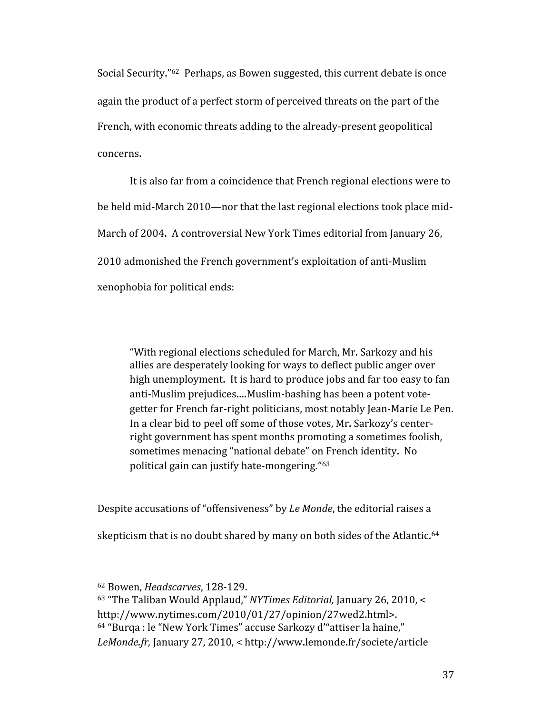Social Security."62 Perhaps, as Bowen suggested, this current debate is once again the product of a perfect storm of perceived threats on the part of the French, with economic threats adding to the already‐present geopolitical concerns.

It is also far from a coincidence that French regional elections were to be held mid-March 2010—nor that the last regional elections took place mid-March of 2004. A controversial New York Times editorial from January 26, 2010 admonished the French government's exploitation of anti‐Muslim xenophobia for political ends:

"With regional elections scheduled for March, Mr. Sarkozy and his allies are desperately looking for ways to deflect public anger over high unemployment. It is hard to produce jobs and far too easy to fan anti‐Muslim prejudices....Muslim‐bashing has been a potent vote‐ getter for French far‐right politicians, most notably Jean‐Marie Le Pen. In a clear bid to peel off some of those votes, Mr. Sarkozy's center‐ right government has spent months promoting a sometimes foolish, sometimes menacing "national debate" on French identity. No political gain can justify hate‐mongering."63

Despite accusations of "offensiveness" by *Le Monde*, the editorial raises a

skepticism that is no doubt shared by many on both sides of the Atlantic.<sup>64</sup>

<sup>62</sup> Bowen, *Headscarves*, 128‐129.

<sup>63 &</sup>quot;The Taliban Would Applaud," *NYTimes Editorial,* January 26, 2010, < http://www.nytimes.com/2010/01/27/opinion/27wed2.html>.

<sup>64 &</sup>quot;Burqa : le "New York Times" accuse Sarkozy d'"attiser la haine,"

*LeMonde.fr,* January 27, 2010, < http://www.lemonde.fr/societe/article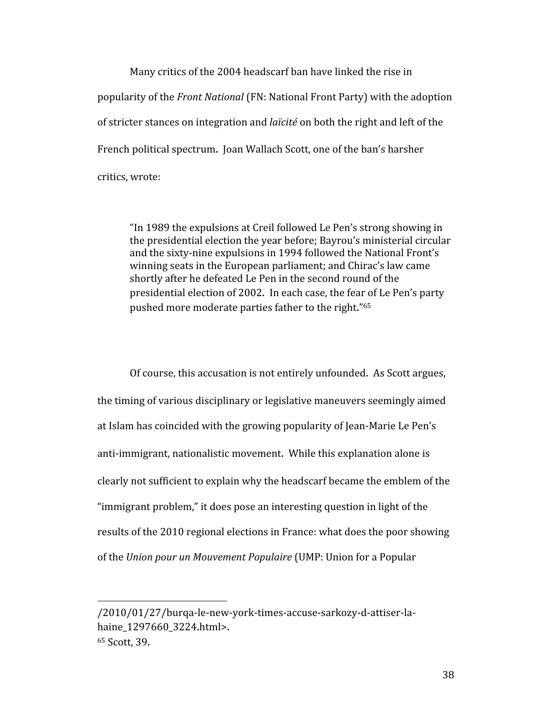Many critics of the 2004 headscarf ban have linked the rise in popularity of the *Front National* (FN: National Front Party) with the adoption of stricter stances on integration and *laïcité* on both the right and left of the French political spectrum. Joan Wallach Scott, one of the ban's harsher critics, wrote:

"In 1989 the expulsions at Creil followed Le Pen's strong showing in the presidential election the year before; Bayrou's ministerial circular and the sixty‐nine expulsions in 1994 followed the National Front's winning seats in the European parliament; and Chirac's law came shortly after he defeated Le Pen in the second round of the presidential election of 2002. In each case, the fear of Le Pen's party pushed more moderate parties father to the right."65

 Of course, this accusation is not entirely unfounded. As Scott argues, the timing of various disciplinary or legislative maneuvers seemingly aimed at Islam has coincided with the growing popularity of Jean‐Marie Le Pen's anti‐immigrant, nationalistic movement. While this explanation alone is clearly not sufficient to explain why the headscarf became the emblem of the "immigrant problem," it does pose an interesting question in light of the results of the 2010 regional elections in France: what does the poor showing of the *Union pour un Mouvement Populaire* (UMP: Union for a Popular

<sup>/2010/01/27/</sup>burqa‐le‐new‐york‐times‐accuse‐sarkozy‐d‐attiser‐la‐ haine 1297660 3224.html>. <sup>65</sup> Scott, 39.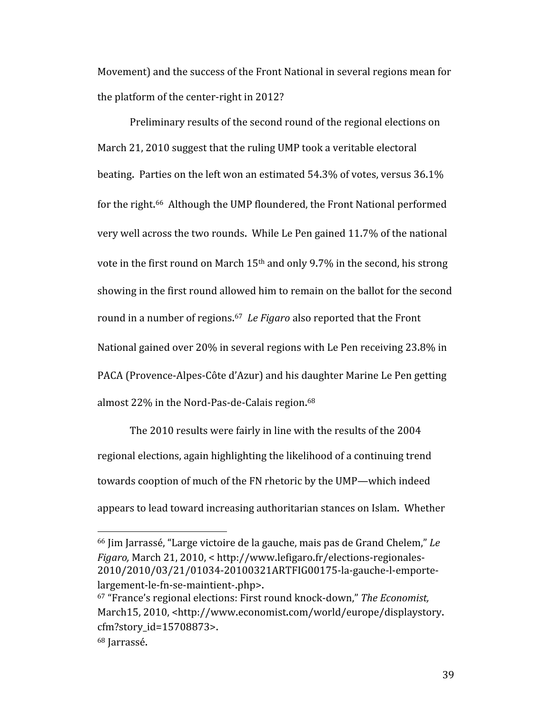Movement) and the success of the Front National in several regions mean for the platform of the center‐right in 2012?

Preliminary results of the second round of the regional elections on March 21, 2010 suggest that the ruling UMP took a veritable electoral beating. Parties on the left won an estimated 54.3% of votes, versus 36.1% for the right.<sup>66</sup> Although the UMP floundered, the Front National performed very well across the two rounds. While Le Pen gained 11.7% of the national vote in the first round on March 15th and only 9.7% in the second, his strong showing in the first round allowed him to remain on the ballot for the second round in a number of regions. <sup>67</sup> *Le Figaro* also reported that the Front National gained over 20% in several regions with Le Pen receiving 23.8% in PACA (Provence‐Alpes‐Côte d'Azur) and his daughter Marine Le Pen getting almost 22% in the Nord-Pas-de-Calais region.<sup>68</sup>

The 2010 results were fairly in line with the results of the 2004 regional elections, again highlighting the likelihood of a continuing trend towards cooption of much of the FN rhetoric by the UMP—which indeed appears to lead toward increasing authoritarian stances on Islam. Whether

<sup>66</sup> Jim Jarrassé, "Large victoire de la gauche, mais pas de Grand Chelem," *Le Figaro,* March 21, 2010, < http://www.lefigaro.fr/elections‐regionales‐ 2010/2010/03/21/01034‐20100321ARTFIG00175‐la‐gauche‐l‐emporte‐ largement‐le‐fn‐se‐maintient‐.php>.

<sup>67 &</sup>quot;France's regional elections: First round knock‐down," *The Economist,*  March15, 2010, <http://www.economist.com/world/europe/displaystory. cfm?story\_id=15708873>.

<sup>68</sup> Jarrassé.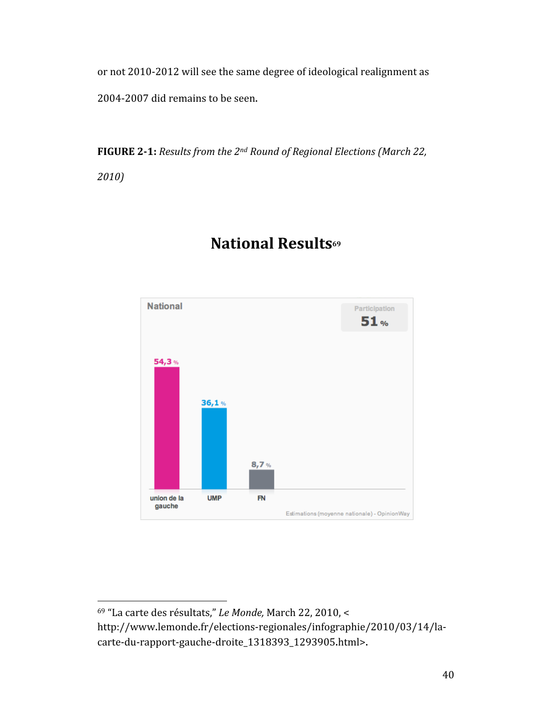or not 2010‐2012 will see the same degree of ideological realignment as 2004‐2007 did remains to be seen.

**FIGURE 21:** *Results from the 2nd Round of Regional Elections (March 22,* 

*2010)*



# **National Results69**

<sup>69 &</sup>quot;La carte des résultats," *Le Monde,* March 22, 2010, < http://www.lemonde.fr/elections‐regionales/infographie/2010/03/14/la‐ carte‐du‐rapport‐gauche‐droite\_1318393\_1293905.html>.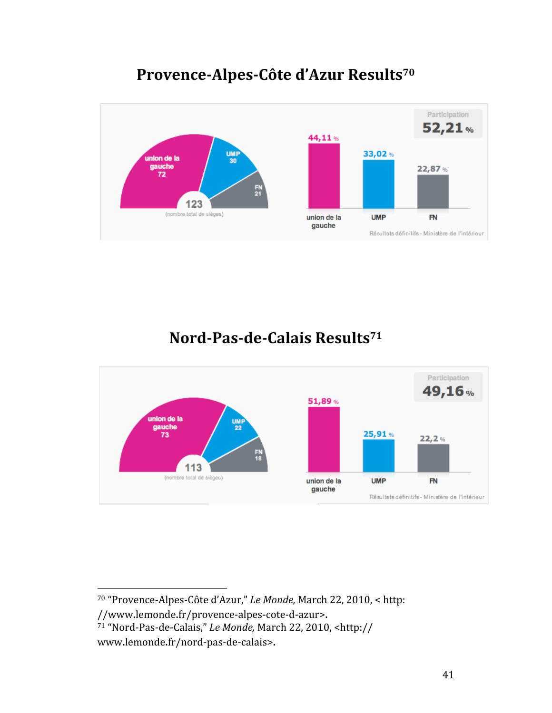# Provence-Alpes-Côte d'Azur Results<sup>70</sup>



# **Nord-Pas-de-Calais Results<sup>71</sup>**



<sup>70 &</sup>quot;Provence‐Alpes‐Côte d'Azur," *Le Monde,* March 22, 2010, < http:

<sup>//</sup>www.lemonde.fr/provence‐alpes‐cote‐d‐azur>.

<sup>71 &</sup>quot;Nord‐Pas‐de‐Calais," *Le Monde,* March 22, 2010, <http:// www.lemonde.fr/nord‐pas‐de‐calais>.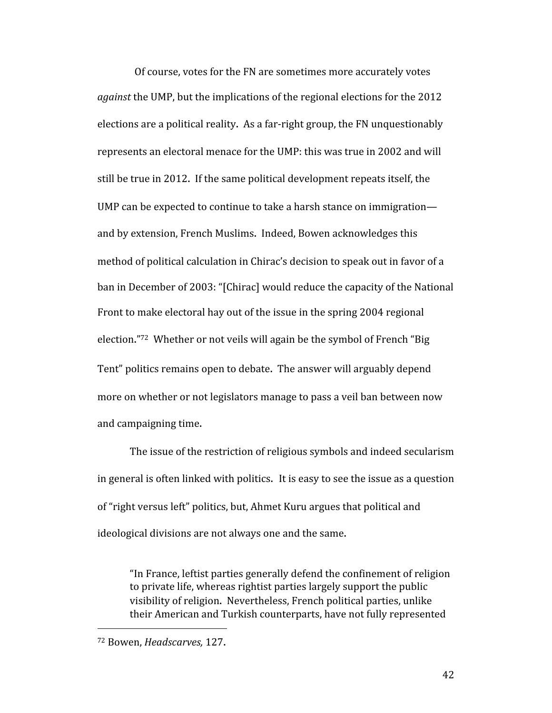Of course, votes for the FN are sometimes more accurately votes *against* the UMP, but the implications of the regional elections for the 2012 elections are a political reality. As a far‐right group, the FN unquestionably represents an electoral menace for the UMP: this was true in 2002 and will still be true in 2012. If the same political development repeats itself, the UMP can be expected to continue to take a harsh stance on immigration and by extension, French Muslims. Indeed, Bowen acknowledges this method of political calculation in Chirac's decision to speak out in favor of a ban in December of 2003: "[Chirac] would reduce the capacity of the National Front to make electoral hay out of the issue in the spring 2004 regional election."72 Whether or not veils will again be the symbol of French "Big Tent" politics remains open to debate. The answer will arguably depend more on whether or not legislators manage to pass a veil ban between now and campaigning time.

The issue of the restriction of religious symbols and indeed secularism in general is often linked with politics. It is easy to see the issue as a question of "right versus left" politics, but, Ahmet Kuru argues that political and ideological divisions are not always one and the same.

"In France, leftist parties generally defend the confinement of religion to private life, whereas rightist parties largely support the public visibility of religion. Nevertheless, French political parties, unlike their American and Turkish counterparts, have not fully represented

 72 Bowen, *Headscarves,* 127.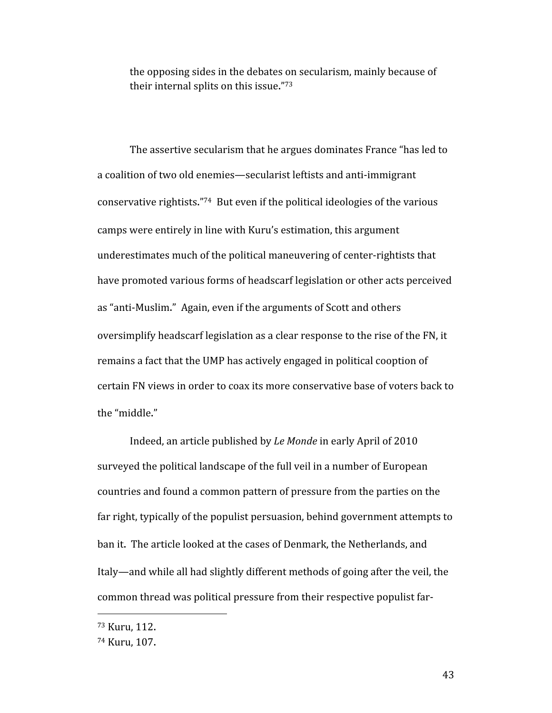the opposing sides in the debates on secularism, mainly because of their internal splits on this issue."73

The assertive secularism that he argues dominates France "has led to a coalition of two old enemies—secularist leftists and anti‐immigrant conservative rightists."74 But even if the political ideologies of the various camps were entirely in line with Kuru's estimation, this argument underestimates much of the political maneuvering of center‐rightists that have promoted various forms of headscarf legislation or other acts perceived as "anti‐Muslim." Again, even if the arguments of Scott and others oversimplify headscarf legislation as a clear response to the rise of the FN, it remains a fact that the UMP has actively engaged in political cooption of certain FN views in order to coax its more conservative base of voters back to the "middle."

Indeed, an article published by *Le Monde* in early April of 2010 surveyed the political landscape of the full veil in a number of European countries and found a common pattern of pressure from the parties on the far right, typically of the populist persuasion, behind government attempts to ban it. The article looked at the cases of Denmark, the Netherlands, and Italy—and while all had slightly different methods of going after the veil, the common thread was political pressure from their respective populist far‐

<sup>73</sup> Kuru, 112.

<sup>74</sup> Kuru, 107.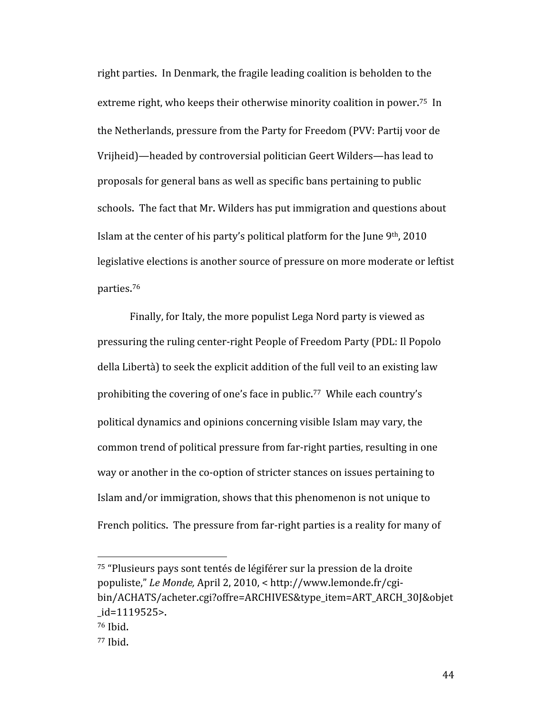right parties. In Denmark, the fragile leading coalition is beholden to the extreme right, who keeps their otherwise minority coalition in power.<sup>75</sup> In the Netherlands, pressure from the Party for Freedom (PVV: Partij voor de Vrijheid)—headed by controversial politician Geert Wilders—has lead to proposals for general bans as well as specific bans pertaining to public schools. The fact that Mr. Wilders has put immigration and questions about Islam at the center of his party's political platform for the June 9th, 2010 legislative elections is another source of pressure on more moderate or leftist parties. 76

Finally, for Italy, the more populist Lega Nord party is viewed as pressuring the ruling center‐right People of Freedom Party (PDL: Il Popolo della Libertà) to seek the explicit addition of the full veil to an existing law prohibiting the covering of one's face in public.<sup>77</sup> While each country's political dynamics and opinions concerning visible Islam may vary, the common trend of political pressure from far‐right parties, resulting in one way or another in the co-option of stricter stances on issues pertaining to Islam and/or immigration, shows that this phenomenon is not unique to French politics. The pressure from far-right parties is a reality for many of

<sup>75 &</sup>quot;Plusieurs pays sont tentés de légiférer sur la pression de la droite populiste," *Le Monde,* April 2, 2010, < http://www.lemonde.fr/cgi‐ bin/ACHATS/acheter.cgi?offre=ARCHIVES&type\_item=ART\_ARCH\_30J&objet \_id=1119525>.

<sup>76</sup> Ibid.

<sup>77</sup> Ibid.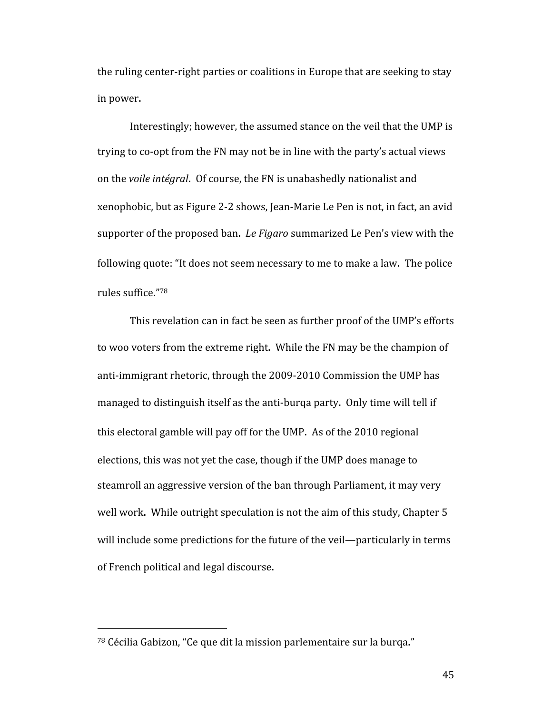the ruling center‐right parties or coalitions in Europe that are seeking to stay in power.

Interestingly; however, the assumed stance on the veil that the UMP is trying to co‐opt from the FN may not be in line with the party's actual views on the *voile intégral*. Of course, the FN is unabashedly nationalist and xenophobic, but as Figure 2‐2 shows, Jean‐Marie Le Pen is not, in fact, an avid supporter of the proposed ban. *Le Figaro* summarized Le Pen's view with the following quote: "It does not seem necessary to me to make a law. The police rules suffice."78

This revelation can in fact be seen as further proof of the UMP's efforts to woo voters from the extreme right. While the FN may be the champion of anti-immigrant rhetoric, through the 2009-2010 Commission the UMP has managed to distinguish itself as the anti-burqa party. Only time will tell if this electoral gamble will pay off for the UMP. As of the 2010 regional elections, this was not yet the case, though if the UMP does manage to steamroll an aggressive version of the ban through Parliament, it may very well work. While outright speculation is not the aim of this study, Chapter 5 will include some predictions for the future of the veil—particularly in terms of French political and legal discourse.

<sup>78</sup> Cécilia Gabizon, "Ce que dit la mission parlementaire sur la burqa."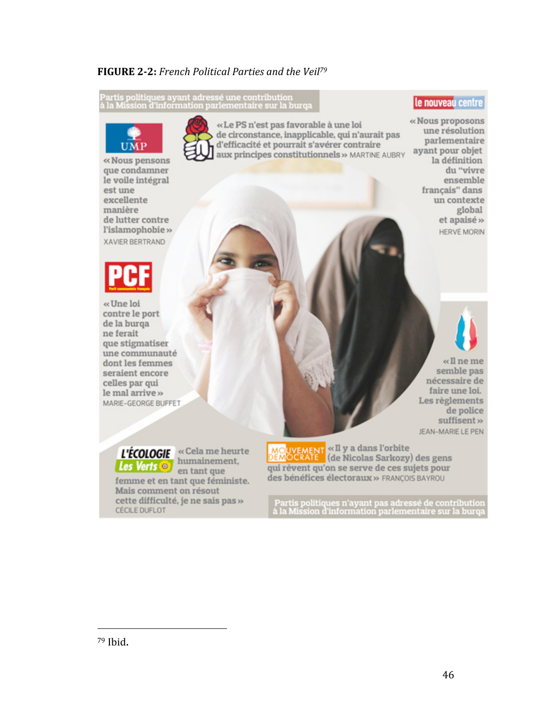### **FIGURE 22:** *French Political Parties and the Veil 79*

.<br>Partis politiques ayant adressé une contribution<br>à la Mission d'information parlementaire sur la burqa



que condamner le voile intégral est une excellente manière de lutter contre l'islamophobie» XAVIER BERTRAND



«Une loi contre le port de la burga ne ferait que stigmatiser une communauté dont les femmes seraient encore celles par qui le mal arrive » MARIE-GEORGE BUFFET

«Le PS n'est pas favorable à une loi de circonstance, inapplicable, qui n'aurait pas d'efficacité et pourrait s'avérer contraire aux principes constitutionnels » MARTINE AUBRY le nouveau centre

«Nous proposons une résolution parlementaire ayant pour objet la définition du "vivre ensemble francais" dans un contexte global et apaisé » HERVÉ MORIN



 $\ll$ Il ne me semble pas nécessaire de faire une loi. Les règlements de police suffisent » JEAN-MARIE LE PEN

Les Verts **o** 

L'ÉCOLOGIE « Cela me heurte humainement. en tant que

femme et en tant que féministe. Mais comment on résout cette difficulté, je ne sais pas » **CÉCILE DUFLOT** 

MO<mark>UVEMENT</mark> «Il y a dans l'orbite<br>DEM<mark>OCRATE"</mark> (de Nicolas Sarkozy) des gens qui rêvent qu'on se serve de ces sujets pour des bénéfices électoraux » FRANCOIS BAYROU

.<br>Partis politiques n'ayant pas adressé de contribution<br>1 la Mission d'information parlementaire sur la burqa

<sup>79</sup> Ibid.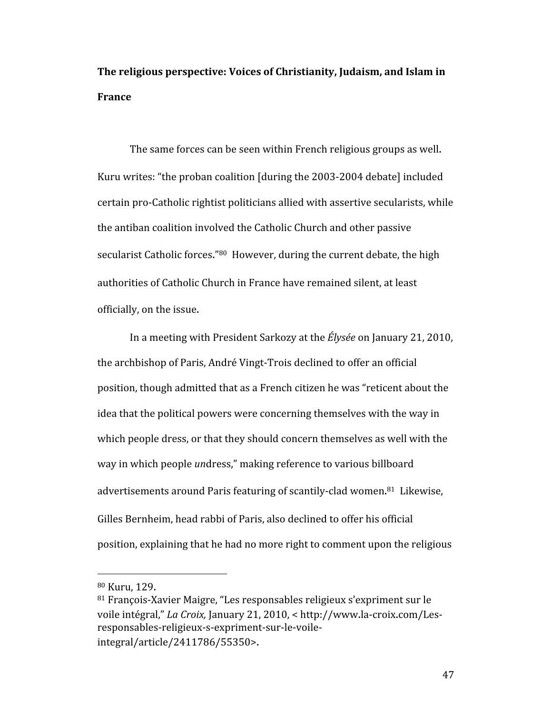**The religious perspective: Voices of Christianity, Judaism, and Islam in France**

The same forces can be seen within French religious groups as well. Kuru writes: "the proban coalition [during the 2003‐2004 debate] included certain pro‐Catholic rightist politicians allied with assertive secularists, while the antiban coalition involved the Catholic Church and other passive secularist Catholic forces."<sup>80</sup> However, during the current debate, the high authorities of Catholic Church in France have remained silent, at least officially, on the issue.

In a meeting with President Sarkozy at the *Élysée* on January 21, 2010, the archbishop of Paris, André Vingt‐Trois declined to offer an official position, though admitted that as a French citizen he was "reticent about the idea that the political powers were concerning themselves with the way in which people dress, or that they should concern themselves as well with the way in which people *un*dress," making reference to various billboard advertisements around Paris featuring of scantily-clad women.<sup>81</sup> Likewise, Gilles Bernheim, head rabbi of Paris, also declined to offer his official position, explaining that he had no more right to comment upon the religious

<sup>80</sup> Kuru, 129.

<sup>81</sup> François‐Xavier Maigre, "Les responsables religieux s'expriment sur le voile intégral," *La Croix,* January 21, 2010, < http://www.la‐croix.com/Les‐ responsables‐religieux‐s‐expriment‐sur‐le‐voile‐ integral/article/2411786/55350>.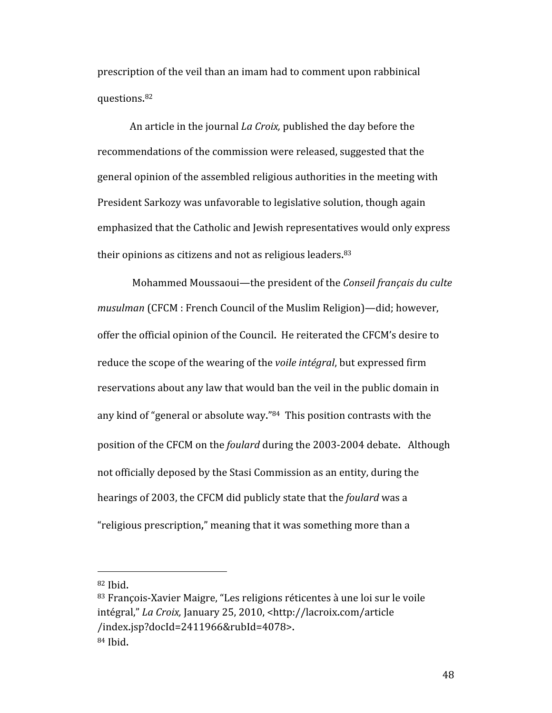prescription of the veil than an imam had to comment upon rabbinical questions. 82

An article in the journal *La Croix,* published the day before the recommendations of the commission were released, suggested that the general opinion of the assembled religious authorities in the meeting with President Sarkozy was unfavorable to legislative solution, though again emphasized that the Catholic and Jewish representatives would only express their opinions as citizens and not as religious leaders.<sup>83</sup>

 Mohammed Moussaoui—the president of the *Conseil français du culte musulman* (CFCM : French Council of the Muslim Religion)—did; however, offer the official opinion of the Council. He reiterated the CFCM's desire to reduce the scope of the wearing of the *voile intégral*, but expressed firm reservations about any law that would ban the veil in the public domain in any kind of "general or absolute way."84 This position contrasts with the position of the CFCM on the *foulard* during the 2003‐2004 debate. Although not officially deposed by the Stasi Commission as an entity, during the hearings of 2003, the CFCM did publicly state that the *foulard* was a "religious prescription," meaning that it was something more than a

<sup>82</sup> Ibid.

<sup>83</sup> François‐Xavier Maigre, "Les religions réticentes à une loi sur le voile intégral," *La Croix,* January 25, 2010, <http://lacroix.com/article /index.jsp?docId=2411966&rubId=4078>. 84 Ibid.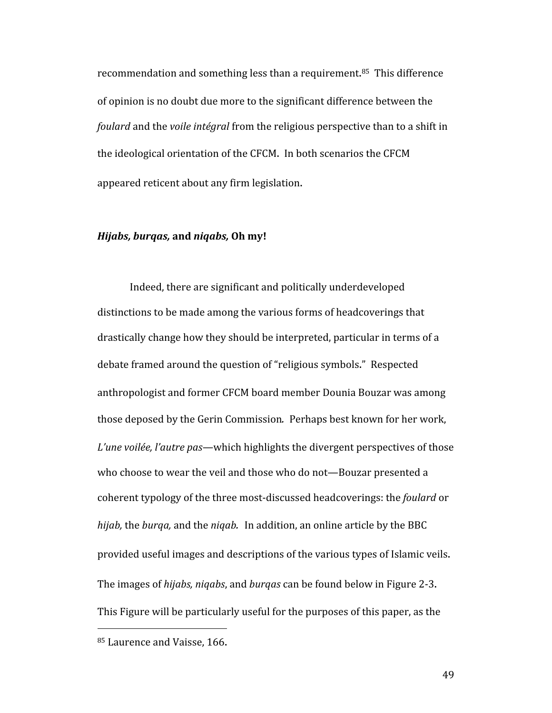recommendation and something less than a requirement.<sup>85</sup> This difference of opinion is no doubt due more to the significant difference between the *foulard* and the *voile intégral* from the religious perspective than to a shift in the ideological orientation of the CFCM. In both scenarios the CFCM appeared reticent about any firm legislation.

#### *Hijabs, burqas,* **and** *niqabs,* **Oh my!**

Indeed, there are significant and politically underdeveloped distinctions to be made among the various forms of headcoverings that drastically change how they should be interpreted, particular in terms of a debate framed around the question of "religious symbols." Respected anthropologist and former CFCM board member Dounia Bouzar was among those deposed by the Gerin Commission*.* Perhaps best known for her work, *L'une voilée, l'autre pas—*which highlights the divergent perspectives of those who choose to wear the veil and those who do not—Bouzar presented a coherent typology of the three most‐discussed headcoverings: the *foulard* or *hijab,* the *burqa,* and the *niqab.* In addition, an online article by the BBC provided useful images and descriptions of the various types of Islamic veils. The images of *hijabs, niqabs*, and *burqas* can be found below in Figure 2‐3. This Figure will be particularly useful for the purposes of this paper, as the

 85 Laurence and Vaisse, 166.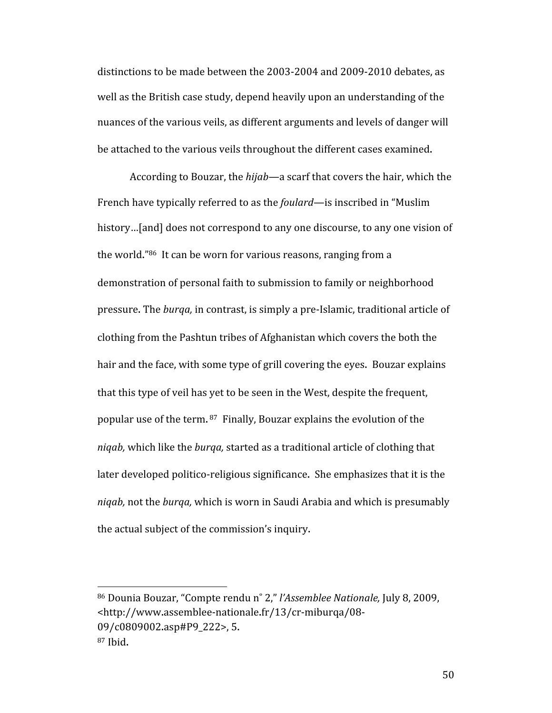distinctions to be made between the 2003‐2004 and 2009‐2010 debates, as well as the British case study, depend heavily upon an understanding of the nuances of the various veils, as different arguments and levels of danger will be attached to the various veils throughout the different cases examined.

According to Bouzar, the *hijab—*a scarf that covers the hair, which the French have typically referred to as the *foulard*—is inscribed in "Muslim history...[and] does not correspond to any one discourse, to any one vision of the world."86 It can be worn for various reasons, ranging from a demonstration of personal faith to submission to family or neighborhood pressure. The *burqa,* in contrast, is simply a pre‐Islamic, traditional article of clothing from the Pashtun tribes of Afghanistan which covers the both the hair and the face, with some type of grill covering the eyes. Bouzar explains that this type of veil has yet to be seen in the West, despite the frequent, popular use of the term. 87 Finally, Bouzar explains the evolution of the *niqab,* which like the *burqa,* started as a traditional article of clothing that later developed politico-religious significance. She emphasizes that it is the *niqab,* not the *burqa,* which is worn in Saudi Arabia and which is presumably the actual subject of the commission's inquiry.

<sup>86</sup> Dounia Bouzar, "Compte rendu n˚ 2," *l'Assemblee Nationale,* July 8, 2009, <http://www.assemblee‐nationale.fr/13/cr‐miburqa/08‐ 09/c0809002.asp#P9\_222>, 5. 87 Ibid.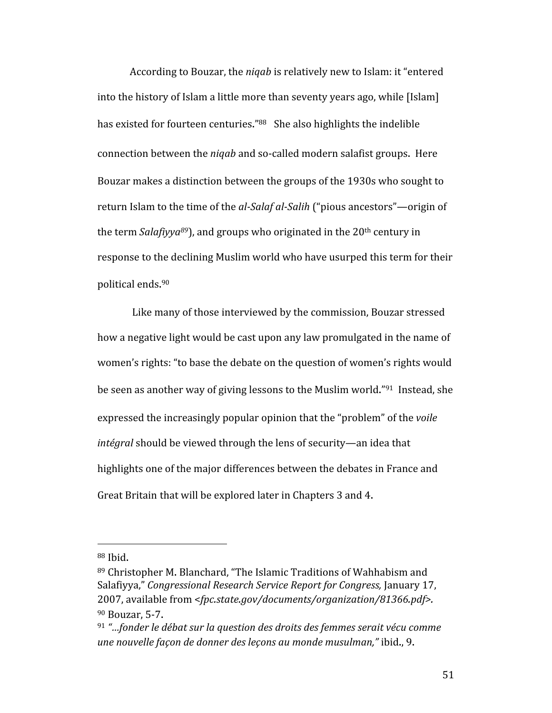According to Bouzar, the *niqab* is relatively new to Islam: it "entered into the history of Islam a little more than seventy years ago, while [Islam] has existed for fourteen centuries."<sup>88</sup> She also highlights the indelible connection between the *niqab* and so-called modern salafist groups. Here Bouzar makes a distinction between the groups of the 1930s who sought to return Islam to the time of the *al-Salaf al-Salih* ("pious ancestors"—origin of the term *Salafiyya<sup>89</sup>*), and groups who originated in the 20<sup>th</sup> century in response to the declining Muslim world who have usurped this term for their political ends. 90

 Like many of those interviewed by the commission, Bouzar stressed how a negative light would be cast upon any law promulgated in the name of women's rights: "to base the debate on the question of women's rights would be seen as another way of giving lessons to the Muslim world."91 Instead, she expressed the increasingly popular opinion that the "problem" of the *voile intégral* should be viewed through the lens of security—an idea that highlights one of the major differences between the debates in France and Great Britain that will be explored later in Chapters 3 and 4.

<sup>88</sup> Ibid.

<sup>89</sup> Christopher M. Blanchard, "The Islamic Traditions of Wahhabism and Salafiyya," *Congressional Research Service Report for Congress,* January 17, 2007, available from <*fpc.state.gov/documents/organization/81366.pdf>.* 90 Bouzar, 5‐7.

<sup>91</sup> *"…fonder le débat sur la question des droits des femmes serait vécu comme une nouvelle façon de donner des leçons au monde musulman,"* ibid., 9.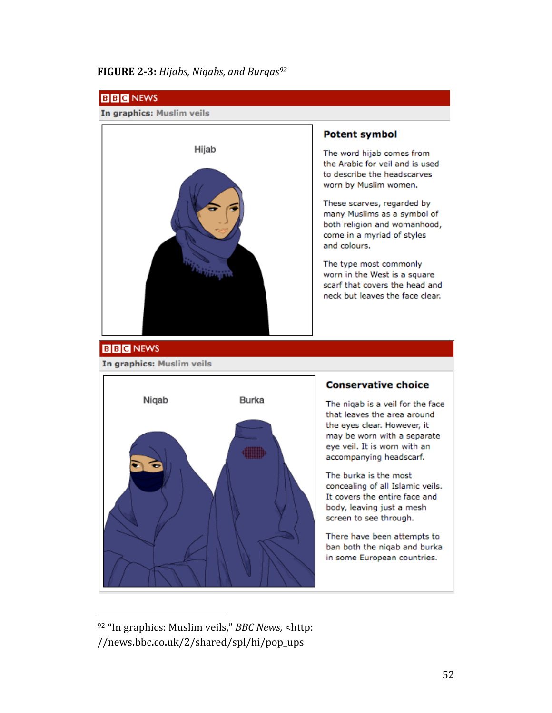### **FIGURE 23:** *Hijabs, Niqabs, and Burqas92*



<sup>92 &</sup>quot;In graphics: Muslim veils," *BBC News,* <http: //news.bbc.co.uk/2/shared/spl/hi/pop\_ups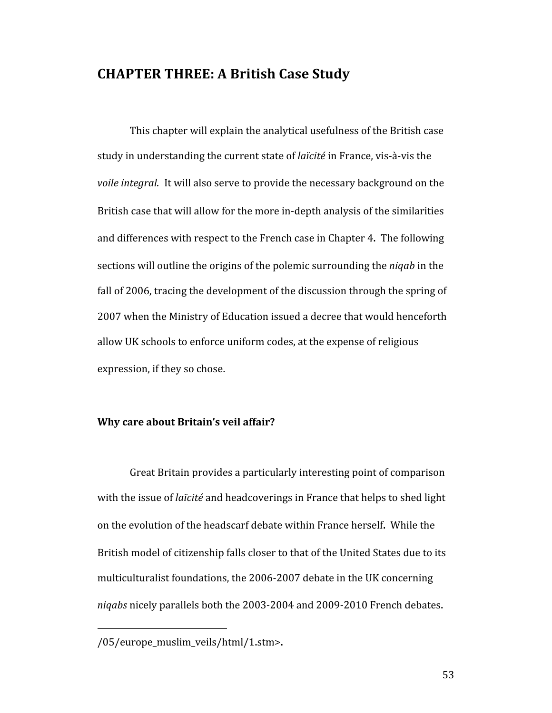## **CHAPTER THREE: A British Case Study**

This chapter will explain the analytical usefulness of the British case study in understanding the current state of *laïcité* in France, vis‐à‐vis the *voile integral.* It will also serve to provide the necessary background on the British case that will allow for the more in‐depth analysis of the similarities and differences with respect to the French case in Chapter 4. The following sections will outline the origins of the polemic surrounding the *niqab* in the fall of 2006, tracing the development of the discussion through the spring of 2007 when the Ministry of Education issued a decree that would henceforth allow UK schools to enforce uniform codes, at the expense of religious expression, if they so chose.

#### **Why care about Britain's veil affair?**

Great Britain provides a particularly interesting point of comparison with the issue of *laïcité* and headcoverings in France that helps to shed light on the evolution of the headscarf debate within France herself. While the British model of citizenship falls closer to that of the United States due to its multiculturalist foundations, the 2006‐2007 debate in the UK concerning *niqabs* nicely parallels both the 2003‐2004 and 2009‐2010 French debates.

<sup>/05/</sup>europe\_muslim\_veils/html/1.stm>.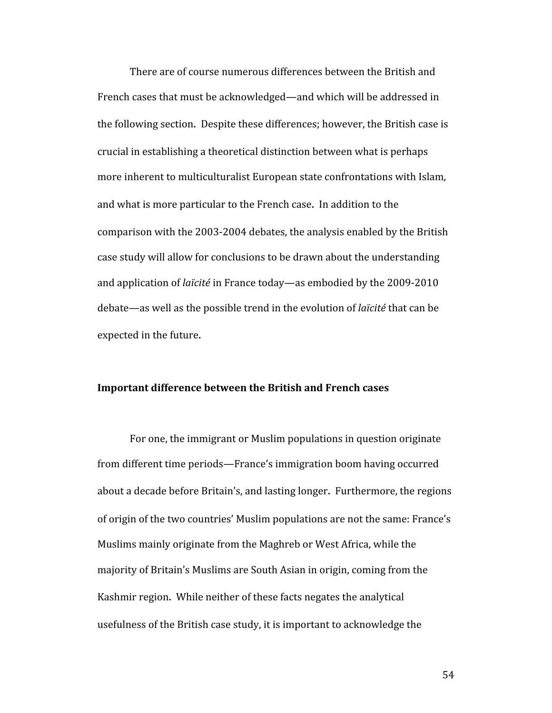There are of course numerous differences between the British and French cases that must be acknowledged—and which will be addressed in the following section. Despite these differences; however, the British case is crucial in establishing a theoretical distinction between what is perhaps more inherent to multiculturalist European state confrontations with Islam, and what is more particular to the French case. In addition to the comparison with the 2003‐2004 debates, the analysis enabled by the British case study will allow for conclusions to be drawn about the understanding and application of *laïcité* in France today—as embodied by the 2009‐2010 debate—as well as the possible trend in the evolution of *laïcité* that can be expected in the future.

### **Important difference between the British and French cases**

For one, the immigrant or Muslim populations in question originate from different time periods—France's immigration boom having occurred about a decade before Britain's, and lasting longer. Furthermore, the regions of origin of the two countries' Muslim populations are not the same: France's Muslims mainly originate from the Maghreb or West Africa, while the majority of Britain's Muslims are South Asian in origin, coming from the Kashmir region. While neither of these facts negates the analytical usefulness of the British case study, it is important to acknowledge the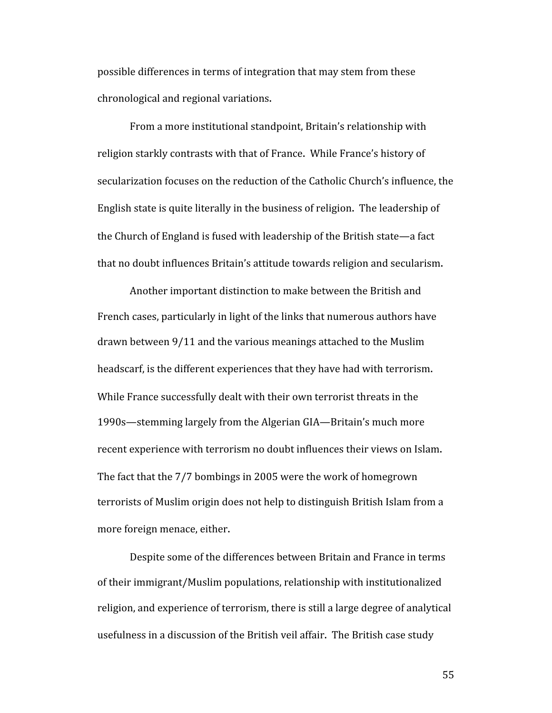possible differences in terms of integration that may stem from these chronological and regional variations.

From a more institutional standpoint, Britain's relationship with religion starkly contrasts with that of France. While France's history of secularization focuses on the reduction of the Catholic Church's influence, the English state is quite literally in the business of religion. The leadership of the Church of England is fused with leadership of the British state—a fact that no doubt influences Britain's attitude towards religion and secularism.

Another important distinction to make between the British and French cases, particularly in light of the links that numerous authors have drawn between 9/11 and the various meanings attached to the Muslim headscarf, is the different experiences that they have had with terrorism. While France successfully dealt with their own terrorist threats in the 1990s—stemming largely from the Algerian GIA—Britain's much more recent experience with terrorism no doubt influences their views on Islam. The fact that the 7/7 bombings in 2005 were the work of homegrown terrorists of Muslim origin does not help to distinguish British Islam from a more foreign menace, either.

Despite some of the differences between Britain and France in terms of their immigrant/Muslim populations, relationship with institutionalized religion, and experience of terrorism, there is still a large degree of analytical usefulness in a discussion of the British veil affair. The British case study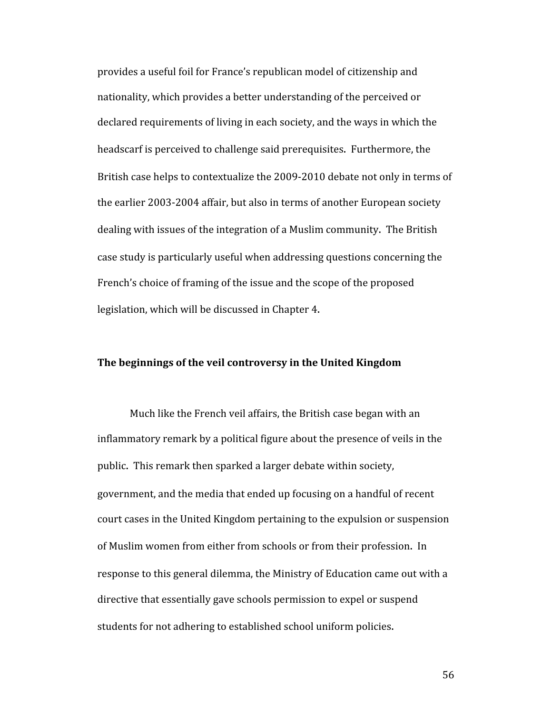provides a useful foil for France's republican model of citizenship and nationality, which provides a better understanding of the perceived or declared requirements of living in each society, and the ways in which the headscarf is perceived to challenge said prerequisites. Furthermore, the British case helps to contextualize the 2009‐2010 debate not only in terms of the earlier 2003‐2004 affair, but also in terms of another European society dealing with issues of the integration of a Muslim community. The British case study is particularly useful when addressing questions concerning the French's choice of framing of the issue and the scope of the proposed legislation, which will be discussed in Chapter 4.

#### **The beginnings of the veil controversy in the United Kingdom**

Much like the French veil affairs, the British case began with an inflammatory remark by a political figure about the presence of veils in the public. This remark then sparked a larger debate within society, government, and the media that ended up focusing on a handful of recent court cases in the United Kingdom pertaining to the expulsion or suspension of Muslim women from either from schools or from their profession. In response to this general dilemma, the Ministry of Education came out with a directive that essentially gave schools permission to expel or suspend students for not adhering to established school uniform policies.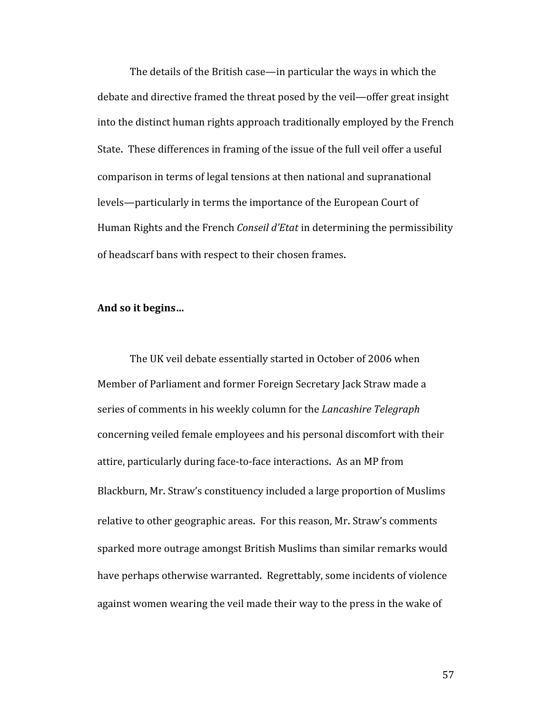The details of the British case—in particular the ways in which the debate and directive framed the threat posed by the veil—offer great insight into the distinct human rights approach traditionally employed by the French State. These differences in framing of the issue of the full veil offer a useful comparison in terms of legal tensions at then national and supranational levels—particularly in terms the importance of the European Court of Human Rights and the French *Conseil d'Etat* in determining the permissibility of headscarf bans with respect to their chosen frames.

#### **And so it begins…**

The UK veil debate essentially started in October of 2006 when Member of Parliament and former Foreign Secretary Jack Straw made a series of comments in his weekly column for the *Lancashire Telegraph* concerning veiled female employees and his personal discomfort with their attire, particularly during face‐to‐face interactions. As an MP from Blackburn, Mr. Straw's constituency included a large proportion of Muslims relative to other geographic areas. For this reason, Mr. Straw's comments sparked more outrage amongst British Muslims than similar remarks would have perhaps otherwise warranted. Regrettably, some incidents of violence against women wearing the veil made their way to the press in the wake of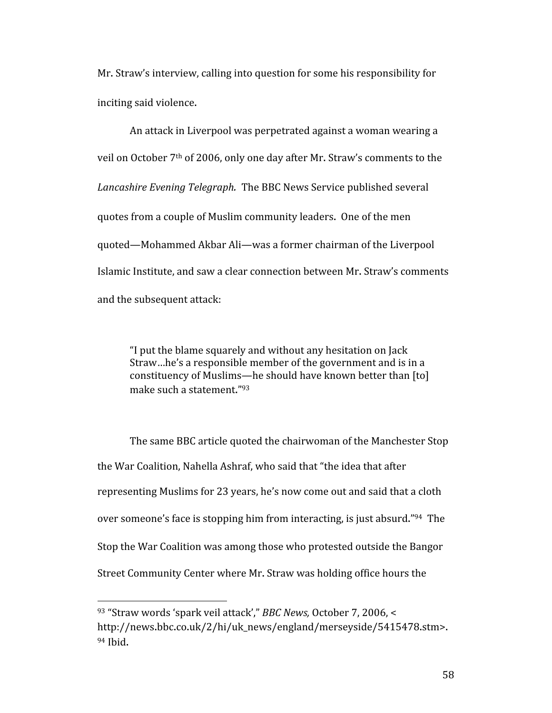Mr. Straw's interview, calling into question for some his responsibility for inciting said violence.

An attack in Liverpool was perpetrated against a woman wearing a veil on October 7th of 2006, only one day after Mr. Straw's comments to the *Lancashire Evening Telegraph.* The BBC News Service published several quotes from a couple of Muslim community leaders. One of the men quoted—Mohammed Akbar Ali—was a former chairman of the Liverpool Islamic Institute, and saw a clear connection between Mr. Straw's comments and the subsequent attack:

"I put the blame squarely and without any hesitation on Jack Straw…he's a responsible member of the government and is in a constituency of Muslims—he should have known better than [to] make such a statement."93

The same BBC article quoted the chairwoman of the Manchester Stop the War Coalition, Nahella Ashraf, who said that "the idea that after representing Muslims for 23 years, he's now come out and said that a cloth over someone's face is stopping him from interacting, is just absurd."94 The Stop the War Coalition was among those who protested outside the Bangor Street Community Center where Mr. Straw was holding office hours the

<sup>93 &</sup>quot;Straw words 'spark veil attack'," *BBC News,* October 7, 2006, < http://news.bbc.co.uk/2/hi/uk\_news/england/merseyside/5415478.stm>. 94 Ibid.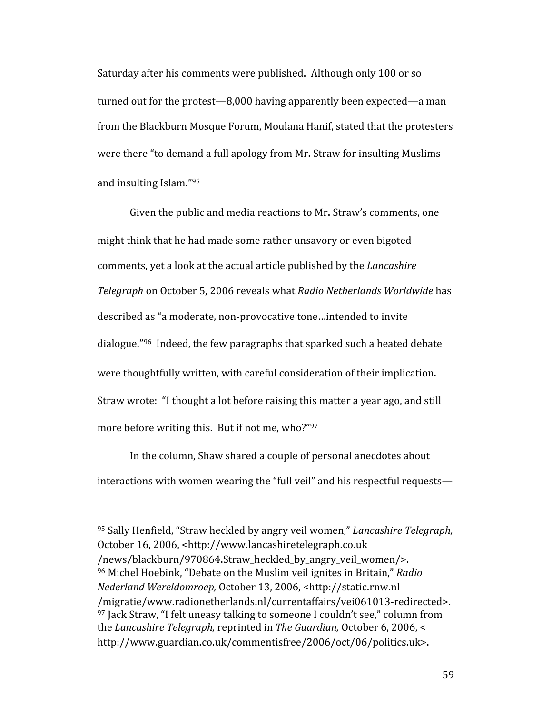Saturday after his comments were published. Although only 100 or so turned out for the protest—8,000 having apparently been expected—a man from the Blackburn Mosque Forum, Moulana Hanif, stated that the protesters were there "to demand a full apology from Mr. Straw for insulting Muslims and insulting Islam."95

Given the public and media reactions to Mr. Straw's comments, one might think that he had made some rather unsavory or even bigoted comments, yet a look at the actual article published by the *Lancashire Telegraph* on October 5, 2006 reveals what *Radio Netherlands Worldwide* has described as "a moderate, non‐provocative tone…intended to invite dialogue."96 Indeed, the few paragraphs that sparked such a heated debate were thoughtfully written, with careful consideration of their implication. Straw wrote: "I thought a lot before raising this matter a year ago, and still more before writing this. But if not me, who?"97

In the column, Shaw shared a couple of personal anecdotes about interactions with women wearing the "full veil" and his respectful requests—

<sup>95</sup> Sally Henfield, "Straw heckled by angry veil women," *Lancashire Telegraph,* October 16, 2006, <http://www.lancashiretelegraph.co.uk /news/blackburn/970864.Straw\_heckled\_by\_angry\_veil\_women/>. 96 Michel Hoebink, "Debate on the Muslim veil ignites in Britain," *Radio Nederland Wereldomroep,* October 13, 2006, <http://static.rnw.nl /migratie/www.radionetherlands.nl/currentaffairs/vei061013‐redirected>.  $97$  Jack Straw, "I felt uneasy talking to someone I couldn't see," column from the *Lancashire Telegraph,* reprinted in *The Guardian,* October 6, 2006, < http://www.guardian.co.uk/commentisfree/2006/oct/06/politics.uk>.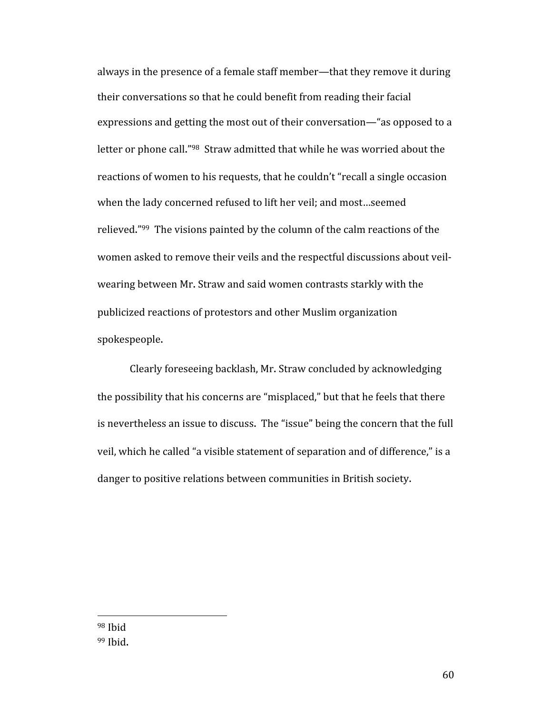always in the presence of a female staff member—that they remove it during their conversations so that he could benefit from reading their facial expressions and getting the most out of their conversation—"as opposed to a letter or phone call."98 Straw admitted that while he was worried about the reactions of women to his requests, that he couldn't "recall a single occasion when the lady concerned refused to lift her veil; and most…seemed relieved."99 The visions painted by the column of the calm reactions of the women asked to remove their veils and the respectful discussions about veil‐ wearing between Mr. Straw and said women contrasts starkly with the publicized reactions of protestors and other Muslim organization spokespeople.

Clearly foreseeing backlash, Mr. Straw concluded by acknowledging the possibility that his concerns are "misplaced," but that he feels that there is nevertheless an issue to discuss. The "issue" being the concern that the full veil, which he called "a visible statement of separation and of difference," is a danger to positive relations between communities in British society.

98 Ibid 99 Ibid.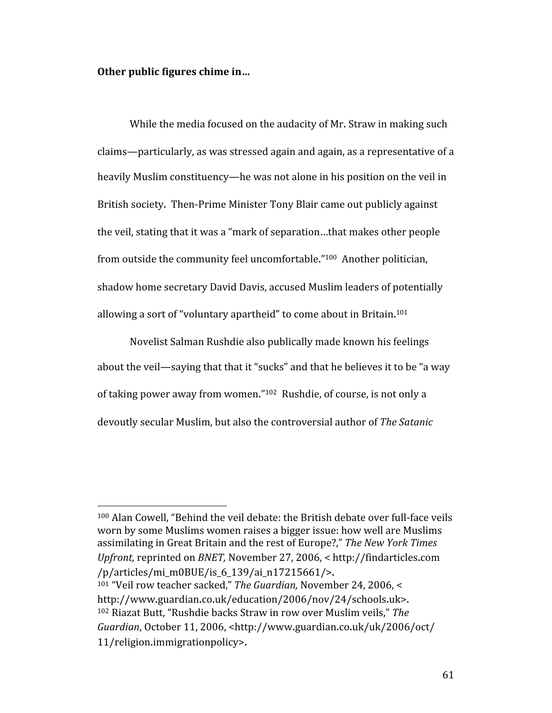#### **Other public figures chime in…**

While the media focused on the audacity of Mr. Straw in making such claims—particularly, as was stressed again and again, as a representative of a heavily Muslim constituency—he was not alone in his position on the veil in British society. Then‐Prime Minister Tony Blair came out publicly against the veil, stating that it was a "mark of separation…that makes other people from outside the community feel uncomfortable."100 Another politician, shadow home secretary David Davis, accused Muslim leaders of potentially allowing a sort of "voluntary apartheid" to come about in Britain.<sup>101</sup>

Novelist Salman Rushdie also publically made known his feelings about the veil—saying that that it "sucks" and that he believes it to be "a way of taking power away from women."102 Rushdie, of course, is not only a devoutly secular Muslim, but also the controversial author of *The Satanic* 

100 Alan Cowell, "Behind the veil debate: the British debate over full-face veils worn by some Muslims women raises a bigger issue: how well are Muslims assimilating in Great Britain and the rest of Europe?," *The New York Times Upfront,* reprinted on *BNET,* November 27, 2006, < http://findarticles.com /p/articles/mi\_m0BUE/is\_6\_139/ai\_n17215661/>.

<sup>101 &</sup>quot;Veil row teacher sacked," *The Guardian,* November 24, 2006, < http://www.guardian.co.uk/education/2006/nov/24/schools.uk>. 102 Riazat Butt, "Rushdie backs Straw in row over Muslim veils," *The Guardian*, October 11, 2006, <http://www.guardian.co.uk/uk/2006/oct/ 11/religion.immigrationpolicy>.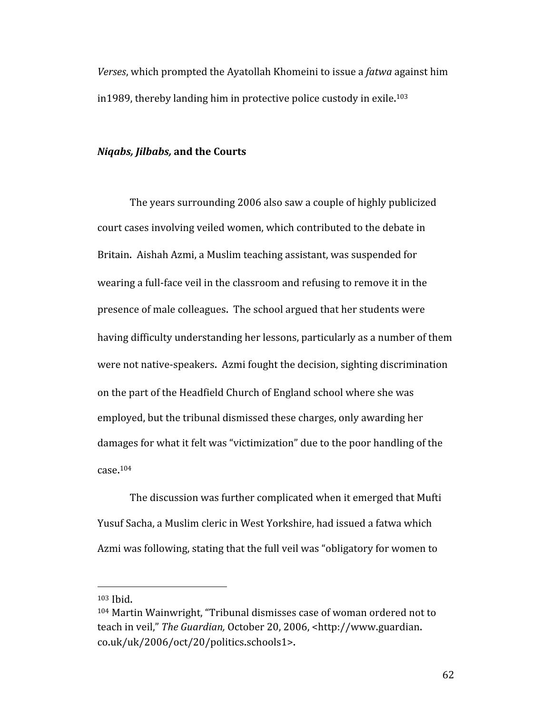*Verses*, which prompted the Ayatollah Khomeini to issue a *fatwa* against him in1989, thereby landing him in protective police custody in exile. 103

#### *Niqabs, Jilbabs,* **and the Courts**

The years surrounding 2006 also saw a couple of highly publicized court cases involving veiled women, which contributed to the debate in Britain. Aishah Azmi, a Muslim teaching assistant, was suspended for wearing a full‐face veil in the classroom and refusing to remove it in the presence of male colleagues. The school argued that her students were having difficulty understanding her lessons, particularly as a number of them were not native-speakers. Azmi fought the decision, sighting discrimination on the part of the Headfield Church of England school where she was employed, but the tribunal dismissed these charges, only awarding her damages for what it felt was "victimization" due to the poor handling of the case. 104

The discussion was further complicated when it emerged that Mufti Yusuf Sacha, a Muslim cleric in West Yorkshire, had issued a fatwa which Azmi was following, stating that the full veil was "obligatory for women to

<sup>103</sup> Ibid.

<sup>104</sup> Martin Wainwright, "Tribunal dismisses case of woman ordered not to teach in veil," *The Guardian,* October 20, 2006, <http://www.guardian. co.uk/uk/2006/oct/20/politics.schools1>.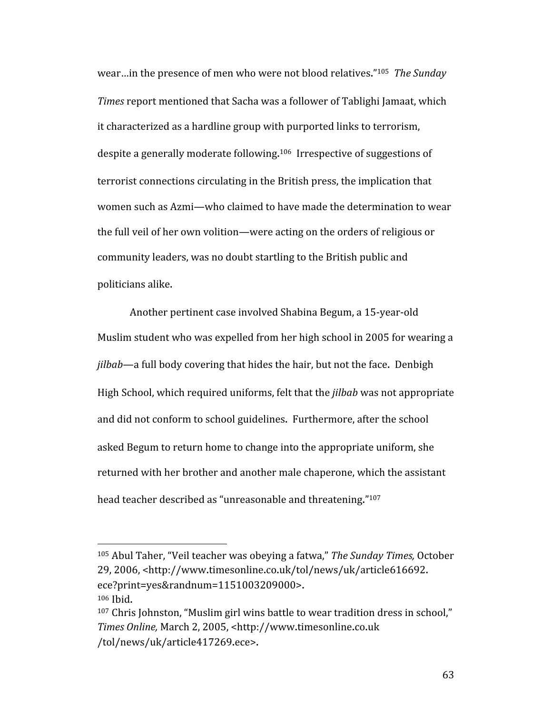wear…in the presence of men who were not blood relatives."105 *The Sunday Times* report mentioned that Sacha was a follower of Tablighi Jamaat, which it characterized as a hardline group with purported links to terrorism, despite a generally moderate following.<sup>106</sup> Irrespective of suggestions of terrorist connections circulating in the British press, the implication that women such as Azmi—who claimed to have made the determination to wear the full veil of her own volition—were acting on the orders of religious or community leaders, was no doubt startling to the British public and politicians alike.

Another pertinent case involved Shabina Begum, a 15‐year‐old Muslim student who was expelled from her high school in 2005 for wearing a *jilbab*—a full body covering that hides the hair, but not the face. Denbigh High School, which required uniforms, felt that the *jilbab* was not appropriate and did not conform to school guidelines. Furthermore, after the school asked Begum to return home to change into the appropriate uniform, she returned with her brother and another male chaperone, which the assistant head teacher described as "unreasonable and threatening."107

<sup>105</sup> Abul Taher, "Veil teacher was obeying a fatwa," *The Sunday Times,* October 29, 2006, <http://www.timesonline.co.uk/tol/news/uk/article616692. ece?print=yes&randnum=1151003209000>. 106 Ibid.

<sup>107</sup> Chris Johnston, "Muslim girl wins battle to wear tradition dress in school," *Times Online,* March 2, 2005, <http://www.timesonline.co.uk /tol/news/uk/article417269.ece>.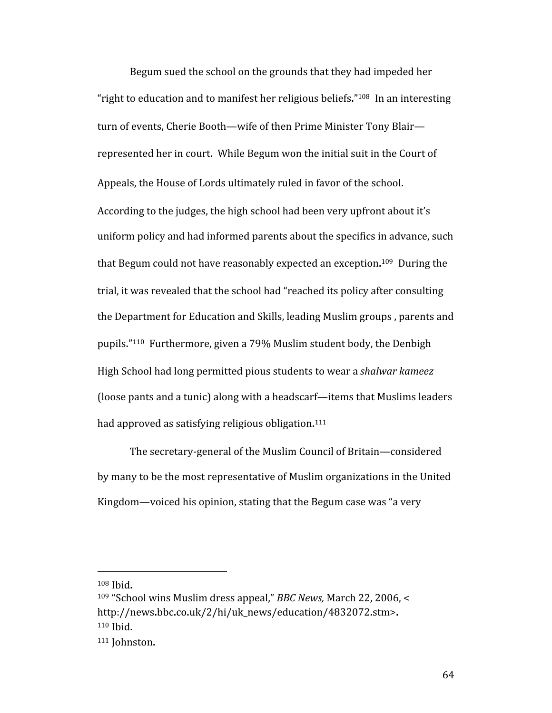Begum sued the school on the grounds that they had impeded her "right to education and to manifest her religious beliefs."<sup>108</sup> In an interesting turn of events, Cherie Booth—wife of then Prime Minister Tony Blair represented her in court. While Begum won the initial suit in the Court of Appeals, the House of Lords ultimately ruled in favor of the school. According to the judges, the high school had been very upfront about it's uniform policy and had informed parents about the specifics in advance, such that Begum could not have reasonably expected an exception.<sup>109</sup> During the trial, it was revealed that the school had "reached its policy after consulting the Department for Education and Skills, leading Muslim groups , parents and pupils."110 Furthermore, given a 79% Muslim student body, the Denbigh High School had long permitted pious students to wear a *shalwar kameez*  (loose pants and a tunic) along with a headscarf—items that Muslims leaders had approved as satisfying religious obligation.<sup>111</sup>

The secretary‐general of the Muslim Council of Britain—considered by many to be the most representative of Muslim organizations in the United Kingdom—voiced his opinion, stating that the Begum case was "a very

<sup>108</sup> Ibid.

<sup>109 &</sup>quot;School wins Muslim dress appeal," *BBC News,* March 22, 2006, < http://news.bbc.co.uk/2/hi/uk\_news/education/4832072.stm>. 110 Ibid.

<sup>&</sup>lt;sup>111</sup> Johnston.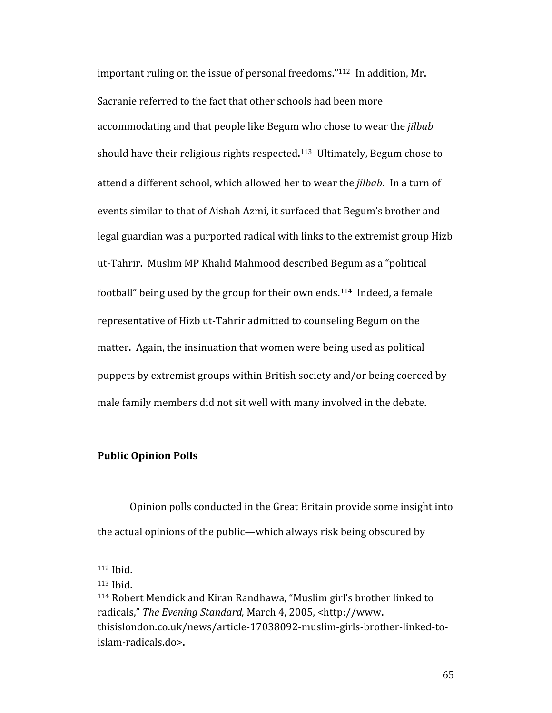important ruling on the issue of personal freedoms."112 In addition, Mr. Sacranie referred to the fact that other schools had been more accommodating and that people like Begum who chose to wear the *jilbab* should have their religious rights respected. 113 Ultimately, Begum chose to attend a different school, which allowed her to wear the *jilbab*. In a turn of events similar to that of Aishah Azmi, it surfaced that Begum's brother and legal guardian was a purported radical with links to the extremist group Hizb ut‐Tahrir. Muslim MP Khalid Mahmood described Begum as a "political football" being used by the group for their own ends.<sup>114</sup> Indeed, a female representative of Hizb ut‐Tahrir admitted to counseling Begum on the matter. Again, the insinuation that women were being used as political puppets by extremist groups within British society and/or being coerced by male family members did not sit well with many involved in the debate.

#### **Public Opinion Polls**

Opinion polls conducted in the Great Britain provide some insight into the actual opinions of the public—which always risk being obscured by

<sup>112</sup> Ibid.

<sup>113</sup> Ibid.

<sup>114</sup> Robert Mendick and Kiran Randhawa, "Muslim girl's brother linked to radicals," *The Evening Standard,* March 4, 2005, <http://www. thisislondon.co.uk/news/article‐17038092‐muslim‐girls‐brother‐linked‐to‐ islam‐radicals.do>.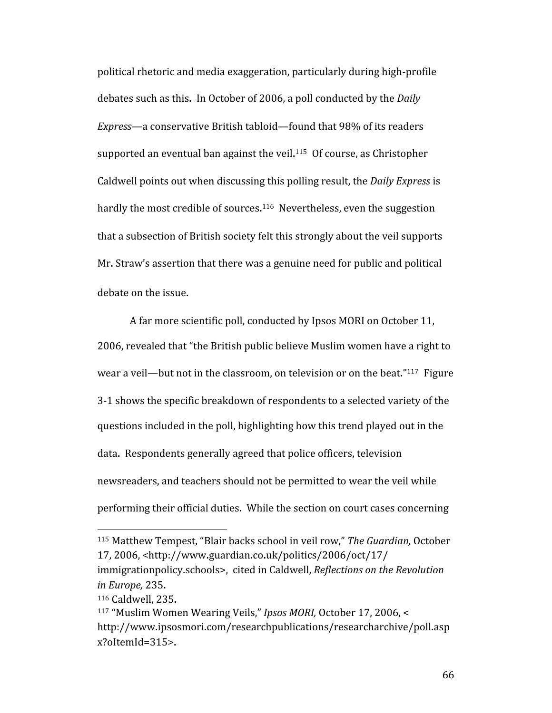political rhetoric and media exaggeration, particularly during high‐profile debates such as this. In October of 2006, a poll conducted by the *Daily Express*—a conservative British tabloid—found that 98% of its readers supported an eventual ban against the veil.<sup>115</sup> Of course, as Christopher Caldwell points out when discussing this polling result, the *Daily Express* is hardly the most credible of sources.<sup>116</sup> Nevertheless, even the suggestion that a subsection of British society felt this strongly about the veil supports Mr. Straw's assertion that there was a genuine need for public and political debate on the issue.

A far more scientific poll, conducted by Ipsos MORI on October 11, 2006, revealed that "the British public believe Muslim women have a right to wear a veil—but not in the classroom, on television or on the beat."<sup>117</sup> Figure 3‐1 shows the specific breakdown of respondents to a selected variety of the questions included in the poll, highlighting how this trend played out in the data. Respondents generally agreed that police officers, television newsreaders, and teachers should not be permitted to wear the veil while performing their official duties. While the section on court cases concerning

<sup>115</sup> Matthew Tempest, "Blair backs school in veil row," *The Guardian,* October 17, 2006, <http://www.guardian.co.uk/politics/2006/oct/17/ immigrationpolicy.schools>, cited in Caldwell, *Reflections on the Revolution in Europe,* 235.

<sup>116</sup> Caldwell, 235.

<sup>117 &</sup>quot;Muslim Women Wearing Veils," *Ipsos MORI,* October 17, 2006, < http://www.ipsosmori.com/researchpublications/researcharchive/poll.asp x?oItemId=315>.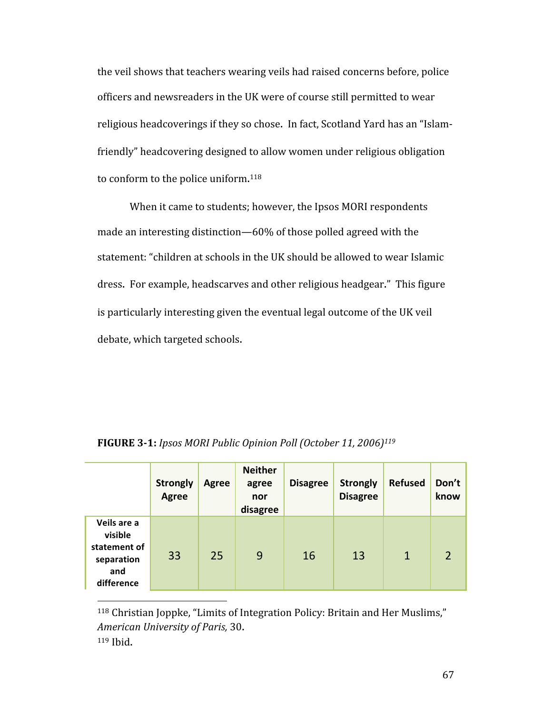the veil shows that teachers wearing veils had raised concerns before, police officers and newsreaders in the UK were of course still permitted to wear religious headcoverings if they so chose. In fact, Scotland Yard has an "Islam‐ friendly" headcovering designed to allow women under religious obligation to conform to the police uniform.<sup>118</sup>

When it came to students; however, the Ipsos MORI respondents made an interesting distinction—60% of those polled agreed with the statement: "children at schools in the UK should be allowed to wear Islamic dress. For example, headscarves and other religious headgear." This figure is particularly interesting given the eventual legal outcome of the UK veil debate, which targeted schools.

|                                                                           | <b>Strongly</b><br><b>Agree</b> | <b>Agree</b> | <b>Neither</b><br>agree<br>nor<br>disagree | <b>Disagree</b> | <b>Strongly</b><br><b>Disagree</b> | <b>Refused</b> | Don't<br>know  |
|---------------------------------------------------------------------------|---------------------------------|--------------|--------------------------------------------|-----------------|------------------------------------|----------------|----------------|
| Veils are a<br>visible<br>statement of<br>separation<br>and<br>difference | 33                              | 25           | 9                                          | 16              | 13                                 | $\mathbf 1$    | $\overline{2}$ |

**FIGURE 31:** *Ipsos MORI Public Opinion Poll (October 11, 2006)119*

118 Christian Joppke, "Limits of Integration Policy: Britain and Her Muslims," *American University of Paris,* 30. 119 Ibid.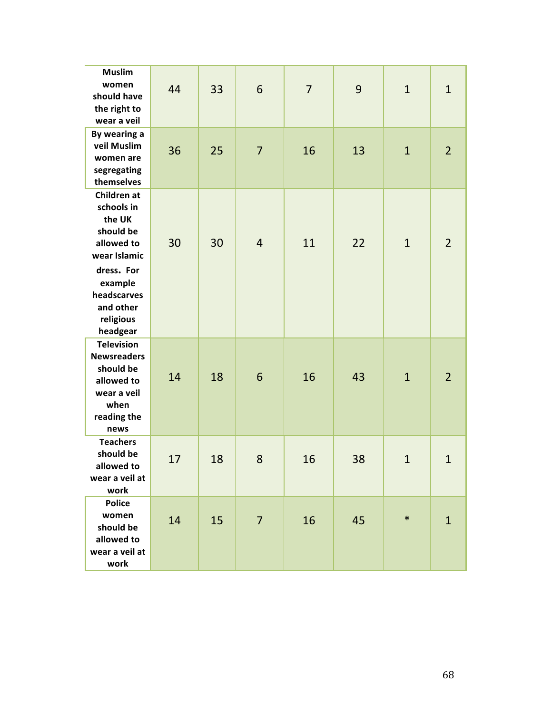| <b>Muslim</b><br>women<br>should have<br>the right to<br>wear a veil                                                                                         | 44 | 33 | 6              | $\overline{7}$ | 9  | $\mathbf{1}$ | $\mathbf{1}$   |
|--------------------------------------------------------------------------------------------------------------------------------------------------------------|----|----|----------------|----------------|----|--------------|----------------|
| By wearing a<br>veil Muslim<br>women are<br>segregating<br>themselves                                                                                        | 36 | 25 | $\overline{7}$ | 16             | 13 | $\mathbf{1}$ | $\overline{2}$ |
| Children at<br>schools in<br>the UK<br>should be<br>allowed to<br>wear Islamic<br>dress. For<br>example<br>headscarves<br>and other<br>religious<br>headgear | 30 | 30 | $\overline{4}$ | 11             | 22 | $\mathbf{1}$ | $\overline{2}$ |
| <b>Television</b><br><b>Newsreaders</b><br>should be<br>allowed to<br>wear a veil<br>when<br>reading the<br>news                                             | 14 | 18 | 6              | 16             | 43 | $\mathbf{1}$ | $\overline{2}$ |
| <b>Teachers</b><br>should be<br>allowed to<br>wear a veil at<br>work                                                                                         | 17 | 18 | 8              | 16             | 38 | $\mathbf{1}$ | $\mathbf{1}$   |
| <b>Police</b><br>women<br>should be<br>allowed to<br>wear a veil at<br>work                                                                                  | 14 | 15 | $\overline{7}$ | 16             | 45 | $\ast$       | $\mathbf{1}$   |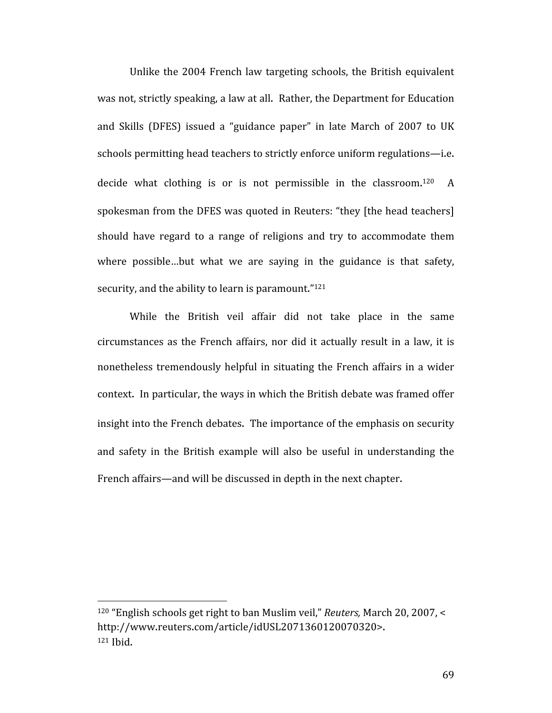Unlike the 2004 French law targeting schools, the British equivalent was not, strictly speaking, a law at all. Rather, the Department for Education and Skills (DFES) issued a "guidance paper" in late March of 2007 to UK schools permitting head teachers to strictly enforce uniform regulations—i.e. decide what clothing is or is not permissible in the classroom.<sup>120</sup> A spokesman from the DFES was quoted in Reuters: "they [the head teachers] should have regard to a range of religions and try to accommodate them where possible...but what we are saying in the guidance is that safety, security, and the ability to learn is paramount."<sup>121</sup>

While the British veil affair did not take place in the same circumstances as the French affairs, nor did it actually result in a law, it is nonetheless tremendously helpful in situating the French affairs in a wider context. In particular, the ways in which the British debate was framed offer insight into the French debates. The importance of the emphasis on security and safety in the British example will also be useful in understanding the French affairs—and will be discussed in depth in the next chapter.

<sup>120 &</sup>quot;English schools get right to ban Muslim veil," *Reuters,* March 20, 2007, < http://www.reuters.com/article/idUSL2071360120070320>. 121 Ibid.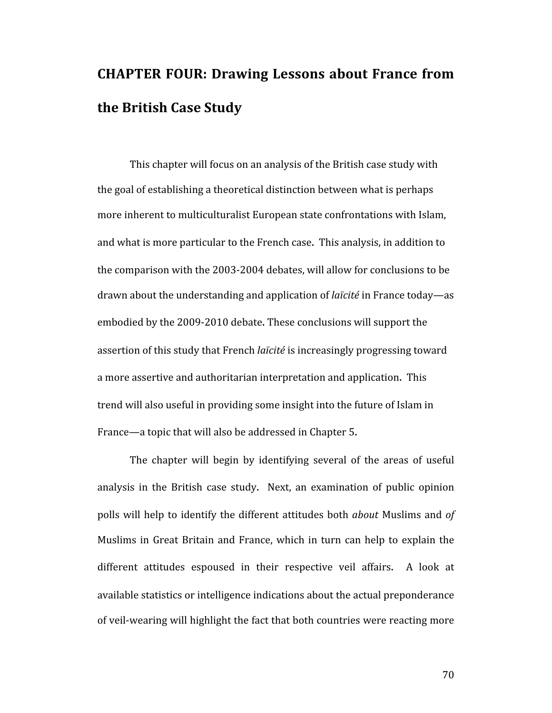# **CHAPTER FOUR: Drawing Lessons about France from the British Case Study**

This chapter will focus on an analysis of the British case study with the goal of establishing a theoretical distinction between what is perhaps more inherent to multiculturalist European state confrontations with Islam, and what is more particular to the French case. This analysis, in addition to the comparison with the 2003‐2004 debates, will allow for conclusions to be drawn about the understanding and application of *laïcité* in France today—as embodied by the 2009‐2010 debate. These conclusions will support the assertion of this study that French *laïcité* is increasingly progressing toward a more assertive and authoritarian interpretation and application. This trend will also useful in providing some insight into the future of Islam in France—a topic that will also be addressed in Chapter 5.

The chapter will begin by identifying several of the areas of useful analysis in the British case study. Next, an examination of public opinion polls will help to identify the different attitudes both *about* Muslims and *of*  Muslims in Great Britain and France, which in turn can help to explain the different attitudes espoused in their respective veil affairs. A look at available statistics or intelligence indications about the actual preponderance of veil‐wearing will highlight the fact that both countries were reacting more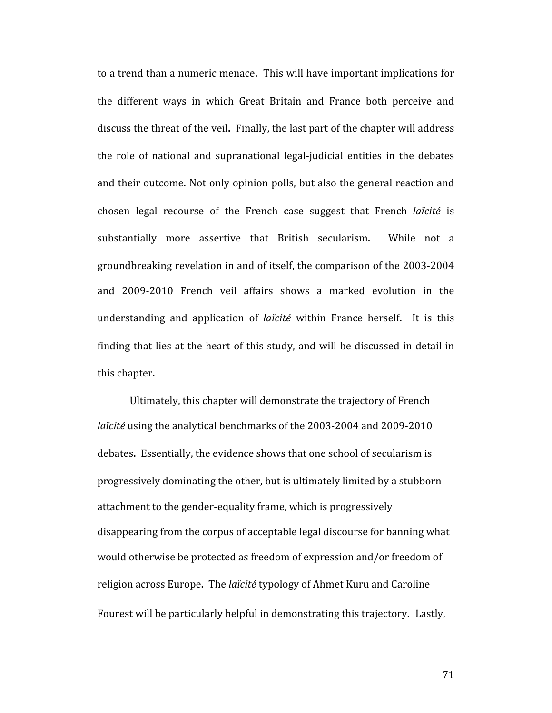to a trend than a numeric menace. This will have important implications for the different ways in which Great Britain and France both perceive and discuss the threat of the veil. Finally, the last part of the chapter will address the role of national and supranational legal‐judicial entities in the debates and their outcome. Not only opinion polls, but also the general reaction and chosen legal recourse of the French case suggest that French *laïcité* is substantially more assertive that British secularism. While not a groundbreaking revelation in and of itself, the comparison of the 2003‐2004 and 2009‐2010 French veil affairs shows a marked evolution in the understanding and application of *laïcité* within France herself. It is this finding that lies at the heart of this study, and will be discussed in detail in this chapter.

Ultimately, this chapter will demonstrate the trajectory of French *laïcité* using the analytical benchmarks of the 2003‐2004 and 2009‐2010 debates. Essentially, the evidence shows that one school of secularism is progressively dominating the other, but is ultimately limited by a stubborn attachment to the gender‐equality frame, which is progressively disappearing from the corpus of acceptable legal discourse for banning what would otherwise be protected as freedom of expression and/or freedom of religion across Europe. The *laïcité* typology of Ahmet Kuru and Caroline Fourest will be particularly helpful in demonstrating this trajectory. Lastly,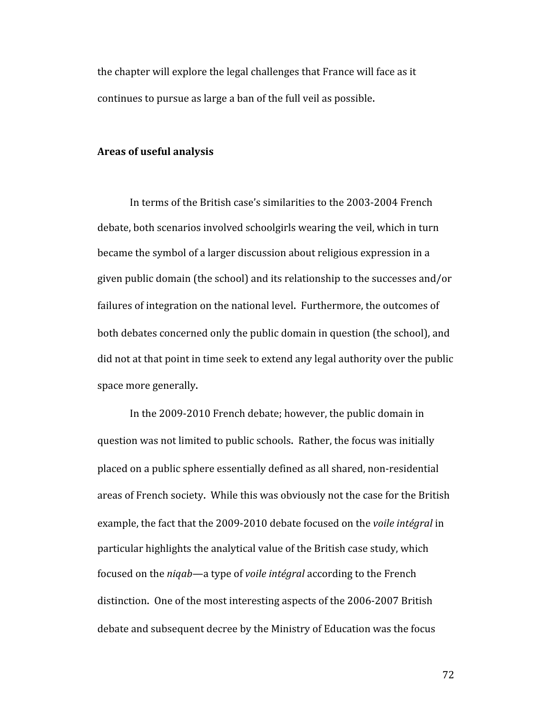the chapter will explore the legal challenges that France will face as it continues to pursue as large a ban of the full veil as possible.

#### **Areas of useful analysis**

In terms of the British case's similarities to the 2003‐2004 French debate, both scenarios involved schoolgirls wearing the veil, which in turn became the symbol of a larger discussion about religious expression in a given public domain (the school) and its relationship to the successes and/or failures of integration on the national level. Furthermore, the outcomes of both debates concerned only the public domain in question (the school), and did not at that point in time seek to extend any legal authority over the public space more generally.

In the 2009‐2010 French debate; however, the public domain in question was not limited to public schools. Rather, the focus was initially placed on a public sphere essentially defined as all shared, non‐residential areas of French society. While this was obviously not the case for the British example, the fact that the 2009‐2010 debate focused on the *voile intégral* in particular highlights the analytical value of the British case study, which focused on the *niqab*—a type of *voile intégral* according to the French distinction. One of the most interesting aspects of the 2006‐2007 British debate and subsequent decree by the Ministry of Education was the focus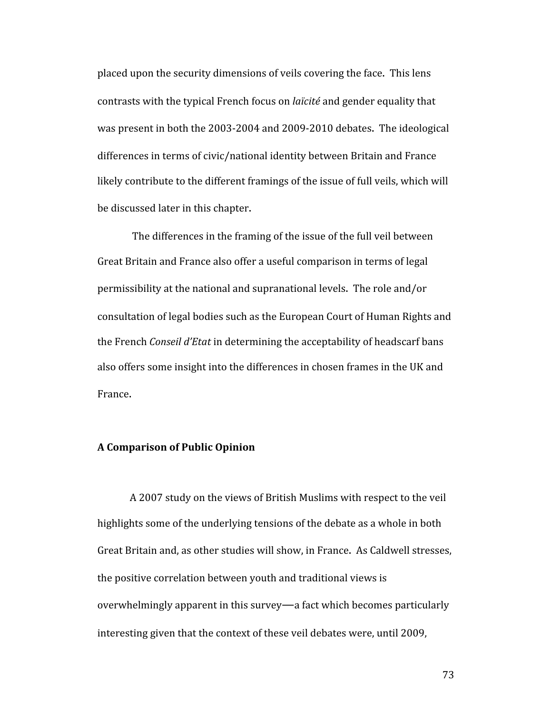placed upon the security dimensions of veils covering the face. This lens contrasts with the typical French focus on *laïcité* and gender equality that was present in both the 2003‐2004 and 2009‐2010 debates. The ideological differences in terms of civic/national identity between Britain and France likely contribute to the different framings of the issue of full veils, which will be discussed later in this chapter.

 The differences in the framing of the issue of the full veil between Great Britain and France also offer a useful comparison in terms of legal permissibility at the national and supranational levels. The role and/or consultation of legal bodies such as the European Court of Human Rights and the French *Conseil d'Etat* in determining the acceptability of headscarf bans also offers some insight into the differences in chosen frames in the UK and France.

# **A Comparison of Public Opinion**

A 2007 study on the views of British Muslims with respect to the veil highlights some of the underlying tensions of the debate as a whole in both Great Britain and, as other studies will show, in France. As Caldwell stresses, the positive correlation between youth and traditional views is overwhelmingly apparent in this survey—a fact which becomes particularly interesting given that the context of these veil debates were, until 2009,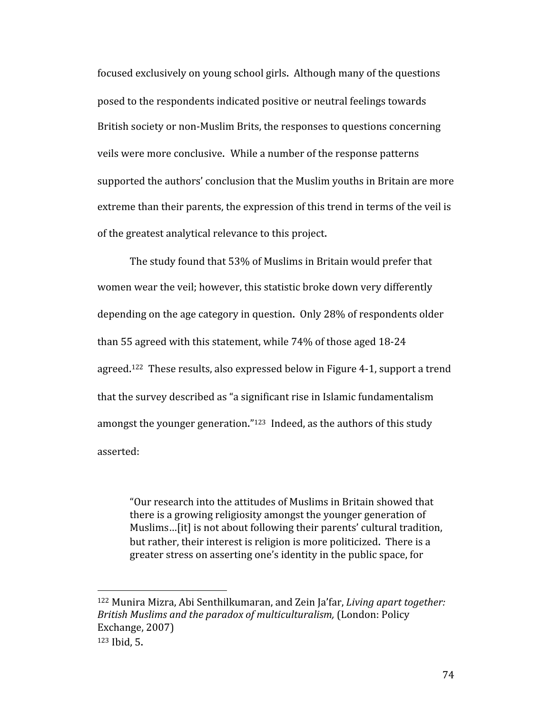focused exclusively on young school girls. Although many of the questions posed to the respondents indicated positive or neutral feelings towards British society or non‐Muslim Brits, the responses to questions concerning veils were more conclusive. While a number of the response patterns supported the authors' conclusion that the Muslim youths in Britain are more extreme than their parents, the expression of this trend in terms of the veil is of the greatest analytical relevance to this project.

The study found that 53% of Muslims in Britain would prefer that women wear the veil; however, this statistic broke down very differently depending on the age category in question. Only 28% of respondents older than 55 agreed with this statement, while 74% of those aged 18‐24 agreed.<sup>122</sup> These results, also expressed below in Figure 4-1, support a trend that the survey described as "a significant rise in Islamic fundamentalism amongst the younger generation."<sup>123</sup> Indeed, as the authors of this study asserted:

"Our research into the attitudes of Muslims in Britain showed that there is a growing religiosity amongst the younger generation of Muslims…[it] is not about following their parents' cultural tradition, but rather, their interest is religion is more politicized. There is a greater stress on asserting one's identity in the public space, for

<sup>122</sup> Munira Mizra, Abi Senthilkumaran, and Zein Ja'far, *Living apart together: British Muslims and the paradox of multiculturalism,* (London: Policy Exchange, 2007) 123 Ibid, 5.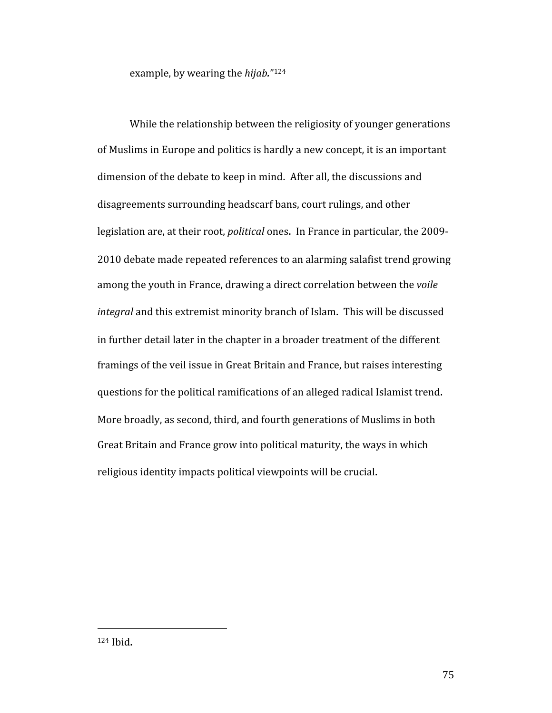example, by wearing the *hijab.*"124

While the relationship between the religiosity of younger generations of Muslims in Europe and politics is hardly a new concept, it is an important dimension of the debate to keep in mind. After all, the discussions and disagreements surrounding headscarf bans, court rulings, and other legislation are, at their root, *political* ones. In France in particular, the 2009‐ 2010 debate made repeated references to an alarming salafist trend growing among the youth in France, drawing a direct correlation between the *voile integral* and this extremist minority branch of Islam. This will be discussed in further detail later in the chapter in a broader treatment of the different framings of the veil issue in Great Britain and France, but raises interesting questions for the political ramifications of an alleged radical Islamist trend. More broadly, as second, third, and fourth generations of Muslims in both Great Britain and France grow into political maturity, the ways in which religious identity impacts political viewpoints will be crucial.

<sup>124</sup> Ibid.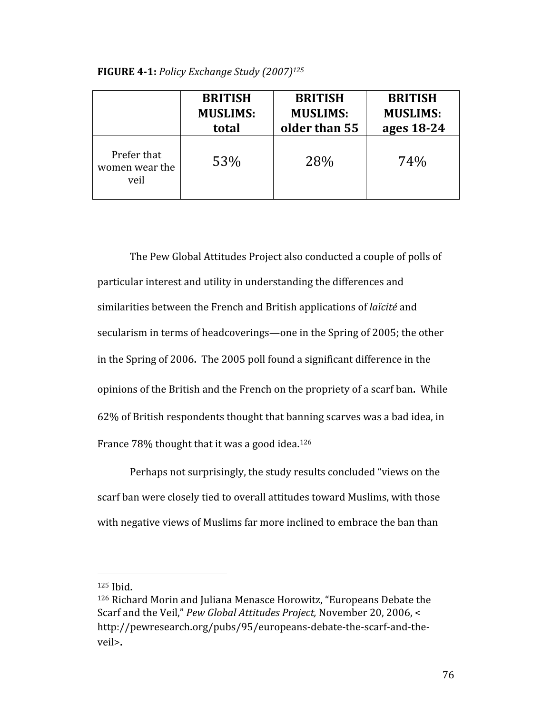| FIGURE 4-1: Policy Exchange Study (2007) <sup>125</sup> |  |  |  |
|---------------------------------------------------------|--|--|--|
|---------------------------------------------------------|--|--|--|

|                                       | <b>BRITISH</b>  | <b>BRITISH</b>  | <b>BRITISH</b>  |
|---------------------------------------|-----------------|-----------------|-----------------|
|                                       | <b>MUSLIMS:</b> | <b>MUSLIMS:</b> | <b>MUSLIMS:</b> |
|                                       | total           | older than 55   | ages 18-24      |
| Prefer that<br>women wear the<br>veil | 53%             | 28%             | 74%             |

The Pew Global Attitudes Project also conducted a couple of polls of particular interest and utility in understanding the differences and similarities between the French and British applications of *laïcité* and secularism in terms of headcoverings—one in the Spring of 2005; the other in the Spring of 2006. The 2005 poll found a significant difference in the opinions of the British and the French on the propriety of a scarf ban. While 62% of British respondents thought that banning scarves was a bad idea, in France 78% thought that it was a good idea.<sup>126</sup>

Perhaps not surprisingly, the study results concluded "views on the scarf ban were closely tied to overall attitudes toward Muslims, with those with negative views of Muslims far more inclined to embrace the ban than

 $125$  Ibid.

<sup>126</sup> Richard Morin and Juliana Menasce Horowitz, "Europeans Debate the Scarf and the Veil," *Pew Global Attitudes Project,* November 20, 2006, < http://pewresearch.org/pubs/95/europeans‐debate‐the‐scarf‐and‐the‐ veil>.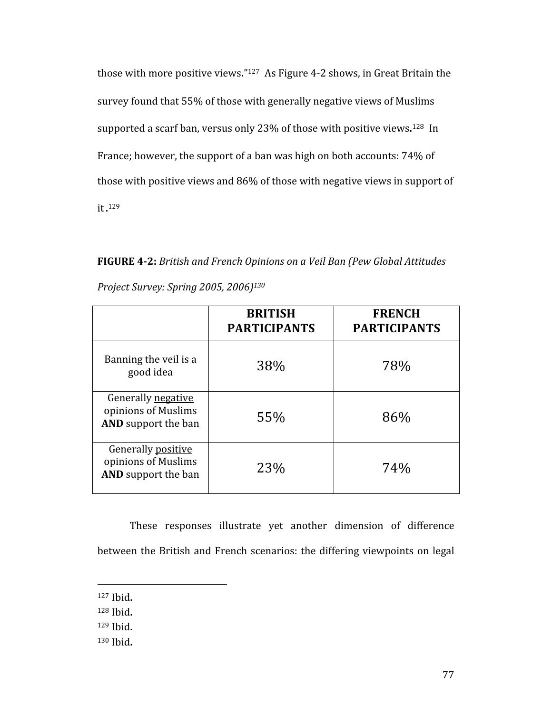those with more positive views."<sup>127</sup> As Figure 4-2 shows, in Great Britain the survey found that 55% of those with generally negative views of Muslims supported a scarf ban, versus only 23% of those with positive views.<sup>128</sup> In France; however, the support of a ban was high on both accounts: 74% of those with positive views and 86% of those with negative views in support of it. 129

**FIGURE 42:** *British and French Opinions on a Veil Ban (Pew Global Attitudes Project Survey: Spring 2005, 2006)130*

|                                                                         | <b>BRITISH</b><br><b>PARTICIPANTS</b> | <b>FRENCH</b><br><b>PARTICIPANTS</b> |
|-------------------------------------------------------------------------|---------------------------------------|--------------------------------------|
| Banning the veil is a<br>good idea                                      | 38%                                   | 78%                                  |
| Generally negative<br>opinions of Muslims<br><b>AND</b> support the ban | 55%                                   | 86%                                  |
| Generally positive<br>opinions of Muslims<br><b>AND</b> support the ban | 23%                                   | 74%                                  |

These responses illustrate yet another dimension of difference between the British and French scenarios: the differing viewpoints on legal

<sup>127</sup> Ibid.

<sup>128</sup> Ibid.

<sup>129</sup> Ibid.

<sup>130</sup> Ibid.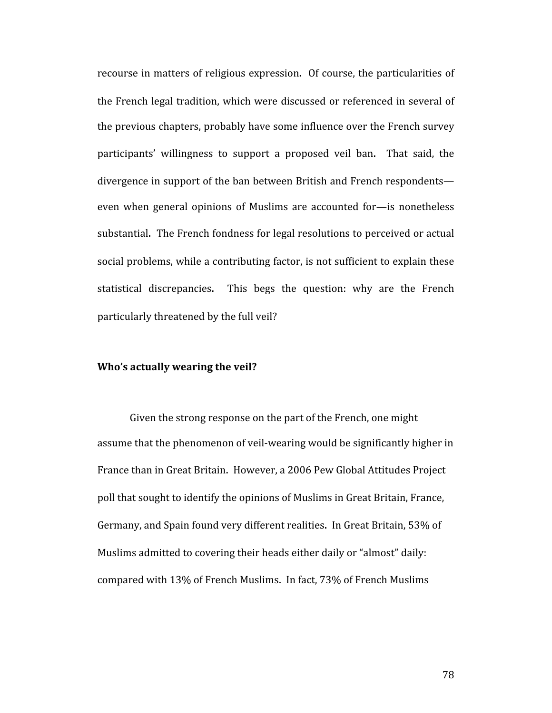recourse in matters of religious expression. Of course, the particularities of the French legal tradition, which were discussed or referenced in several of the previous chapters, probably have some influence over the French survey participants' willingness to support a proposed veil ban. That said, the divergence in support of the ban between British and French respondents even when general opinions of Muslims are accounted for—is nonetheless substantial. The French fondness for legal resolutions to perceived or actual social problems, while a contributing factor, is not sufficient to explain these statistical discrepancies. This begs the question: why are the French particularly threatened by the full veil?

#### **Who's actually wearing the veil?**

Given the strong response on the part of the French, one might assume that the phenomenon of veil‐wearing would be significantly higher in France than in Great Britain. However, a 2006 Pew Global Attitudes Project poll that sought to identify the opinions of Muslims in Great Britain, France, Germany, and Spain found very different realities. In Great Britain, 53% of Muslims admitted to covering their heads either daily or "almost" daily: compared with 13% of French Muslims. In fact, 73% of French Muslims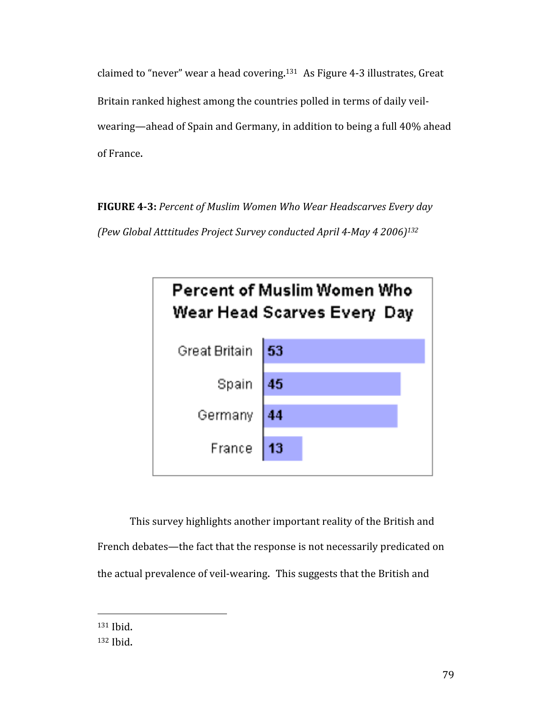claimed to "never" wear a head covering.<sup>131</sup> As Figure 4-3 illustrates, Great Britain ranked highest among the countries polled in terms of daily veil‐ wearing—ahead of Spain and Germany, in addition to being a full 40% ahead of France.

**FIGURE 43:** *Percent of Muslim Women Who Wear Headscarves Every day (Pew Global Atttitudes Project Survey conducted April 4May 4 2006)132*



This survey highlights another important reality of the British and French debates—the fact that the response is not necessarily predicated on the actual prevalence of veil‐wearing. This suggests that the British and

131 Ibid.

<sup>132</sup> Ibid.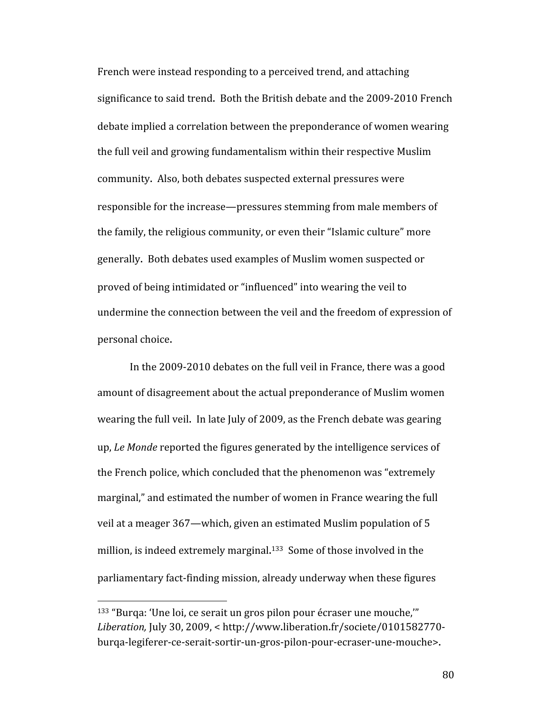French were instead responding to a perceived trend, and attaching significance to said trend. Both the British debate and the 2009‐2010 French debate implied a correlation between the preponderance of women wearing the full veil and growing fundamentalism within their respective Muslim community. Also, both debates suspected external pressures were responsible for the increase—pressures stemming from male members of the family, the religious community, or even their "Islamic culture" more generally. Both debates used examples of Muslim women suspected or proved of being intimidated or "influenced" into wearing the veil to undermine the connection between the veil and the freedom of expression of personal choice.

In the 2009‐2010 debates on the full veil in France, there was a good amount of disagreement about the actual preponderance of Muslim women wearing the full veil. In late July of 2009, as the French debate was gearing up, *Le Monde* reported the figures generated by the intelligence services of the French police, which concluded that the phenomenon was "extremely marginal," and estimated the number of women in France wearing the full veil at a meager 367—which, given an estimated Muslim population of 5 million, is indeed extremely marginal. 133 Some of those involved in the parliamentary fact‐finding mission, already underway when these figures

<sup>133 &</sup>quot;Burqa: 'Une loi, ce serait un gros pilon pour écraser une mouche,'" *Liberation,* July 30, 2009, < http://www.liberation.fr/societe/0101582770‐ burqa‐legiferer‐ce‐serait‐sortir‐un‐gros‐pilon‐pour‐ecraser‐une‐mouche>.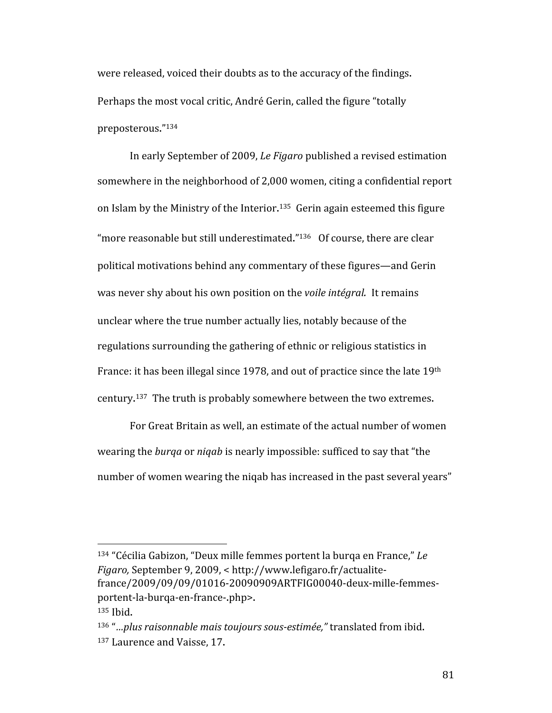were released, voiced their doubts as to the accuracy of the findings. Perhaps the most vocal critic, André Gerin, called the figure "totally preposterous."134

In early September of 2009, *Le Figaro* published a revised estimation somewhere in the neighborhood of 2,000 women, citing a confidential report on Islam by the Ministry of the Interior.<sup>135</sup> Gerin again esteemed this figure "more reasonable but still underestimated."<sup>136</sup> Of course, there are clear political motivations behind any commentary of these figures—and Gerin was never shy about his own position on the *voile intégral.* It remains unclear where the true number actually lies, notably because of the regulations surrounding the gathering of ethnic or religious statistics in France: it has been illegal since 1978, and out of practice since the late 19th century. 137 The truth is probably somewhere between the two extremes.

For Great Britain as well, an estimate of the actual number of women wearing the *burqa* or *niqab* is nearly impossible: sufficed to say that "the number of women wearing the niqab has increased in the past several years"

<sup>134 &</sup>quot;Cécilia Gabizon, "Deux mille femmes portent la burqa en France," *Le Figaro,* September 9, 2009, < http://www.lefigaro.fr/actualite‐ france/2009/09/09/01016‐20090909ARTFIG00040‐deux‐mille‐femmes‐ portent‐la‐burqa‐en‐france‐.php>. 135 Ibid.

<sup>136</sup> "*…plus raisonnable mais toujours sousestimée,"* translated from ibid. 137 Laurence and Vaisse, 17.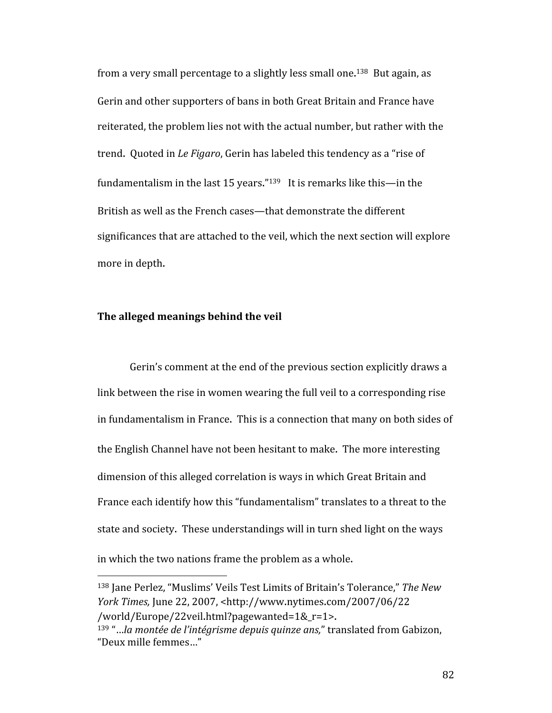from a very small percentage to a slightly less small one.<sup>138</sup> But again, as Gerin and other supporters of bans in both Great Britain and France have reiterated, the problem lies not with the actual number, but rather with the trend. Quoted in *Le Figaro*, Gerin has labeled this tendency as a "rise of fundamentalism in the last 15 years."139 It is remarks like this—in the British as well as the French cases—that demonstrate the different significances that are attached to the veil, which the next section will explore more in depth.

### **The alleged meanings behind the veil**

Gerin's comment at the end of the previous section explicitly draws a link between the rise in women wearing the full veil to a corresponding rise in fundamentalism in France. This is a connection that many on both sides of the English Channel have not been hesitant to make. The more interesting dimension of this alleged correlation is ways in which Great Britain and France each identify how this "fundamentalism" translates to a threat to the state and society. These understandings will in turn shed light on the ways in which the two nations frame the problem as a whole.

<sup>138</sup> Jane Perlez, "Muslims' Veils Test Limits of Britain's Tolerance," *The New York Times,* June 22, 2007, <http://www.nytimes.com/2007/06/22 /world/Europe/22veil.html?pagewanted=1&\_r=1>.

<sup>139 &</sup>quot;…*la montée de l'intégrisme depuis quinze ans,*" translated from Gabizon, "Deux mille femmes…"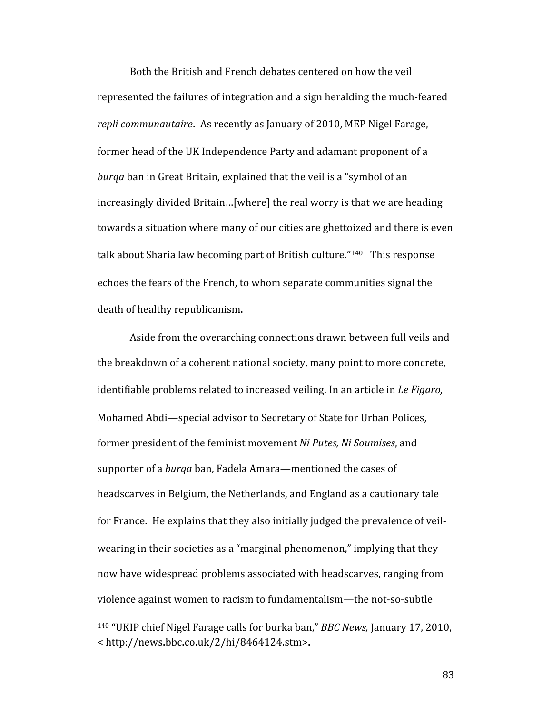Both the British and French debates centered on how the veil represented the failures of integration and a sign heralding the much‐feared *repli communautaire*. As recently as January of 2010, MEP Nigel Farage, former head of the UK Independence Party and adamant proponent of a *burqa* ban in Great Britain, explained that the veil is a "symbol of an increasingly divided Britain…[where] the real worry is that we are heading towards a situation where many of our cities are ghettoized and there is even talk about Sharia law becoming part of British culture."140 This response echoes the fears of the French, to whom separate communities signal the death of healthy republicanism.

Aside from the overarching connections drawn between full veils and the breakdown of a coherent national society, many point to more concrete, identifiable problems related to increased veiling. In an article in *Le Figaro,* Mohamed Abdi—special advisor to Secretary of State for Urban Polices, former president of the feminist movement *Ni Putes, Ni Soumises*, and supporter of a *burqa* ban, Fadela Amara—mentioned the cases of headscarves in Belgium, the Netherlands, and England as a cautionary tale for France. He explains that they also initially judged the prevalence of veil‐ wearing in their societies as a "marginal phenomenon," implying that they now have widespread problems associated with headscarves, ranging from violence against women to racism to fundamentalism—the not‐so‐subtle

<sup>140 &</sup>quot;UKIP chief Nigel Farage calls for burka ban," *BBC News,* January 17, 2010, < http://news.bbc.co.uk/2/hi/8464124.stm>.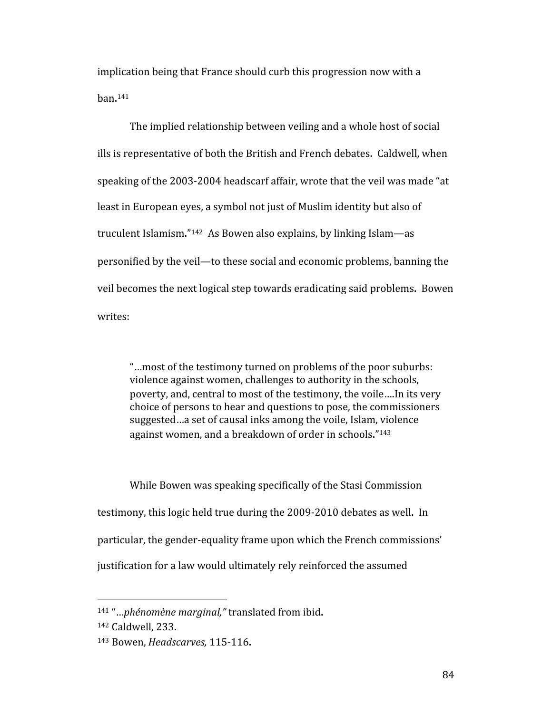implication being that France should curb this progression now with a ban. 141

The implied relationship between veiling and a whole host of social ills is representative of both the British and French debates. Caldwell, when speaking of the 2003‐2004 headscarf affair, wrote that the veil was made "at least in European eyes, a symbol not just of Muslim identity but also of truculent Islamism."142 As Bowen also explains, by linking Islam—as personified by the veil—to these social and economic problems, banning the veil becomes the next logical step towards eradicating said problems. Bowen writes:

"…most of the testimony turned on problems of the poor suburbs: violence against women, challenges to authority in the schools, poverty, and, central to most of the testimony, the voile….In its very choice of persons to hear and questions to pose, the commissioners suggested…a set of causal inks among the voile, Islam, violence against women, and a breakdown of order in schools."143

While Bowen was speaking specifically of the Stasi Commission testimony, this logic held true during the 2009‐2010 debates as well. In particular, the gender‐equality frame upon which the French commissions' justification for a law would ultimately rely reinforced the assumed

<sup>141 &</sup>quot;…*phénomène marginal,"* translated from ibid.

<sup>142</sup> Caldwell, 233.

<sup>143</sup> Bowen, *Headscarves,* 115‐116.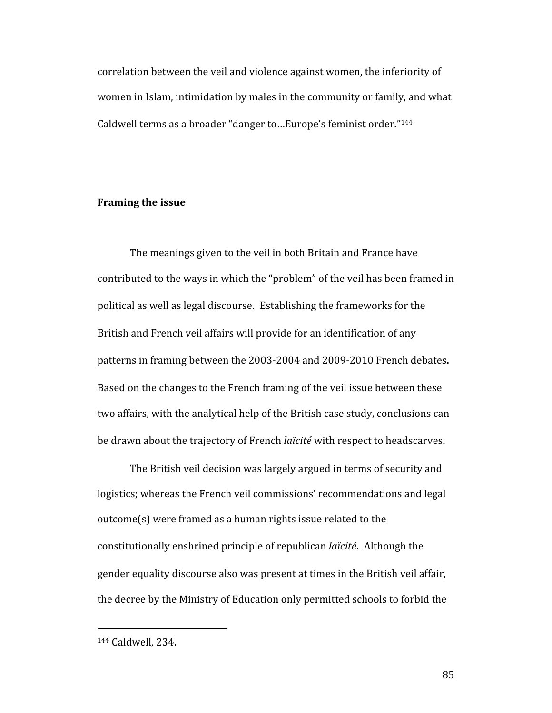correlation between the veil and violence against women, the inferiority of women in Islam, intimidation by males in the community or family, and what Caldwell terms as a broader "danger to…Europe's feminist order."144

#### **Framing the issue**

The meanings given to the veil in both Britain and France have contributed to the ways in which the "problem" of the veil has been framed in political as well as legal discourse. Establishing the frameworks for the British and French veil affairs will provide for an identification of any patterns in framing between the 2003‐2004 and 2009‐2010 French debates. Based on the changes to the French framing of the veil issue between these two affairs, with the analytical help of the British case study, conclusions can be drawn about the trajectory of French *laïcité* with respect to headscarves.

The British veil decision was largely argued in terms of security and logistics; whereas the French veil commissions' recommendations and legal outcome(s) were framed as a human rights issue related to the constitutionally enshrined principle of republican *laïcité*. Although the gender equality discourse also was present at times in the British veil affair, the decree by the Ministry of Education only permitted schools to forbid the

<sup>144</sup> Caldwell, 234.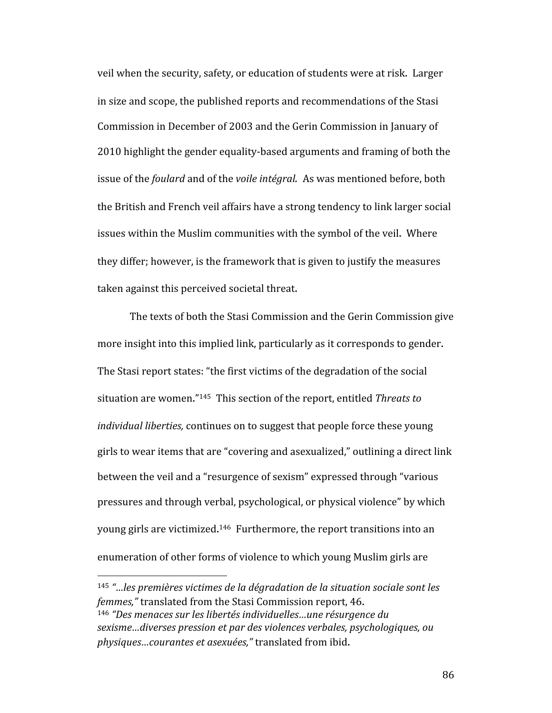veil when the security, safety, or education of students were at risk. Larger in size and scope, the published reports and recommendations of the Stasi Commission in December of 2003 and the Gerin Commission in January of 2010 highlight the gender equality‐based arguments and framing of both the issue of the *foulard* and of the *voile intégral.* As was mentioned before, both the British and French veil affairs have a strong tendency to link larger social issues within the Muslim communities with the symbol of the veil. Where they differ; however, is the framework that is given to justify the measures taken against this perceived societal threat.

The texts of both the Stasi Commission and the Gerin Commission give more insight into this implied link, particularly as it corresponds to gender. The Stasi report states: "the first victims of the degradation of the social situation are women."145 This section of the report, entitled *Threats to individual liberties,* continues on to suggest that people force these young girls to wear items that are "covering and asexualized," outlining a direct link between the veil and a "resurgence of sexism" expressed through "various pressures and through verbal, psychological, or physical violence" by which young girls are victimized.<sup>146</sup> Furthermore, the report transitions into an enumeration of other forms of violence to which young Muslim girls are

<sup>145</sup> *"…les premières victimes de la dégradation de la situation sociale sont les femmes,"* translated from the Stasi Commission report, 46. <sup>146</sup> *"Des menaces sur les libertés individuelles…une résurgence du sexisme…diverses pression et par des violences verbales, psychologiques, ou physiques…courantes et asexuées,"* translated from ibid.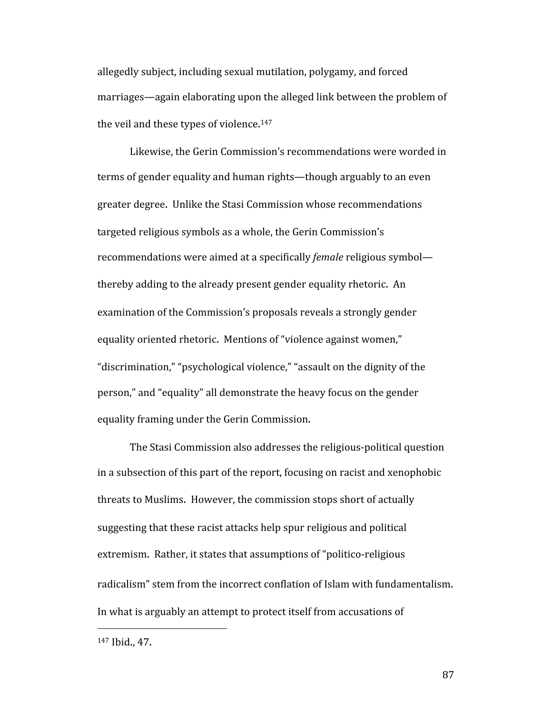allegedly subject, including sexual mutilation, polygamy, and forced marriages—again elaborating upon the alleged link between the problem of the veil and these types of violence.<sup>147</sup>

Likewise, the Gerin Commission's recommendations were worded in terms of gender equality and human rights—though arguably to an even greater degree. Unlike the Stasi Commission whose recommendations targeted religious symbols as a whole, the Gerin Commission's recommendations were aimed at a specifically *female* religious symbol thereby adding to the already present gender equality rhetoric. An examination of the Commission's proposals reveals a strongly gender equality oriented rhetoric. Mentions of "violence against women," "discrimination," "psychological violence," "assault on the dignity of the person," and "equality" all demonstrate the heavy focus on the gender equality framing under the Gerin Commission.

The Stasi Commission also addresses the religious‐political question in a subsection of this part of the report, focusing on racist and xenophobic threats to Muslims. However, the commission stops short of actually suggesting that these racist attacks help spur religious and political extremism. Rather, it states that assumptions of "politico-religious" radicalism" stem from the incorrect conflation of Islam with fundamentalism. In what is arguably an attempt to protect itself from accusations of

<sup>147</sup> Ibid., 47.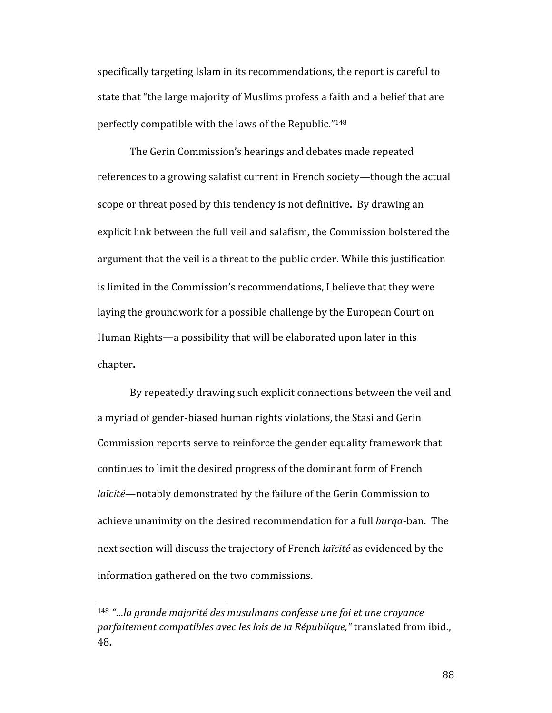specifically targeting Islam in its recommendations, the report is careful to state that "the large majority of Muslims profess a faith and a belief that are perfectly compatible with the laws of the Republic."148

The Gerin Commission's hearings and debates made repeated references to a growing salafist current in French society—though the actual scope or threat posed by this tendency is not definitive. By drawing an explicit link between the full veil and salafism, the Commission bolstered the argument that the veil is a threat to the public order. While this justification is limited in the Commission's recommendations, I believe that they were laying the groundwork for a possible challenge by the European Court on Human Rights—a possibility that will be elaborated upon later in this chapter.

By repeatedly drawing such explicit connections between the veil and a myriad of gender‐biased human rights violations, the Stasi and Gerin Commission reports serve to reinforce the gender equality framework that continues to limit the desired progress of the dominant form of French *laïcité*—notably demonstrated by the failure of the Gerin Commission to achieve unanimity on the desired recommendation for a full *burqa*‐ban. The next section will discuss the trajectory of French *laïcité* as evidenced by the information gathered on the two commissions.

<sup>148</sup> *"…la grande majorité des musulmans confesse une foi et une croyance parfaitement compatibles avec les lois de la République,"* translated from ibid., 48.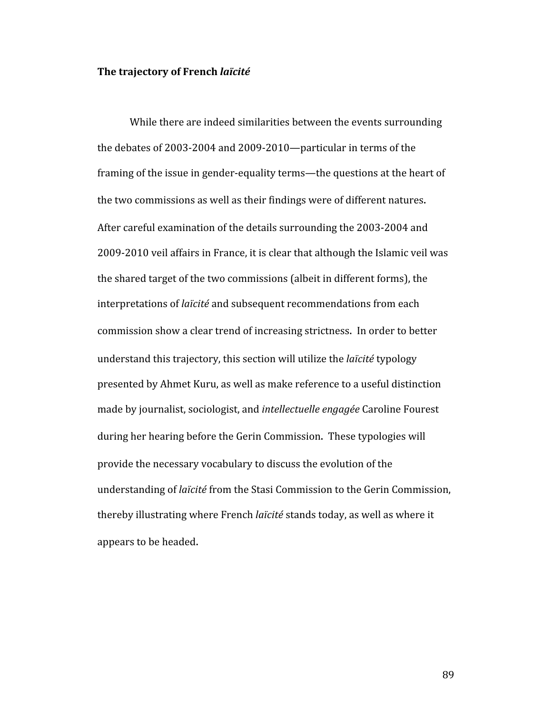#### **The trajectory of French** *laïcité*

While there are indeed similarities between the events surrounding the debates of 2003‐2004 and 2009‐2010—particular in terms of the framing of the issue in gender‐equality terms—the questions at the heart of the two commissions as well as their findings were of different natures. After careful examination of the details surrounding the 2003‐2004 and 2009‐2010 veil affairs in France, it is clear that although the Islamic veil was the shared target of the two commissions (albeit in different forms), the interpretations of *laïcité* and subsequent recommendations from each commission show a clear trend of increasing strictness. In order to better understand this trajectory, this section will utilize the *laïcité* typology presented by Ahmet Kuru, as well as make reference to a useful distinction made by journalist, sociologist, and *intellectuelle engagée* Caroline Fourest during her hearing before the Gerin Commission. These typologies will provide the necessary vocabulary to discuss the evolution of the understanding of *laïcité* from the Stasi Commission to the Gerin Commission, thereby illustrating where French *laïcité* stands today, as well as where it appears to be headed.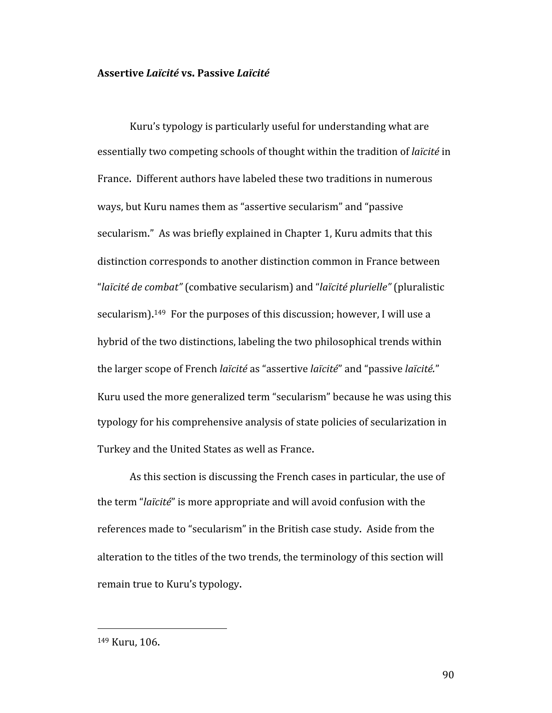#### **Assertive** *Laïcité* **vs. Passive** *Laïcité*

Kuru's typology is particularly useful for understanding what are essentially two competing schools of thought within the tradition of *laïcité* in France. Different authors have labeled these two traditions in numerous ways, but Kuru names them as "assertive secularism" and "passive secularism." As was briefly explained in Chapter 1, Kuru admits that this distinction corresponds to another distinction common in France between "*laïcité de combat"* (combative secularism) and "*laïcité plurielle"* (pluralistic secularism).<sup>149</sup> For the purposes of this discussion; however, I will use a hybrid of the two distinctions, labeling the two philosophical trends within the larger scope of French *laïcité* as "assertive *laïcité*" and "passive *laïcité.*" Kuru used the more generalized term "secularism" because he was using this typology for his comprehensive analysis of state policies of secularization in Turkey and the United States as well as France.

As this section is discussing the French cases in particular, the use of the term "*laïcité*" is more appropriate and will avoid confusion with the references made to "secularism" in the British case study. Aside from the alteration to the titles of the two trends, the terminology of this section will remain true to Kuru's typology.

<sup>149</sup> Kuru, 106.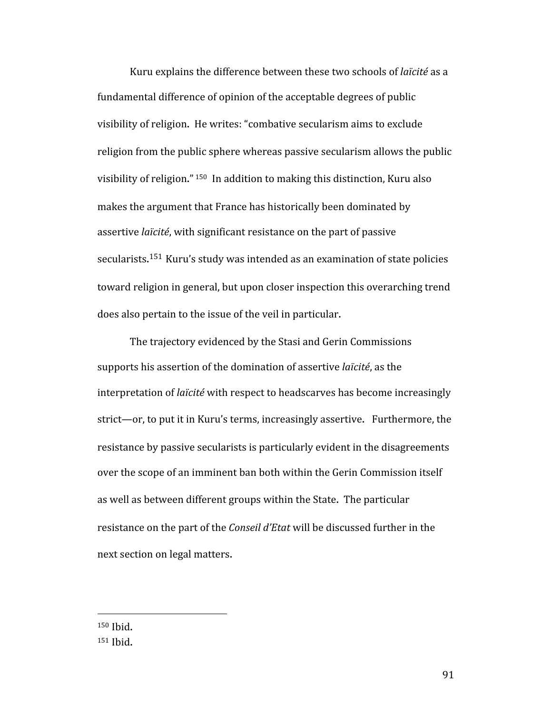Kuru explains the difference between these two schools of *laïcité* as a fundamental difference of opinion of the acceptable degrees of public visibility of religion. He writes: "combative secularism aims to exclude religion from the public sphere whereas passive secularism allows the public visibility of religion." 150 In addition to making this distinction, Kuru also makes the argument that France has historically been dominated by assertive *laïcité*, with significant resistance on the part of passive secularists. <sup>151</sup> Kuru's study was intended as an examination of state policies toward religion in general, but upon closer inspection this overarching trend does also pertain to the issue of the veil in particular.

The trajectory evidenced by the Stasi and Gerin Commissions supports his assertion of the domination of assertive *laïcité*, as the interpretation of *laïcité* with respect to headscarves has become increasingly strict—or, to put it in Kuru's terms, increasingly assertive. Furthermore, the resistance by passive secularists is particularly evident in the disagreements over the scope of an imminent ban both within the Gerin Commission itself as well as between different groups within the State. The particular resistance on the part of the *Conseil d'Etat* will be discussed further in the next section on legal matters.

150 Ibid. 151 Ibid.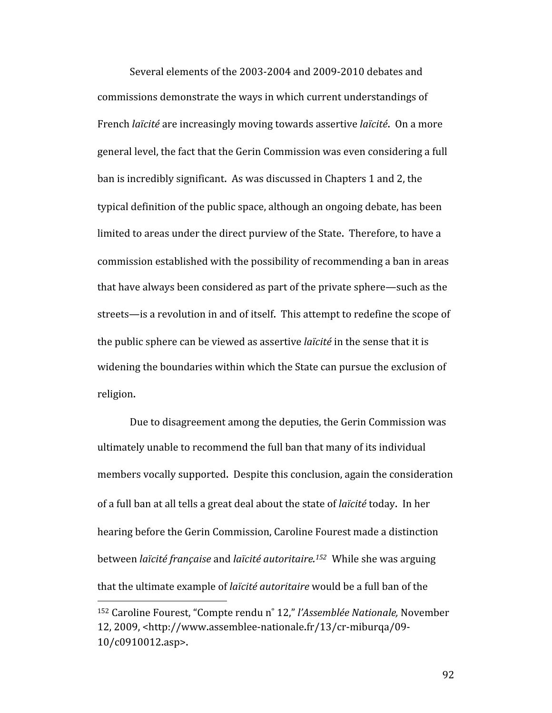Several elements of the 2003‐2004 and 2009‐2010 debates and commissions demonstrate the ways in which current understandings of French *laïcité* are increasingly moving towards assertive *laïcité*. On a more general level, the fact that the Gerin Commission was even considering a full ban is incredibly significant. As was discussed in Chapters 1 and 2, the typical definition of the public space, although an ongoing debate, has been limited to areas under the direct purview of the State. Therefore, to have a commission established with the possibility of recommending a ban in areas that have always been considered as part of the private sphere—such as the streets—is a revolution in and of itself. This attempt to redefine the scope of the public sphere can be viewed as assertive *laïcité* in the sense that it is widening the boundaries within which the State can pursue the exclusion of religion.

Due to disagreement among the deputies, the Gerin Commission was ultimately unable to recommend the full ban that many of its individual members vocally supported. Despite this conclusion, again the consideration of a full ban at all tells a great deal about the state of *laïcité* today. In her hearing before the Gerin Commission, Caroline Fourest made a distinction between *laïcité française* and *laïcité autoritaire. 152* While she was arguing that the ultimate example of *laïcité autoritaire* would be a full ban of the 

<sup>152</sup> Caroline Fourest, "Compte rendu n˚ 12," *l'Assemblée Nationale,* November 12, 2009, <http://www.assemblee‐nationale.fr/13/cr‐miburqa/09‐ 10/c0910012.asp>.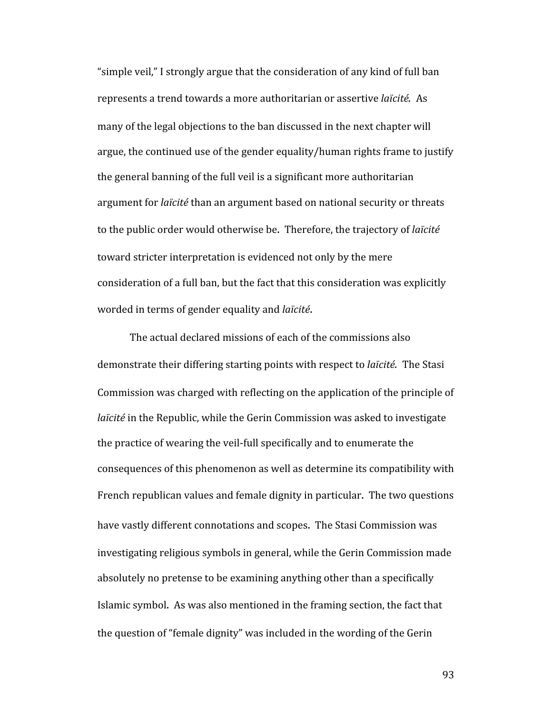"simple veil," I strongly argue that the consideration of any kind of full ban represents a trend towards a more authoritarian or assertive *laïcité.* As many of the legal objections to the ban discussed in the next chapter will argue, the continued use of the gender equality/human rights frame to justify the general banning of the full veil is a significant more authoritarian argument for *laïcité* than an argument based on national security or threats to the public order would otherwise be. Therefore, the trajectory of *laïcité* toward stricter interpretation is evidenced not only by the mere consideration of a full ban, but the fact that this consideration was explicitly worded in terms of gender equality and *laïcité*.

The actual declared missions of each of the commissions also demonstrate their differing starting points with respect to *laïcité.* The Stasi Commission was charged with reflecting on the application of the principle of *laïcité* in the Republic, while the Gerin Commission was asked to investigate the practice of wearing the veil‐full specifically and to enumerate the consequences of this phenomenon as well as determine its compatibility with French republican values and female dignity in particular. The two questions have vastly different connotations and scopes. The Stasi Commission was investigating religious symbols in general, while the Gerin Commission made absolutely no pretense to be examining anything other than a specifically Islamic symbol. As was also mentioned in the framing section, the fact that the question of "female dignity" was included in the wording of the Gerin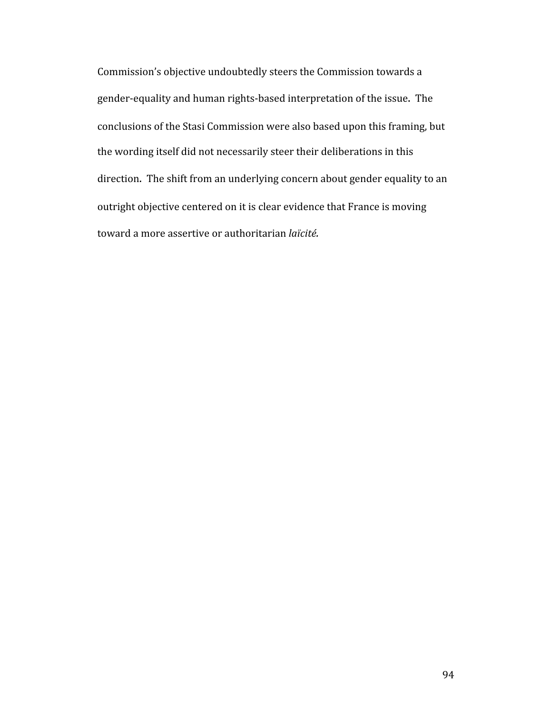Commission's objective undoubtedly steers the Commission towards a gender‐equality and human rights‐based interpretation of the issue. The conclusions of the Stasi Commission were also based upon this framing, but the wording itself did not necessarily steer their deliberations in this direction. The shift from an underlying concern about gender equality to an outright objective centered on it is clear evidence that France is moving toward a more assertive or authoritarian *laïcité.*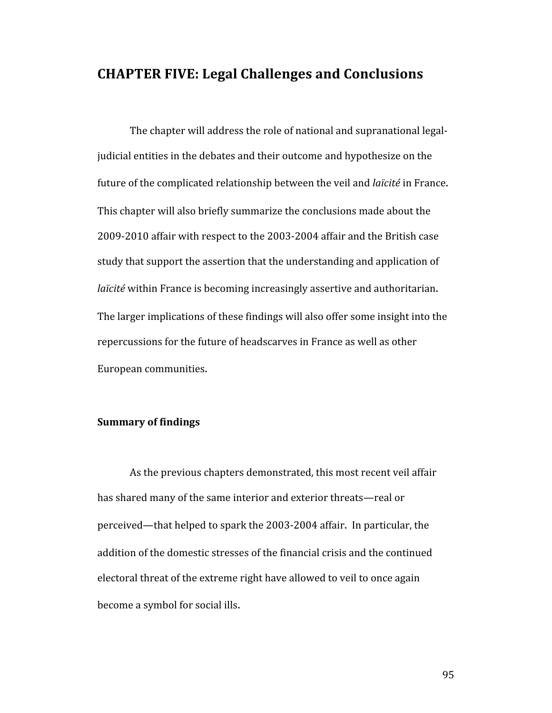# **CHAPTER FIVE: Legal Challenges and Conclusions**

The chapter will address the role of national and supranational legal‐ judicial entities in the debates and their outcome and hypothesize on the future of the complicated relationship between the veil and *laïcité* in France. This chapter will also briefly summarize the conclusions made about the 2009‐2010 affair with respect to the 2003‐2004 affair and the British case study that support the assertion that the understanding and application of *laïcité* within France is becoming increasingly assertive and authoritarian. The larger implications of these findings will also offer some insight into the repercussions for the future of headscarves in France as well as other European communities.

# **Summary of findings**

As the previous chapters demonstrated, this most recent veil affair has shared many of the same interior and exterior threats—real or perceived—that helped to spark the 2003‐2004 affair. In particular, the addition of the domestic stresses of the financial crisis and the continued electoral threat of the extreme right have allowed to veil to once again become a symbol for social ills.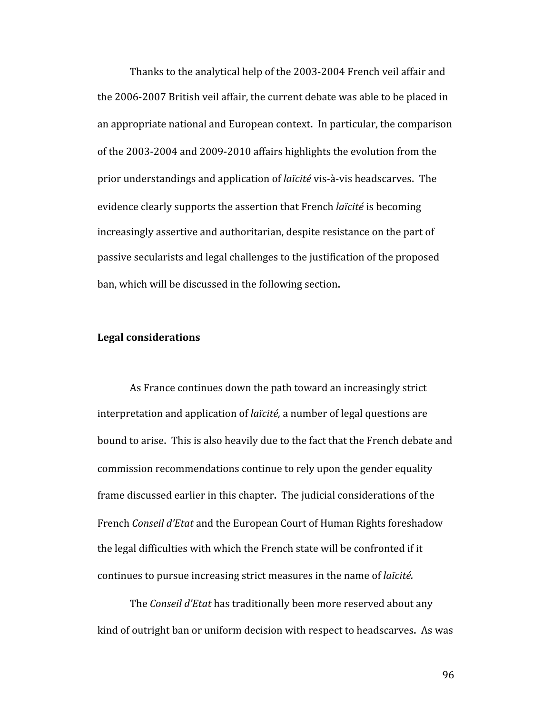Thanks to the analytical help of the 2003‐2004 French veil affair and the 2006‐2007 British veil affair, the current debate was able to be placed in an appropriate national and European context. In particular, the comparison of the 2003‐2004 and 2009‐2010 affairs highlights the evolution from the prior understandings and application of *laïcité* vis‐à‐vis headscarves. The evidence clearly supports the assertion that French *laïcité* is becoming increasingly assertive and authoritarian, despite resistance on the part of passive secularists and legal challenges to the justification of the proposed ban, which will be discussed in the following section.

# **Legal considerations**

As France continues down the path toward an increasingly strict interpretation and application of *laïcité,* a number of legal questions are bound to arise. This is also heavily due to the fact that the French debate and commission recommendations continue to rely upon the gender equality frame discussed earlier in this chapter. The judicial considerations of the French *Conseil d'Etat* and the European Court of Human Rights foreshadow the legal difficulties with which the French state will be confronted if it continues to pursue increasing strict measures in the name of *laïcité.* 

The *Conseil d'Etat* has traditionally been more reserved about any kind of outright ban or uniform decision with respect to headscarves. As was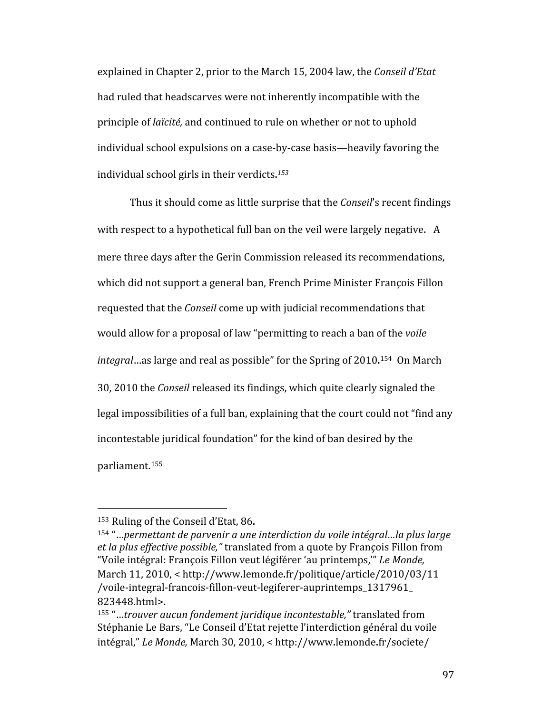explained in Chapter 2, prior to the March 15, 2004 law, the *Conseil d'Etat* had ruled that headscarves were not inherently incompatible with the principle of *laïcité,* and continued to rule on whether or not to uphold individual school expulsions on a case‐by‐case basis—heavily favoring the individual school girls in their verdicts. *153*

Thus it should come as little surprise that the *Conseil*'s recent findings with respect to a hypothetical full ban on the veil were largely negative. A mere three days after the Gerin Commission released its recommendations, which did not support a general ban, French Prime Minister François Fillon requested that the *Conseil* come up with judicial recommendations that would allow for a proposal of law "permitting to reach a ban of the *voile integral*…as large and real as possible" for the Spring of 2010. 154 On March 30, 2010 the *Conseil* released its findings, which quite clearly signaled the legal impossibilities of a full ban, explaining that the court could not "find any incontestable juridical foundation" for the kind of ban desired by the parliament. 155

<sup>153</sup> Ruling of the Conseil d'Etat, 86.

<sup>154 &</sup>quot;…*permettant de parvenir a une interdiction du voile intégral…la plus large et la plus effective possible,"* translated from a quote by François Fillon from "Voile intégral: François Fillon veut légiférer 'au printemps,'" *Le Monde,*  March 11, 2010, < http://www.lemonde.fr/politique/article/2010/03/11 /voile‐integral‐francois‐fillon‐veut‐legiferer‐auprintemps\_1317961\_ 823448.html>.

<sup>155</sup> "…*trouver aucun fondement juridique incontestable,"* translated from Stéphanie Le Bars, "Le Conseil d'Etat rejette l'interdiction général du voile intégral," *Le Monde,* March 30, 2010, < http://www.lemonde.fr/societe/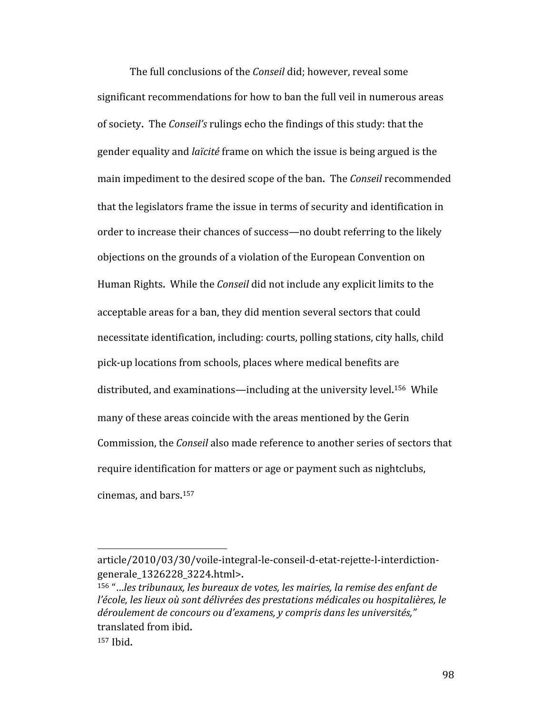The full conclusions of the *Conseil* did; however, reveal some significant recommendations for how to ban the full veil in numerous areas of society. The *Conseil's* rulings echo the findings of this study: that the gender equality and *laïcité* frame on which the issue is being argued is the main impediment to the desired scope of the ban. The *Conseil* recommended that the legislators frame the issue in terms of security and identification in order to increase their chances of success—no doubt referring to the likely objections on the grounds of a violation of the European Convention on Human Rights. While the *Conseil* did not include any explicit limits to the acceptable areas for a ban, they did mention several sectors that could necessitate identification, including: courts, polling stations, city halls, child pick‐up locations from schools, places where medical benefits are distributed, and examinations—including at the university level. 156 While many of these areas coincide with the areas mentioned by the Gerin Commission, the *Conseil* also made reference to another series of sectors that require identification for matters or age or payment such as nightclubs, cinemas, and bars. 157

156 "…*les tribunaux, les bureaux de votes, les mairies, la remise des enfant de l'école, les lieux où sont délivrées des prestations médicales ou hospitalières, le déroulement de concours ou d'examens, y compris dans les universités,"*  translated from ibid.

article/2010/03/30/voile‐integral‐le‐conseil‐d‐etat‐rejette‐l‐interdiction‐ generale\_1326228\_3224.html>.

<sup>157</sup> Ibid.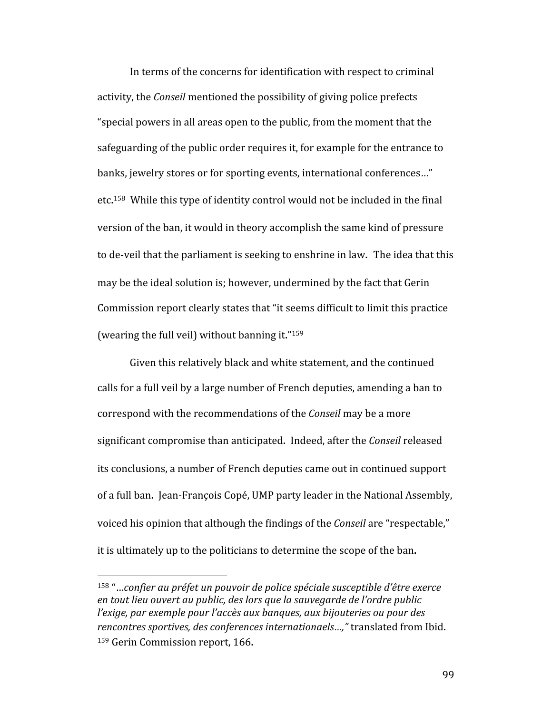In terms of the concerns for identification with respect to criminal activity, the *Conseil* mentioned the possibility of giving police prefects "special powers in all areas open to the public, from the moment that the safeguarding of the public order requires it, for example for the entrance to banks, jewelry stores or for sporting events, international conferences…" etc.<sup>158</sup> While this type of identity control would not be included in the final version of the ban, it would in theory accomplish the same kind of pressure to de‐veil that the parliament is seeking to enshrine in law. The idea that this may be the ideal solution is; however, undermined by the fact that Gerin Commission report clearly states that "it seems difficult to limit this practice (wearing the full veil) without banning it."159

Given this relatively black and white statement, and the continued calls for a full veil by a large number of French deputies, amending a ban to correspond with the recommendations of the *Conseil* may be a more significant compromise than anticipated. Indeed, after the *Conseil* released its conclusions, a number of French deputies came out in continued support of a full ban. Jean‐François Copé, UMP party leader in the National Assembly, voiced his opinion that although the findings of the *Conseil* are "respectable," it is ultimately up to the politicians to determine the scope of the ban.

<sup>158 &</sup>quot;…*confier au préfet un pouvoir de police spéciale susceptible d'être exerce en tout lieu ouvert au public, des lors que la sauvegarde de l'ordre public l'exige, par exemple pour l'accès aux banques, aux bijouteries ou pour des rencontres sportives, des conferences internationaels…,"* translated from Ibid. 159 Gerin Commission report, 166.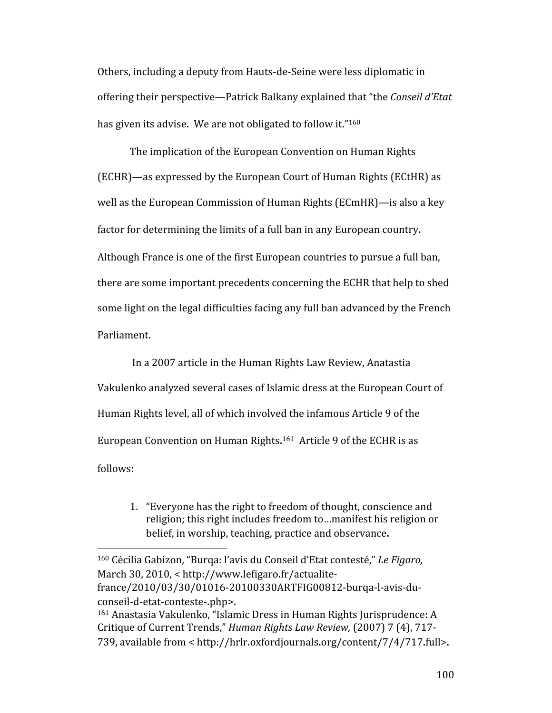Others, including a deputy from Hauts‐de‐Seine were less diplomatic in offering their perspective—Patrick Balkany explained that "the *Conseil d'Etat* has given its advise. We are not obligated to follow it."<sup>160</sup>

The implication of the European Convention on Human Rights (ECHR)—as expressed by the European Court of Human Rights (ECtHR) as well as the European Commission of Human Rights (ECmHR)—is also a key factor for determining the limits of a full ban in any European country. Although France is one of the first European countries to pursue a full ban, there are some important precedents concerning the ECHR that help to shed some light on the legal difficulties facing any full ban advanced by the French Parliament.

In a 2007 article in the Human Rights Law Review, Anatastia Vakulenko analyzed several cases of Islamic dress at the European Court of Human Rights level, all of which involved the infamous Article 9 of the European Convention on Human Rights.<sup>161</sup> Article 9 of the ECHR is as follows:

1. "Everyone has the right to freedom of thought, conscience and religion; this right includes freedom to…manifest his religion or belief, in worship, teaching, practice and observance.

<sup>160</sup> Cécilia Gabizon, "Burqa: l'avis du Conseil d'Etat contesté," *Le Figaro,*  March 30, 2010, < http://www.lefigaro.fr/actualite‐ france/2010/03/30/01016‐20100330ARTFIG00812‐burqa‐l‐avis‐du‐ conseil‐d‐etat‐conteste‐.php>.

<sup>161</sup> Anastasia Vakulenko, "Islamic Dress in Human Rights Jurisprudence: A Critique of Current Trends," *Human Rights Law Review,* (2007) 7 (4), 717‐ 739, available from < http://hrlr.oxfordjournals.org/content/7/4/717.full>.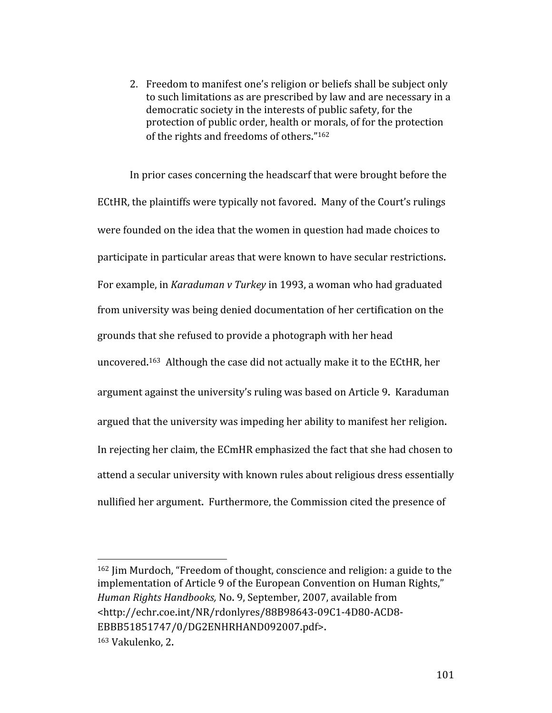2. Freedom to manifest one's religion or beliefs shall be subject only to such limitations as are prescribed by law and are necessary in a democratic society in the interests of public safety, for the protection of public order, health or morals, of for the protection of the rights and freedoms of others."162

In prior cases concerning the headscarf that were brought before the ECtHR, the plaintiffs were typically not favored. Many of the Court's rulings were founded on the idea that the women in question had made choices to participate in particular areas that were known to have secular restrictions. For example, in *Karaduman v Turkey* in 1993, a woman who had graduated from university was being denied documentation of her certification on the grounds that she refused to provide a photograph with her head uncovered. 163 Although the case did not actually make it to the ECtHR, her argument against the university's ruling was based on Article 9. Karaduman argued that the university was impeding her ability to manifest her religion. In rejecting her claim, the ECmHR emphasized the fact that she had chosen to attend a secular university with known rules about religious dress essentially nullified her argument. Furthermore, the Commission cited the presence of

<sup>162</sup> Jim Murdoch, "Freedom of thought, conscience and religion: a guide to the implementation of Article 9 of the European Convention on Human Rights," *Human Rights Handbooks,* No. 9, September, 2007, available from <http://echr.coe.int/NR/rdonlyres/88B98643‐09C1‐4D80‐ACD8‐ EBBB51851747/0/DG2ENHRHAND092007.pdf>. 163 Vakulenko, 2.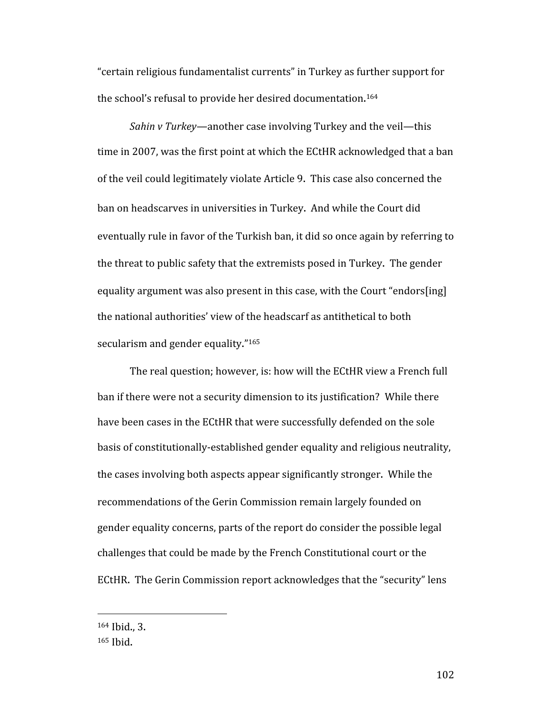"certain religious fundamentalist currents" in Turkey as further support for the school's refusal to provide her desired documentation. 164

*Sahin v Turkey—*another case involving Turkey and the veil—this time in 2007, was the first point at which the ECtHR acknowledged that a ban of the veil could legitimately violate Article 9. This case also concerned the ban on headscarves in universities in Turkey. And while the Court did eventually rule in favor of the Turkish ban, it did so once again by referring to the threat to public safety that the extremists posed in Turkey. The gender equality argument was also present in this case, with the Court "endors[ing] the national authorities' view of the headscarf as antithetical to both secularism and gender equality."<sup>165</sup>

The real question; however, is: how will the ECtHR view a French full ban if there were not a security dimension to its justification? While there have been cases in the ECtHR that were successfully defended on the sole basis of constitutionally‐established gender equality and religious neutrality, the cases involving both aspects appear significantly stronger. While the recommendations of the Gerin Commission remain largely founded on gender equality concerns, parts of the report do consider the possible legal challenges that could be made by the French Constitutional court or the ECtHR. The Gerin Commission report acknowledges that the "security" lens

<sup>164</sup> Ibid., 3.

<sup>165</sup> Ibid.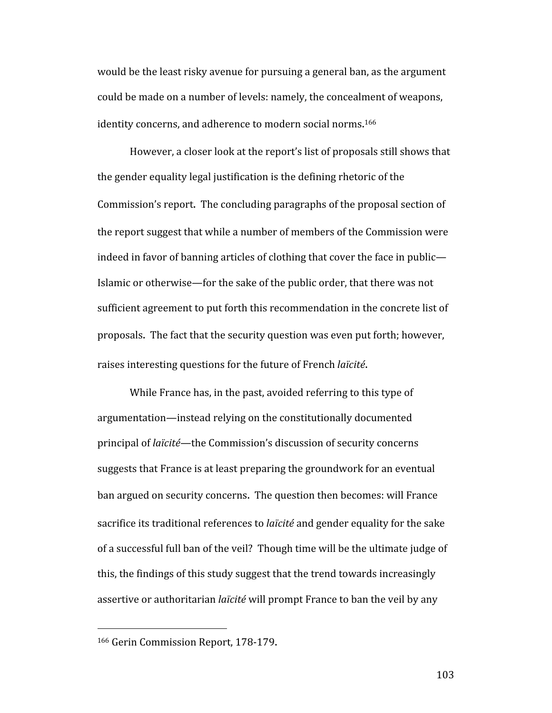would be the least risky avenue for pursuing a general ban, as the argument could be made on a number of levels: namely, the concealment of weapons, identity concerns, and adherence to modern social norms. 166

However, a closer look at the report's list of proposals still shows that the gender equality legal justification is the defining rhetoric of the Commission's report. The concluding paragraphs of the proposal section of the report suggest that while a number of members of the Commission were indeed in favor of banning articles of clothing that cover the face in public— Islamic or otherwise—for the sake of the public order, that there was not sufficient agreement to put forth this recommendation in the concrete list of proposals. The fact that the security question was even put forth; however, raises interesting questions for the future of French *laïcité*.

While France has, in the past, avoided referring to this type of argumentation—instead relying on the constitutionally documented principal of *laïcité—*the Commission's discussion of security concerns suggests that France is at least preparing the groundwork for an eventual ban argued on security concerns. The question then becomes: will France sacrifice its traditional references to *laïcité* and gender equality for the sake of a successful full ban of the veil? Though time will be the ultimate judge of this, the findings of this study suggest that the trend towards increasingly assertive or authoritarian *laïcité* will prompt France to ban the veil by any

<sup>166</sup> Gerin Commission Report, 178‐179.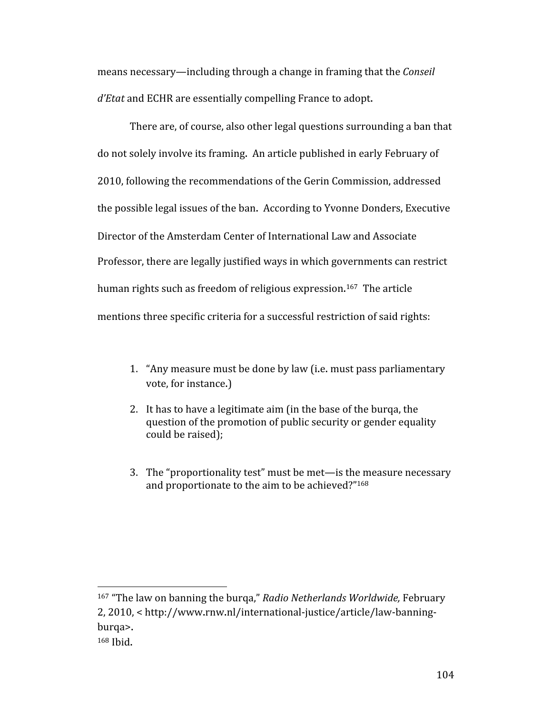means necessary—including through a change in framing that the *Conseil d'Etat* and ECHR are essentially compelling France to adopt.

There are, of course, also other legal questions surrounding a ban that do not solely involve its framing. An article published in early February of 2010, following the recommendations of the Gerin Commission, addressed the possible legal issues of the ban. According to Yvonne Donders, Executive Director of the Amsterdam Center of International Law and Associate Professor, there are legally justified ways in which governments can restrict human rights such as freedom of religious expression.<sup>167</sup> The article mentions three specific criteria for a successful restriction of said rights:

- 1. "Any measure must be done by law (i.e. must pass parliamentary vote, for instance.)
- 2. It has to have a legitimate aim (in the base of the burqa, the question of the promotion of public security or gender equality could be raised);
- 3. The "proportionality test" must be met—is the measure necessary and proportionate to the aim to be achieved?"168

167 "The law on banning the burqa," *Radio Netherlands Worldwide,* February 2, 2010, < http://www.rnw.nl/international‐justice/article/law‐banning‐ burqa>. 168 Ibid.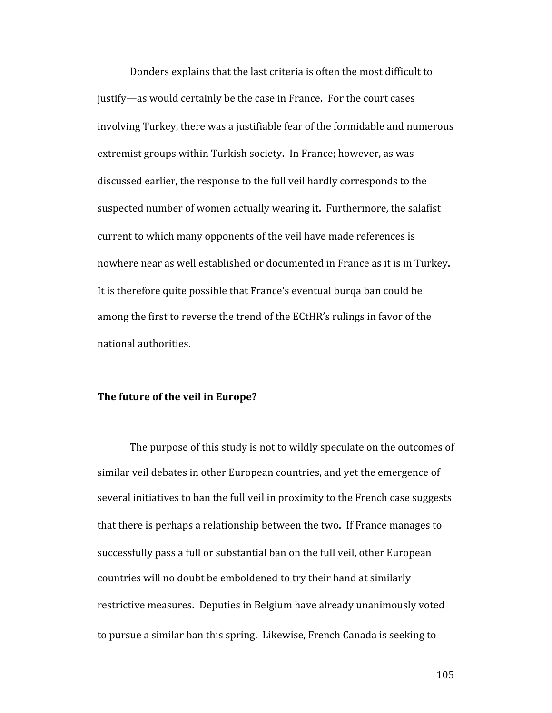Donders explains that the last criteria is often the most difficult to justify—as would certainly be the case in France. For the court cases involving Turkey, there was a justifiable fear of the formidable and numerous extremist groups within Turkish society. In France; however, as was discussed earlier, the response to the full veil hardly corresponds to the suspected number of women actually wearing it. Furthermore, the salafist current to which many opponents of the veil have made references is nowhere near as well established or documented in France as it is in Turkey. It is therefore quite possible that France's eventual burqa ban could be among the first to reverse the trend of the ECtHR's rulings in favor of the national authorities.

#### **The future of the veil in Europe?**

The purpose of this study is not to wildly speculate on the outcomes of similar veil debates in other European countries, and yet the emergence of several initiatives to ban the full veil in proximity to the French case suggests that there is perhaps a relationship between the two. If France manages to successfully pass a full or substantial ban on the full veil, other European countries will no doubt be emboldened to try their hand at similarly restrictive measures. Deputies in Belgium have already unanimously voted to pursue a similar ban this spring. Likewise, French Canada is seeking to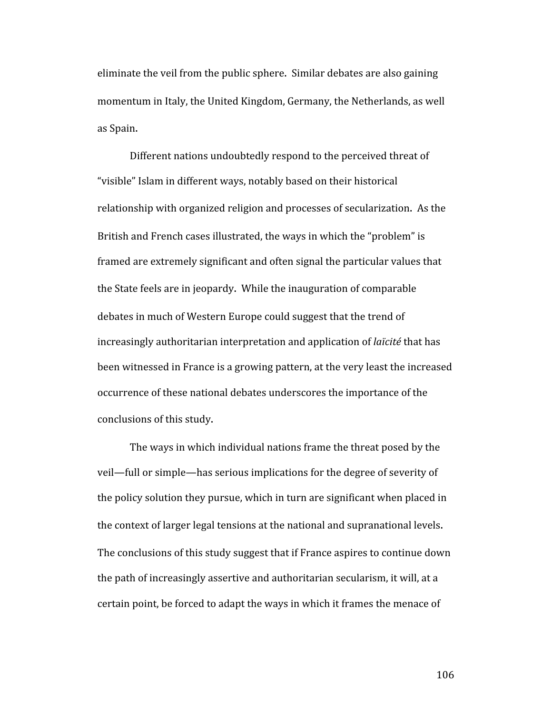eliminate the veil from the public sphere. Similar debates are also gaining momentum in Italy, the United Kingdom, Germany, the Netherlands, as well as Spain.

Different nations undoubtedly respond to the perceived threat of "visible" Islam in different ways, notably based on their historical relationship with organized religion and processes of secularization. As the British and French cases illustrated, the ways in which the "problem" is framed are extremely significant and often signal the particular values that the State feels are in jeopardy. While the inauguration of comparable debates in much of Western Europe could suggest that the trend of increasingly authoritarian interpretation and application of *laïcité* that has been witnessed in France is a growing pattern, at the very least the increased occurrence of these national debates underscores the importance of the conclusions of this study.

The ways in which individual nations frame the threat posed by the veil—full or simple—has serious implications for the degree of severity of the policy solution they pursue, which in turn are significant when placed in the context of larger legal tensions at the national and supranational levels. The conclusions of this study suggest that if France aspires to continue down the path of increasingly assertive and authoritarian secularism, it will, at a certain point, be forced to adapt the ways in which it frames the menace of

106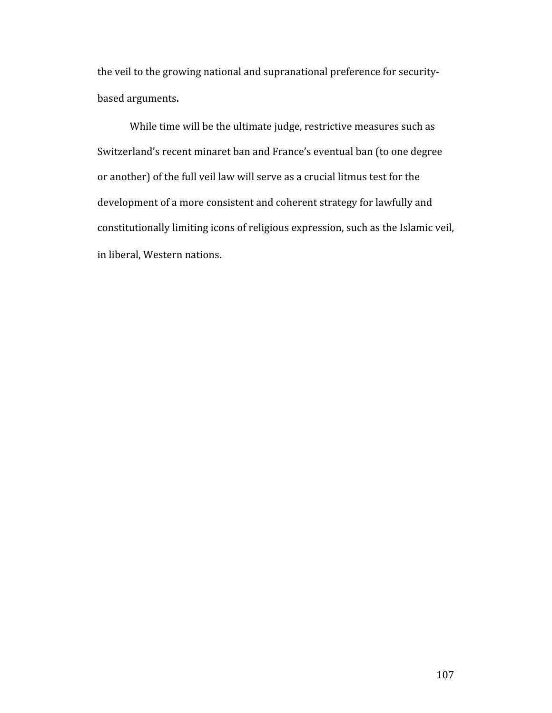the veil to the growing national and supranational preference for securitybased arguments.

While time will be the ultimate judge, restrictive measures such as Switzerland's recent minaret ban and France's eventual ban (to one degree or another) of the full veil law will serve as a crucial litmus test for the development of a more consistent and coherent strategy for lawfully and constitutionally limiting icons of religious expression, such as the Islamic veil, in liberal, Western nations.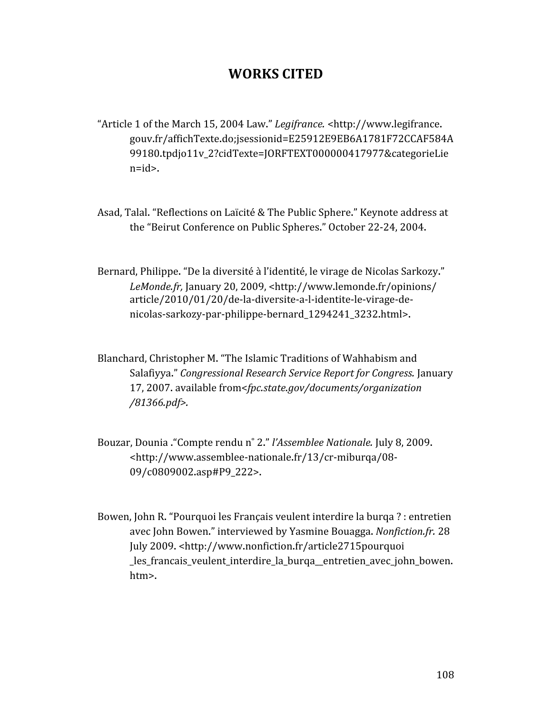## **WORKS CITED**

- "Article 1 of the March 15, 2004 Law." *Legifrance.* <http://www.legifrance. gouv.fr/affichTexte.do;jsessionid=E25912E9EB6A1781F72CCAF584A 99180.tpdjo11v\_2?cidTexte=JORFTEXT000000417977&categorieLie n=id>.
- Asad, Talal. "Reflections on Laïcité & The Public Sphere." Keynote address at the "Beirut Conference on Public Spheres." October 22‐24, 2004.
- Bernard, Philippe. "De la diversité à l'identité, le virage de Nicolas Sarkozy." *LeMonde.fr,* January 20, 2009, <http://www.lemonde.fr/opinions/ article/2010/01/20/de‐la‐diversite‐a‐l‐identite‐le‐virage‐de‐ nicolas‐sarkozy‐par‐philippe‐bernard\_1294241\_3232.html>.
- Blanchard, Christopher M. "The Islamic Traditions of Wahhabism and Salafiyya." *Congressional Research Service Report for Congress.* January 17, 2007. available from<*fpc.state.gov/documents/organization /81366.pdf>.*
- Bouzar, Dounia ."Compte rendu n˚ 2." *l'Assemblee Nationale.* July 8, 2009. <http://www.assemblee‐nationale.fr/13/cr‐miburqa/08‐ 09/c0809002.asp#P9\_222>.
- Bowen, John R. "Pourquoi les Français veulent interdire la burqa ? : entretien avec John Bowen." interviewed by Yasmine Bouagga. *Nonfiction.fr.* 28 July 2009. <http://www.nonfiction.fr/article2715pourquoi les francais veulent interdire la burga entretien avec john bowen. htm>.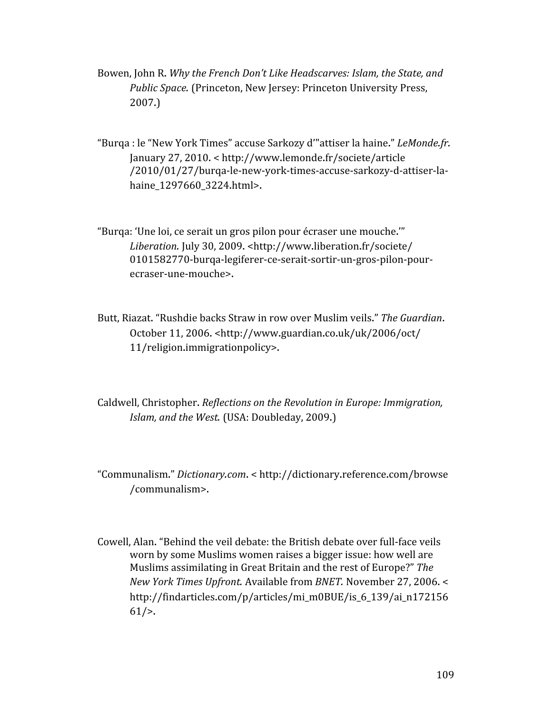- Bowen, John R. *Why the French Don't Like Headscarves: Islam, the State, and Public Space.* (Princeton, New Jersey: Princeton University Press, 2007.)
- "Burqa : le "New York Times" accuse Sarkozy d'"attiser la haine." *LeMonde.fr.* January 27, 2010. < http://www.lemonde.fr/societe/article /2010/01/27/burqa‐le‐new‐york‐times‐accuse‐sarkozy‐d‐attiser‐la‐ haine\_1297660\_3224.html>.
- "Burqa: 'Une loi, ce serait un gros pilon pour écraser une mouche.'" *Liberation.* July 30, 2009. <http://www.liberation.fr/societe/ 0101582770‐burqa‐legiferer‐ce‐serait‐sortir‐un‐gros‐pilon‐pour‐ ecraser‐une‐mouche>.
- Butt, Riazat. "Rushdie backs Straw in row over Muslim veils." *The Guardian*. October 11, 2006. <http://www.guardian.co.uk/uk/2006/oct/ 11/religion.immigrationpolicy>.
- Caldwell, Christopher. *Reflections on the Revolution in Europe: Immigration, Islam, and the West.* (USA: Doubleday, 2009.)
- "Communalism." *Dictionary.com*. < http://dictionary.reference.com/browse /communalism>.
- Cowell, Alan. "Behind the veil debate: the British debate over full‐face veils worn by some Muslims women raises a bigger issue: how well are Muslims assimilating in Great Britain and the rest of Europe?" *The New York Times Upfront.* Available from *BNET.* November 27, 2006. < http://findarticles.com/p/articles/mi\_m0BUE/is\_6\_139/ai\_n172156  $61/$ .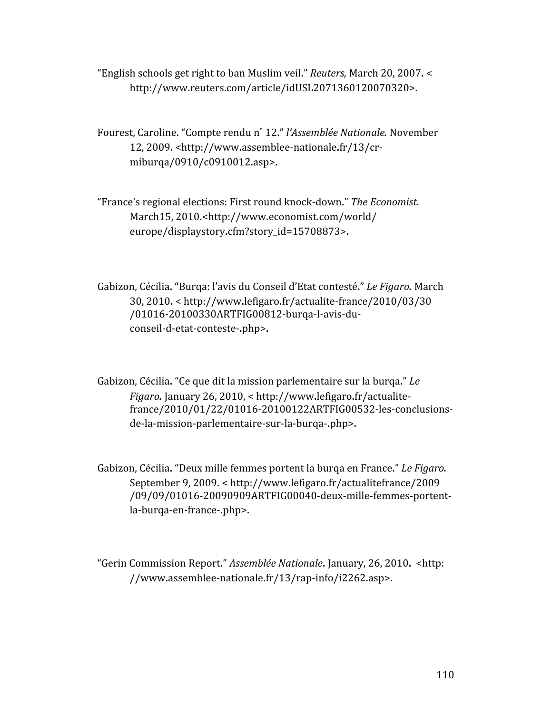"English schools get right to ban Muslim veil." *Reuters,* March 20, 2007. < http://www.reuters.com/article/idUSL2071360120070320>.

Fourest, Caroline. "Compte rendu n˚ 12." *l'Assemblée Nationale.* November 12, 2009. <http://www.assemblee‐nationale.fr/13/cr‐ miburqa/0910/c0910012.asp>.

"France's regional elections: First round knock‐down." *The Economist.* March15, 2010.<http://www.economist.com/world/ europe/displaystory.cfm?story\_id=15708873>.

Gabizon, Cécilia. "Burqa: l'avis du Conseil d'Etat contesté." *Le Figaro.* March 30, 2010. < http://www.lefigaro.fr/actualite‐france/2010/03/30 /01016‐20100330ARTFIG00812‐burqa‐l‐avis‐du‐ conseil‐d‐etat‐conteste‐.php>.

Gabizon, Cécilia. "Ce que dit la mission parlementaire sur la burqa." *Le Figaro.* January 26, 2010, < http://www.lefigaro.fr/actualite‐ france/2010/01/22/01016‐20100122ARTFIG00532‐les‐conclusions‐ de‐la‐mission‐parlementaire‐sur‐la‐burqa‐.php>.

Gabizon, Cécilia. "Deux mille femmes portent la burqa en France." *Le Figaro.* September 9, 2009. < http://www.lefigaro.fr/actualitefrance/2009 /09/09/01016‐20090909ARTFIG00040‐deux‐mille‐femmes‐portent‐ la‐burqa‐en‐france‐.php>.

"Gerin Commission Report." *Assemblée Nationale*. January, 26, 2010. <http: //www.assemblee‐nationale.fr/13/rap‐info/i2262.asp>.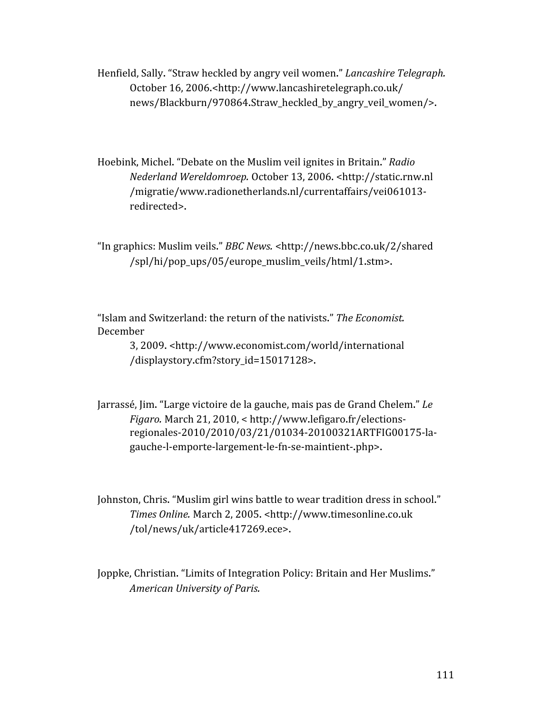Henfield, Sally. "Straw heckled by angry veil women." *Lancashire Telegraph.* October 16, 2006.<http://www.lancashiretelegraph.co.uk/ news/Blackburn/970864.Straw\_heckled\_by\_angry\_veil\_women/>.

Hoebink, Michel. "Debate on the Muslim veil ignites in Britain." *Radio Nederland Wereldomroep.* October 13, 2006. <http://static.rnw.nl /migratie/www.radionetherlands.nl/currentaffairs/vei061013‐ redirected>.

"In graphics: Muslim veils." *BBC News.* <http://news.bbc.co.uk/2/shared /spl/hi/pop\_ups/05/europe\_muslim\_veils/html/1.stm>.

"Islam and Switzerland: the return of the nativists." *The Economist.* December

> 3, 2009. <http://www.economist.com/world/international /displaystory.cfm?story\_id=15017128>.

Jarrassé, Jim. "Large victoire de la gauche, mais pas de Grand Chelem." *Le Figaro.* March 21, 2010, < http://www.lefigaro.fr/elections‐ regionales‐2010/2010/03/21/01034‐20100321ARTFIG00175‐la‐ gauche‐l‐emporte‐largement‐le‐fn‐se‐maintient‐.php>.

Johnston, Chris. "Muslim girl wins battle to wear tradition dress in school." *Times Online.* March 2, 2005. <http://www.timesonline.co.uk /tol/news/uk/article417269.ece>.

Joppke, Christian. "Limits of Integration Policy: Britain and Her Muslims." *American University of Paris.*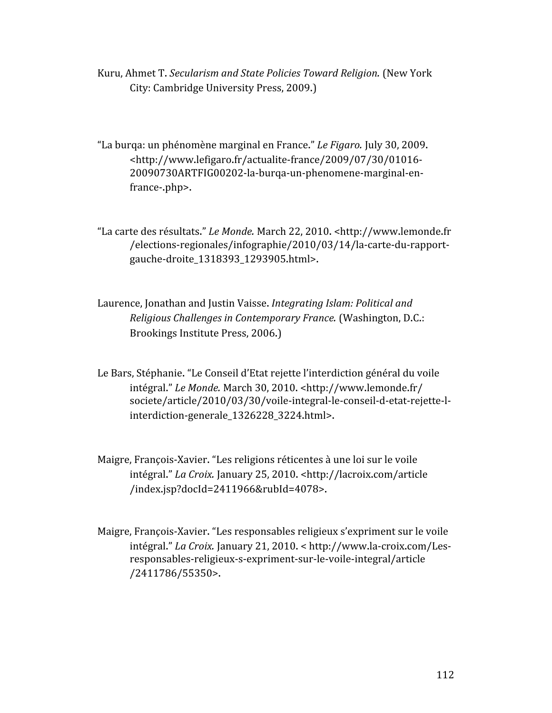Kuru, Ahmet T. *Secularism and State Policies Toward Religion.* (New York City: Cambridge University Press, 2009.)

"La burqa: un phénomène marginal en France." *Le Figaro.* July 30, 2009. <http://www.lefigaro.fr/actualite‐france/2009/07/30/01016‐ 20090730ARTFIG00202‐la‐burqa‐un‐phenomene‐marginal‐en‐ france‐.php>.

"La carte des résultats." *Le Monde.* March 22, 2010. <http://www.lemonde.fr /elections‐regionales/infographie/2010/03/14/la‐carte‐du‐rapport‐ gauche‐droite\_1318393\_1293905.html>.

Laurence, Jonathan and Justin Vaisse. *Integrating Islam: Political and Religious Challenges in Contemporary France.* (Washington, D.C.: Brookings Institute Press, 2006.)

Le Bars, Stéphanie. "Le Conseil d'Etat rejette l'interdiction général du voile intégral." *Le Monde.* March 30, 2010. <http://www.lemonde.fr/ societe/article/2010/03/30/voile‐integral‐le‐conseil‐d‐etat‐rejette‐l‐ interdiction‐generale\_1326228\_3224.html>.

Maigre, François‐Xavier. "Les religions réticentes à une loi sur le voile intégral." *La Croix.* January 25, 2010. <http://lacroix.com/article /index.jsp?docId=2411966&rubId=4078>.

Maigre, François‐Xavier. "Les responsables religieux s'expriment sur le voile intégral." *La Croix.* January 21, 2010. < http://www.la‐croix.com/Les‐ responsables‐religieux‐s‐expriment‐sur‐le‐voile‐integral/article /2411786/55350>.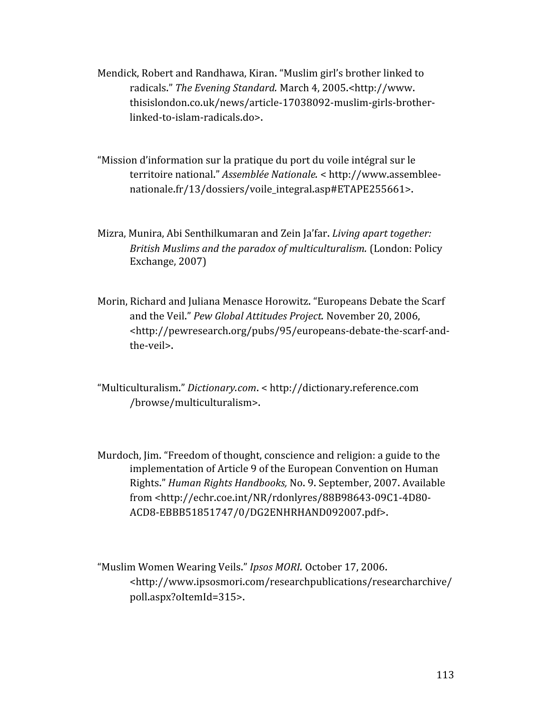- Mendick, Robert and Randhawa, Kiran. "Muslim girl's brother linked to radicals." *The Evening Standard.* March 4, 2005.<http://www. thisislondon.co.uk/news/article‐17038092‐muslim‐girls‐brother‐ linked‐to‐islam‐radicals.do>.
- "Mission d'information sur la pratique du port du voile intégral sur le territoire national." *Assemblée Nationale.* < http://www.assemblee‐ nationale.fr/13/dossiers/voile\_integral.asp#ETAPE255661>.
- Mizra, Munira, Abi Senthilkumaran and Zein Ja'far. *Living apart together: British Muslims and the paradox of multiculturalism.* (London: Policy Exchange, 2007)
- Morin, Richard and Juliana Menasce Horowitz. "Europeans Debate the Scarf and the Veil." *Pew Global Attitudes Project.* November 20, 2006, <http://pewresearch.org/pubs/95/europeans‐debate‐the‐scarf‐and‐ the‐veil>.
- "Multiculturalism." *Dictionary.com*. < http://dictionary.reference.com /browse/multiculturalism>.
- Murdoch, Jim. "Freedom of thought, conscience and religion: a guide to the implementation of Article 9 of the European Convention on Human Rights." *Human Rights Handbooks,* No. 9. September, 2007. Available from <http://echr.coe.int/NR/rdonlyres/88B98643‐09C1‐4D80‐ ACD8‐EBBB51851747/0/DG2ENHRHAND092007.pdf>.
- "Muslim Women Wearing Veils." *Ipsos MORI.* October 17, 2006. <http://www.ipsosmori.com/researchpublications/researcharchive/ poll.aspx?oItemId=315>.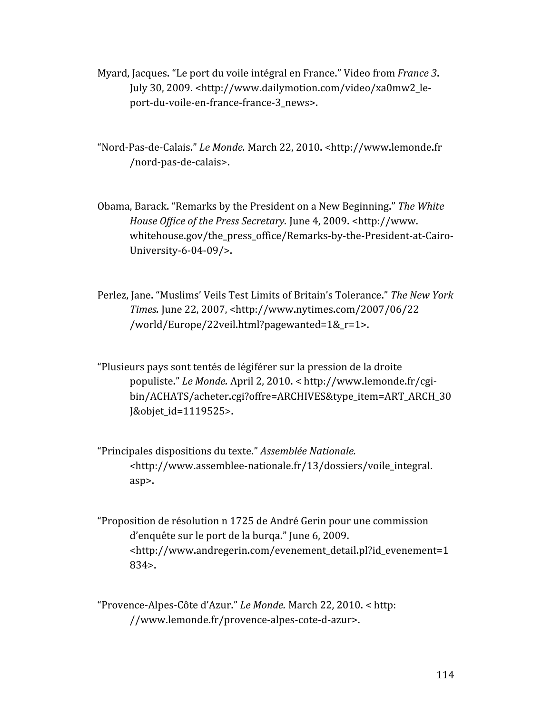- Myard, Jacques. "Le port du voile intégral en France." Video from *France 3*. July 30, 2009. <http://www.dailymotion.com/video/xa0mw2\_le‐ port‐du‐voile‐en‐france‐france‐3\_news>.
- "Nord‐Pas‐de‐Calais." *Le Monde.* March 22, 2010. <http://www.lemonde.fr /nord‐pas‐de‐calais>.
- Obama, Barack. "Remarks by the President on a New Beginning." *The White House Office of the Press Secretary.* June 4, 2009. <http://www. whitehouse.gov/the\_press\_office/Remarks‐by‐the‐President‐at‐Cairo‐ University‐6‐04‐09/>.
- Perlez, Jane. "Muslims' Veils Test Limits of Britain's Tolerance." *The New York Times.* June 22, 2007, <http://www.nytimes.com/2007/06/22 /world/Europe/22veil.html?pagewanted=1&\_r=1>.
- "Plusieurs pays sont tentés de légiférer sur la pression de la droite populiste." *Le Monde.* April 2, 2010. < http://www.lemonde.fr/cgi‐ bin/ACHATS/acheter.cgi?offre=ARCHIVES&type\_item=ART\_ARCH\_30 J&objet\_id=1119525>.
- "Principales dispositions du texte." *Assemblée Nationale. <*http://www.assemblee‐nationale.fr/13/dossiers/voile\_integral. asp>.
- "Proposition de résolution n 1725 de André Gerin pour une commission d'enquête sur le port de la burqa." June 6, 2009. <http://www.andregerin.com/evenement\_detail.pl?id\_evenement=1 834>.

"Provence‐Alpes‐Côte d'Azur." *Le Monde.* March 22, 2010. < http: //www.lemonde.fr/provence‐alpes‐cote‐d‐azur>.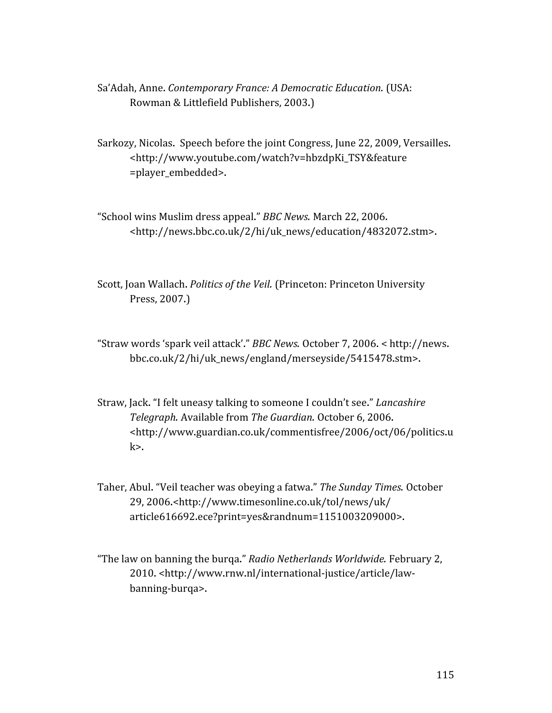- Sa'Adah, Anne. *Contemporary France: A Democratic Education.* (USA: Rowman & Littlefield Publishers, 2003.)
- Sarkozy, Nicolas. Speech before the joint Congress, June 22, 2009, Versailles. <http://www.youtube.com/watch?v=hbzdpKi\_TSY&feature =player\_embedded>.
- "School wins Muslim dress appeal." *BBC News.* March 22, 2006. <http://news.bbc.co.uk/2/hi/uk\_news/education/4832072.stm>.
- Scott, Joan Wallach. *Politics of the Veil.* (Princeton: Princeton University Press, 2007.)
- "Straw words 'spark veil attack'." *BBC News.* October 7, 2006. < http://news. bbc.co.uk/2/hi/uk\_news/england/merseyside/5415478.stm>.
- Straw, Jack. "I felt uneasy talking to someone I couldn't see." *Lancashire Telegraph.* Available from *The Guardian.* October 6, 2006. <http://www.guardian.co.uk/commentisfree/2006/oct/06/politics.u  $k$
- Taher, Abul. "Veil teacher was obeying a fatwa." *The Sunday Times.* October 29, 2006.<http://www.timesonline.co.uk/tol/news/uk/ article616692.ece?print=yes&randnum=1151003209000>.
- "The law on banning the burqa." *Radio Netherlands Worldwide.* February 2, 2010. <http://www.rnw.nl/international‐justice/article/law‐ banning‐burqa>.